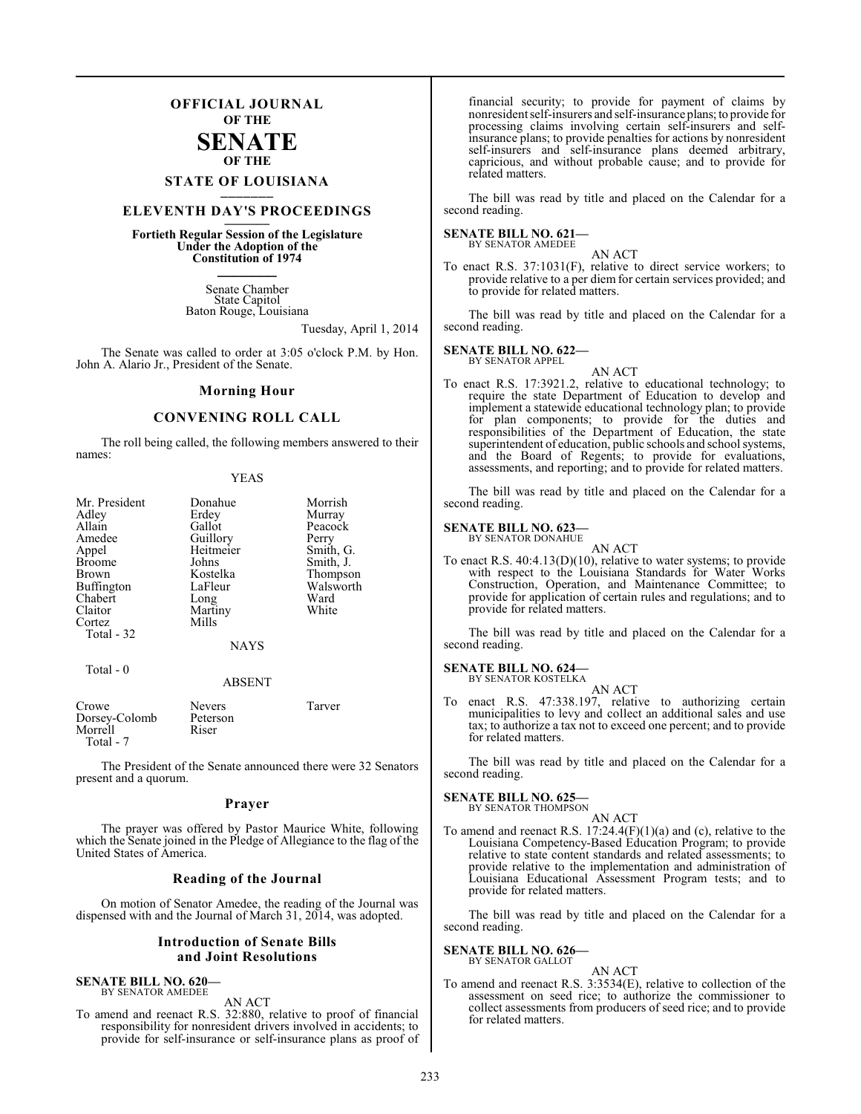### **OFFICIAL JOURNAL OF THE**

### **SENATE OF THE**

## **STATE OF LOUISIANA \_\_\_\_\_\_\_**

### **ELEVENTH DAY'S PROCEEDINGS \_\_\_\_\_\_\_**

**Fortieth Regular Session of the Legislature Under the Adoption of the Constitution of 1974 \_\_\_\_\_\_\_**

> Senate Chamber State Capitol Baton Rouge, Louisiana

> > Tuesday, April 1, 2014

The Senate was called to order at 3:05 o'clock P.M. by Hon. John A. Alario Jr., President of the Senate.

#### **Morning Hour**

#### **CONVENING ROLL CALL**

The roll being called, the following members answered to their names:

| Mr. President<br>Adley<br>Allain<br>Amedee<br>Appel<br><b>Broome</b><br><b>Brown</b><br><b>Buffington</b><br>Chabert<br>Claitor<br>Cortez<br>Total - 32 | Donahue<br>Erdey<br>Gallot<br>Guillory<br>Heitmeier<br>Johns<br>Kostelka<br>LaFleur<br>Long<br>Martiny<br>Mills<br><b>NAYS</b> | Morrish<br>Murray<br>Peacock<br>Perry<br>Smith, G.<br>Smith, J.<br>Thompson<br>Walsworth<br>Ward<br>White |
|---------------------------------------------------------------------------------------------------------------------------------------------------------|--------------------------------------------------------------------------------------------------------------------------------|-----------------------------------------------------------------------------------------------------------|
| Total $-0$                                                                                                                                              | <b>ABSENT</b>                                                                                                                  |                                                                                                           |

| Crowe         | <b>Nevers</b> | Tarver |
|---------------|---------------|--------|
| Dorsey-Colomb | Peterson      |        |
| Morrell       | Riser         |        |
| Total - 7     |               |        |

The President of the Senate announced there were 32 Senators present and a quorum.

#### **Prayer**

The prayer was offered by Pastor Maurice White, following which the Senate joined in the Pledge of Allegiance to the flag of the United States of America.

#### **Reading of the Journal**

On motion of Senator Amedee, the reading of the Journal was dispensed with and the Journal of March 31, 2014, was adopted.

#### **Introduction of Senate Bills and Joint Resolutions**

#### **SENATE BILL NO. 620—**

BY SENATOR AMEDEE AN ACT

To amend and reenact R.S. 32:880, relative to proof of financial responsibility for nonresident drivers involved in accidents; to provide for self-insurance or self-insurance plans as proof of

financial security; to provide for payment of claims by nonresident self-insurers and self-insurance plans; to provide for processing claims involving certain self-insurers and selfinsurance plans; to provide penalties for actions by nonresident self-insurers and self-insurance plans deemed arbitrary, capricious, and without probable cause; and to provide for related matters.

The bill was read by title and placed on the Calendar for a second reading.

#### **SENATE BILL NO. 621—** BY SENATOR AMEDEE

AN ACT

To enact R.S. 37:1031(F), relative to direct service workers; to provide relative to a per diem for certain services provided; and to provide for related matters.

The bill was read by title and placed on the Calendar for a second reading.

#### **SENATE BILL NO. 622—** BY SENATOR APPEL

AN ACT

To enact R.S. 17:3921.2, relative to educational technology; to require the state Department of Education to develop and implement a statewide educational technology plan; to provide for plan components; to provide for the duties and responsibilities of the Department of Education, the state superintendent of education, public schools and school systems, and the Board of Regents; to provide for evaluations, assessments, and reporting; and to provide for related matters.

The bill was read by title and placed on the Calendar for a second reading.

#### **SENATE BILL NO. 623—** BY SENATOR DONAHUE

AN ACT

To enact R.S. 40:4.13(D)(10), relative to water systems; to provide with respect to the Louisiana Standards for Water Works Construction, Operation, and Maintenance Committee; to provide for application of certain rules and regulations; and to provide for related matters.

The bill was read by title and placed on the Calendar for a second reading.

#### **SENATE BILL NO. 624**

BY SENATOR KOSTELKA AN ACT

To enact R.S. 47:338.197, relative to authorizing certain municipalities to levy and collect an additional sales and use tax; to authorize a tax not to exceed one percent; and to provide for related matters.

The bill was read by title and placed on the Calendar for a second reading.

#### **SENATE BILL NO. 625—**

BY SENATOR THOMPSON

AN ACT To amend and reenact R.S. 17:24.4(F)(1)(a) and (c), relative to the Louisiana Competency-Based Education Program; to provide relative to state content standards and related assessments; to provide relative to the implementation and administration of Louisiana Educational Assessment Program tests; and to provide for related matters.

The bill was read by title and placed on the Calendar for a second reading.

**SENATE BILL NO. 626—** BY SENATOR GALLOT

### AN ACT

To amend and reenact R.S. 3:3534(E), relative to collection of the assessment on seed rice; to authorize the commissioner to collect assessments from producers of seed rice; and to provide for related matters.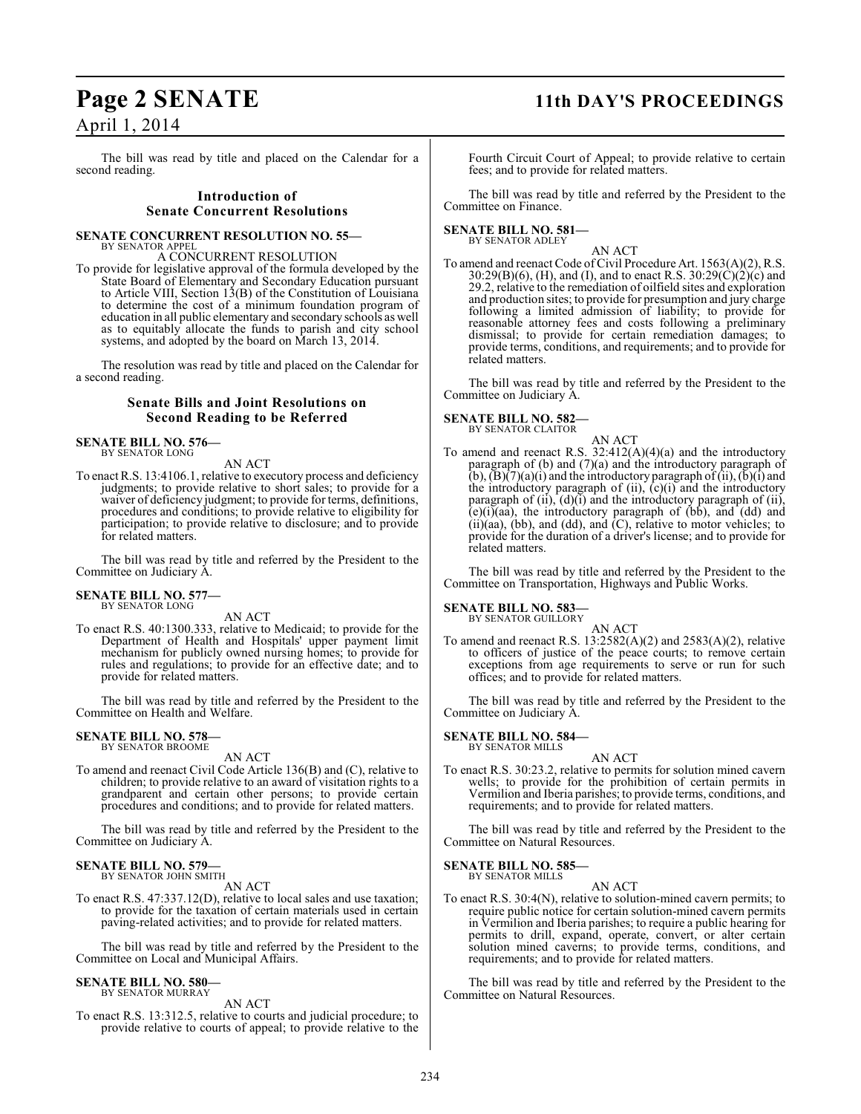## **Page 2 SENATE 11th DAY'S PROCEEDINGS**

April 1, 2014

The bill was read by title and placed on the Calendar for a second reading.

#### **Introduction of Senate Concurrent Resolutions**

#### **SENATE CONCURRENT RESOLUTION NO. 55—** BY SENATOR APPEL

A CONCURRENT RESOLUTION

To provide for legislative approval of the formula developed by the State Board of Elementary and Secondary Education pursuant to Article VIII, Section 13(B) of the Constitution of Louisiana to determine the cost of a minimum foundation program of education in all public elementary and secondary schools as well as to equitably allocate the funds to parish and city school systems, and adopted by the board on March 13, 2014.

The resolution was read by title and placed on the Calendar for a second reading.

#### **Senate Bills and Joint Resolutions on Second Reading to be Referred**

**SENATE BILL NO. 576—** BY SENATOR LONG

AN ACT

To enact R.S. 13:4106.1, relative to executory process and deficiency judgments; to provide relative to short sales; to provide for a waiver of deficiency judgment; to provide for terms, definitions, procedures and conditions; to provide relative to eligibility for participation; to provide relative to disclosure; and to provide for related matters.

The bill was read by title and referred by the President to the Committee on Judiciary A.

#### **SENATE BILL NO. 577—** BY SENATOR LONG

AN ACT

To enact R.S. 40:1300.333, relative to Medicaid; to provide for the Department of Health and Hospitals' upper payment limit mechanism for publicly owned nursing homes; to provide for rules and regulations; to provide for an effective date; and to provide for related matters.

The bill was read by title and referred by the President to the Committee on Health and Welfare.

## **SENATE BILL NO. 578—** BY SENATOR BROOME

#### AN ACT

To amend and reenact Civil Code Article 136(B) and (C), relative to children; to provide relative to an award of visitation rights to a grandparent and certain other persons; to provide certain procedures and conditions; and to provide for related matters.

The bill was read by title and referred by the President to the Committee on Judiciary A.

#### **SENATE BILL NO. 579—** BY SENATOR JOHN SMITH

AN ACT

To enact R.S. 47:337.12(D), relative to local sales and use taxation; to provide for the taxation of certain materials used in certain paving-related activities; and to provide for related matters.

The bill was read by title and referred by the President to the Committee on Local and Municipal Affairs.

#### **SENATE BILL NO. 580—** BY SENATOR MURRAY

AN ACT

To enact R.S. 13:312.5, relative to courts and judicial procedure; to provide relative to courts of appeal; to provide relative to the Fourth Circuit Court of Appeal; to provide relative to certain fees; and to provide for related matters.

The bill was read by title and referred by the President to the Committee on Finance.

#### **SENATE BILL NO. 581—** BY SENATOR ADLEY

AN ACT

To amend and reenact Code of Civil Procedure Art. 1563(A)(2), R.S. 30:29(B)(6), (H), and (I), and to enact R.S. 30:29(C)(2)(c) and 29.2, relative to the remediation of oilfield sites and exploration and production sites; to provide for presumption and jury charge following a limited admission of liability; to provide for reasonable attorney fees and costs following a preliminary dismissal; to provide for certain remediation damages; to provide terms, conditions, and requirements; and to provide for related matters.

The bill was read by title and referred by the President to the Committee on Judiciary A.

**SENATE BILL NO. 582—**

BY SENATOR CLAITOR

AN ACT To amend and reenact R.S.  $32:412(A)(4)(a)$  and the introductory paragraph of (b) and (7)(a) and the introductory paragraph of  $(b)$ ,  $(B)(7)(a)(i)$  and the introductory paragraph of  $(ii)$ ,  $(b)(i)$  and the introductory paragraph of  $(ii)$ ,  $(c)(i)$  and the introductory paragraph of  $(ii)$ ,  $(d)(i)$  and the introductory paragraph of  $(ii)$ ,  $(e)(i)(aa)$ , the introductory paragraph of  $(bb)$ , and  $(dd)$  and (ii)(aa), (bb), and (dd), and (C), relative to motor vehicles; to provide for the duration of a driver's license; and to provide for related matters.

The bill was read by title and referred by the President to the Committee on Transportation, Highways and Public Works.

#### **SENATE BILL NO. 583—**

BY SENATOR GUILLORY

AN ACT To amend and reenact R.S. 13:2582(A)(2) and 2583(A)(2), relative to officers of justice of the peace courts; to remove certain exceptions from age requirements to serve or run for such offices; and to provide for related matters.

The bill was read by title and referred by the President to the Committee on Judiciary A.

#### **SENATE BILL NO. 584—** BY SENATOR MILLS

AN ACT

To enact R.S. 30:23.2, relative to permits for solution mined cavern wells; to provide for the prohibition of certain permits in Vermilion and Iberia parishes; to provide terms, conditions, and requirements; and to provide for related matters.

The bill was read by title and referred by the President to the Committee on Natural Resources.

## **SENATE BILL NO. 585—** BY SENATOR MILLS

AN ACT

To enact R.S. 30:4(N), relative to solution-mined cavern permits; to require public notice for certain solution-mined cavern permits in Vermilion and Iberia parishes; to require a public hearing for permits to drill, expand, operate, convert, or alter certain solution mined caverns; to provide terms, conditions, and requirements; and to provide for related matters.

The bill was read by title and referred by the President to the Committee on Natural Resources.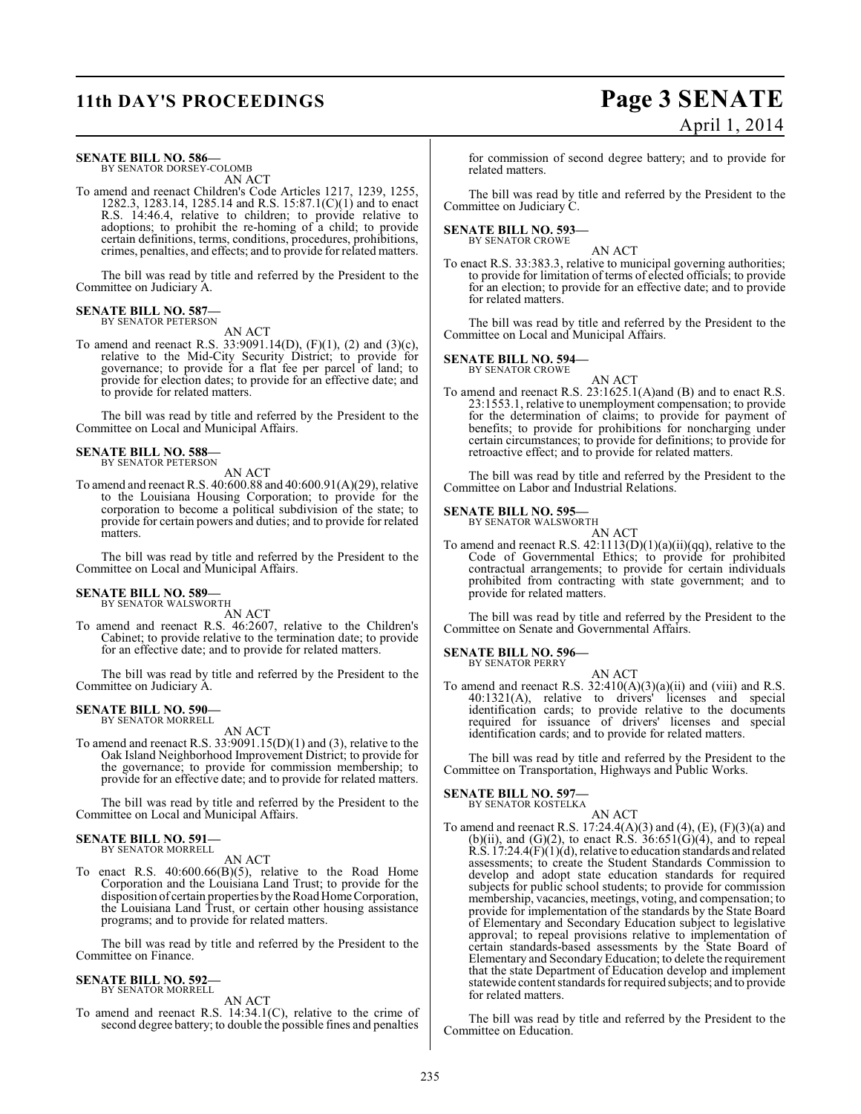## **11th DAY'S PROCEEDINGS Page 3 SENATE**

# April 1, 2014

#### **SENATE BILL NO. 586—**

BY SENATOR DORSEY-COLOMB AN ACT

To amend and reenact Children's Code Articles 1217, 1239, 1255, 1282.3, 1283.14, 1285.14 and R.S. 15:87.1(C)(1) and to enact R.S. 14:46.4, relative to children; to provide relative to adoptions; to prohibit the re-homing of a child; to provide certain definitions, terms, conditions, procedures, prohibitions, crimes, penalties, and effects; and to provide for related matters.

The bill was read by title and referred by the President to the Committee on Judiciary A.

#### **SENATE BILL NO. 587—** BY SENATOR PETERSON

AN ACT

To amend and reenact R.S. 33:9091.14(D), (F)(1), (2) and (3)(c), relative to the Mid-City Security District; to provide for governance; to provide for a flat fee per parcel of land; to provide for election dates; to provide for an effective date; and to provide for related matters.

The bill was read by title and referred by the President to the Committee on Local and Municipal Affairs.

#### **SENATE BILL NO. 588—** BY SENATOR PETERSON

AN ACT

To amend and reenact R.S. 40:600.88 and 40:600.91(A)(29), relative to the Louisiana Housing Corporation; to provide for the corporation to become a political subdivision of the state; to provide for certain powers and duties; and to provide for related matters.

The bill was read by title and referred by the President to the Committee on Local and Municipal Affairs.

#### **SENATE BILL NO. 589—** BY SENATOR WALSWORTH

AN ACT

To amend and reenact R.S. 46:2607, relative to the Children's Cabinet; to provide relative to the termination date; to provide for an effective date; and to provide for related matters.

The bill was read by title and referred by the President to the Committee on Judiciary A.

#### **SENATE BILL NO. 590—** BY SENATOR MORRELL

AN ACT

To amend and reenact R.S. 33:9091.15(D)(1) and (3), relative to the Oak Island Neighborhood Improvement District; to provide for the governance; to provide for commission membership; to provide for an effective date; and to provide for related matters.

The bill was read by title and referred by the President to the Committee on Local and Municipal Affairs.

#### **SENATE BILL NO. 591—** BY SENATOR MORRELL

AN ACT

To enact R.S. 40:600.66(B)(5), relative to the Road Home Corporation and the Louisiana Land Trust; to provide for the disposition of certain properties by the Road Home Corporation, the Louisiana Land Trust, or certain other housing assistance programs; and to provide for related matters.

The bill was read by title and referred by the President to the Committee on Finance.

#### **SENATE BILL NO. 592—** BY SENATOR MORRELL

AN ACT

To amend and reenact R.S. 14:34.1(C), relative to the crime of second degree battery; to double the possible fines and penalties

for commission of second degree battery; and to provide for related matters.

The bill was read by title and referred by the President to the Committee on Judiciary C.

### **SENATE BILL NO. 593—**

BY SENATOR CROWE

AN ACT To enact R.S. 33:383.3, relative to municipal governing authorities; to provide for limitation of terms of elected officials; to provide for an election; to provide for an effective date; and to provide for related matters.

The bill was read by title and referred by the President to the Committee on Local and Municipal Affairs.

## **SENATE BILL NO. 594—** BY SENATOR CROWE

AN ACT

To amend and reenact R.S. 23:1625.1(A)and (B) and to enact R.S. 23:1553.1, relative to unemployment compensation; to provide for the determination of claims; to provide for payment of benefits; to provide for prohibitions for noncharging under certain circumstances; to provide for definitions; to provide for retroactive effect; and to provide for related matters.

The bill was read by title and referred by the President to the Committee on Labor and Industrial Relations.

#### **SENATE BILL NO. 595—**

BY SENATOR WALSWORTH AN ACT

To amend and reenact R.S.  $42:1113(D)(1)(a)(ii)(qq)$ , relative to the Code of Governmental Ethics; to provide for prohibited contractual arrangements; to provide for certain individuals prohibited from contracting with state government; and to provide for related matters.

The bill was read by title and referred by the President to the Committee on Senate and Governmental Affairs.

#### **SENATE BILL NO. 596—**

BY SENATOR PERRY

AN ACT To amend and reenact R.S.  $32:410(A)(3)(a)(ii)$  and (viii) and R.S. 40:1321(A), relative to drivers' licenses and special identification cards; to provide relative to the documents required for issuance of drivers' licenses and special identification cards; and to provide for related matters.

The bill was read by title and referred by the President to the Committee on Transportation, Highways and Public Works.

#### **SENATE BILL NO. 597—**

BY SENATOR KOSTELKA

AN ACT To amend and reenact R.S. 17:24.4(A)(3) and (4), (E), (F)(3)(a) and (b)(ii), and (G)(2), to enact R.S.  $36:651(G)(4)$ , and to repeal  $R.S. 17:24.4(F)(1)(d)$ , relative to education standards and related assessments; to create the Student Standards Commission to develop and adopt state education standards for required subjects for public school students; to provide for commission membership, vacancies, meetings, voting, and compensation; to provide for implementation of the standards by the State Board of Elementary and Secondary Education subject to legislative approval; to repeal provisions relative to implementation of certain standards-based assessments by the State Board of Elementary and Secondary Education; to delete the requirement that the state Department of Education develop and implement statewide content standards for required subjects; and to provide for related matters.

The bill was read by title and referred by the President to the Committee on Education.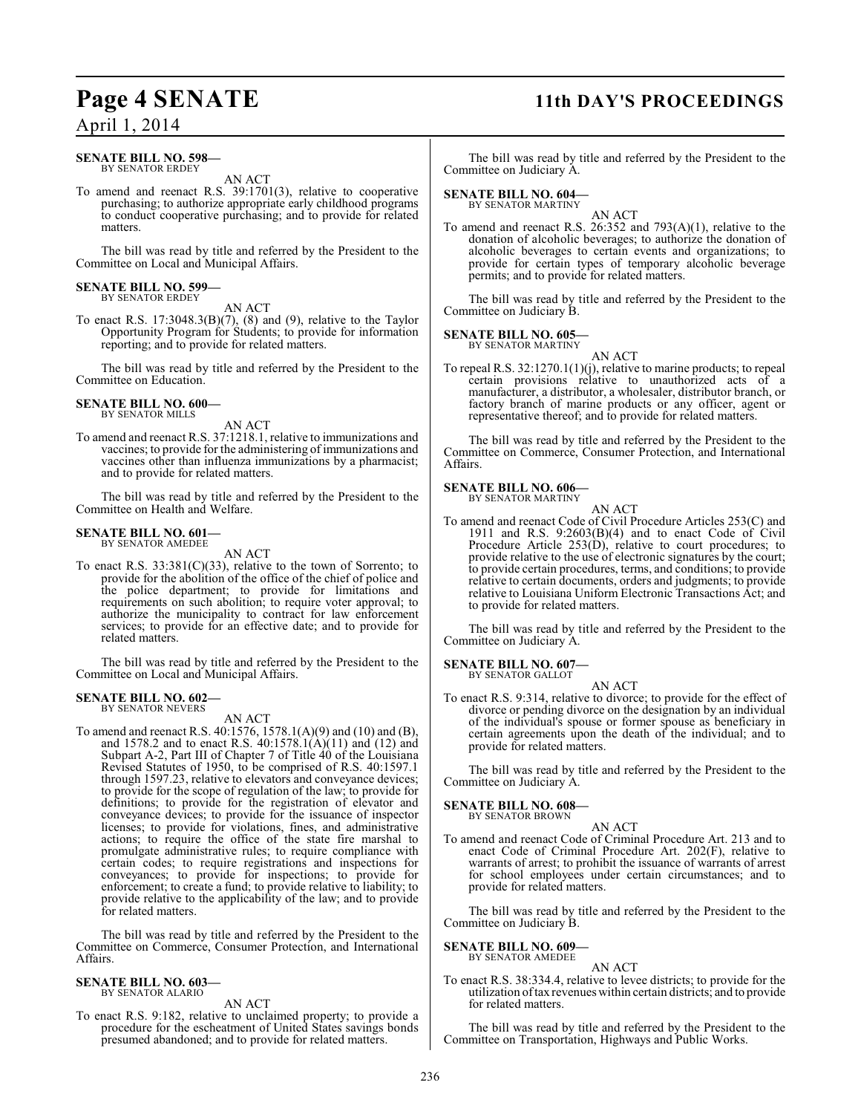## **Page 4 SENATE 11th DAY'S PROCEEDINGS**

April 1, 2014

#### **SENATE BILL NO. 598—** BY SENATOR ERDEY

AN ACT

To amend and reenact R.S. 39:1701(3), relative to cooperative purchasing; to authorize appropriate early childhood programs to conduct cooperative purchasing; and to provide for related matters.

The bill was read by title and referred by the President to the Committee on Local and Municipal Affairs.

### **SENATE BILL NO. 599—** BY SENATOR ERDEY

AN ACT

To enact R.S. 17:3048.3(B)(7), (8) and (9), relative to the Taylor Opportunity Program for Students; to provide for information reporting; and to provide for related matters.

The bill was read by title and referred by the President to the Committee on Education.

#### **SENATE BILL NO. 600—** BY SENATOR MILLS

AN ACT

To amend and reenact R.S. 37:1218.1, relative to immunizations and vaccines; to provide for the administering of immunizations and vaccines other than influenza immunizations by a pharmacist; and to provide for related matters.

The bill was read by title and referred by the President to the Committee on Health and Welfare.

#### **SENATE BILL NO. 601—** BY SENATOR AMEDEE

AN ACT

To enact R.S.  $33:381(C)(33)$ , relative to the town of Sorrento; to provide for the abolition of the office of the chief of police and the police department; to provide for limitations and requirements on such abolition; to require voter approval; to authorize the municipality to contract for law enforcement services; to provide for an effective date; and to provide for related matters.

The bill was read by title and referred by the President to the Committee on Local and Municipal Affairs.

#### **SENATE BILL NO. 602—** BY SENATOR NEVERS

AN ACT

To amend and reenact R.S. 40:1576, 1578.1(A)(9) and (10) and (B), and 1578.2 and to enact R.S. 40:1578.1(A)(11) and (12) and Subpart A-2, Part III of Chapter 7 of Title 40 of the Louisiana Revised Statutes of 1950, to be comprised of R.S. 40:1597.1 through 1597.23, relative to elevators and conveyance devices; to provide for the scope of regulation of the law; to provide for definitions; to provide for the registration of elevator and conveyance devices; to provide for the issuance of inspector licenses; to provide for violations, fines, and administrative actions; to require the office of the state fire marshal to promulgate administrative rules; to require compliance with certain codes; to require registrations and inspections for conveyances; to provide for inspections; to provide for enforcement; to create a fund; to provide relative to liability; to provide relative to the applicability of the law; and to provide for related matters.

The bill was read by title and referred by the President to the Committee on Commerce, Consumer Protection, and International Affairs.

#### **SENATE BILL NO. 603—** BY SENATOR ALARIO

AN ACT

To enact R.S. 9:182, relative to unclaimed property; to provide a procedure for the escheatment of United States savings bonds presumed abandoned; and to provide for related matters.

The bill was read by title and referred by the President to the Committee on Judiciary A.

### **SENATE BILL NO. 604—** BY SENATOR MARTINY

AN ACT To amend and reenact R.S. 26:352 and 793(A)(1), relative to the donation of alcoholic beverages; to authorize the donation of alcoholic beverages to certain events and organizations; to provide for certain types of temporary alcoholic beverage permits; and to provide for related matters.

The bill was read by title and referred by the President to the Committee on Judiciary B.

## **SENATE BILL NO. 605—** BY SENATOR MARTINY

AN ACT To repeal R.S. 32:1270.1(1)(j), relative to marine products; to repeal certain provisions relative to unauthorized acts of a manufacturer, a distributor, a wholesaler, distributor branch, or factory branch of marine products or any officer, agent or representative thereof; and to provide for related matters.

The bill was read by title and referred by the President to the Committee on Commerce, Consumer Protection, and International Affairs.

#### **SENATE BILL NO. 606—** BY SENATOR MARTINY

AN ACT

To amend and reenact Code of Civil Procedure Articles 253(C) and 1911 and R.S.  $9:2603(B)(4)$  and to enact Code of Civil Procedure Article 253(D), relative to court procedures; to provide relative to the use of electronic signatures by the court; to provide certain procedures, terms, and conditions; to provide relative to certain documents, orders and judgments; to provide relative to Louisiana Uniform Electronic Transactions Act; and to provide for related matters.

The bill was read by title and referred by the President to the Committee on Judiciary A.

#### **SENATE BILL NO. 607—** BY SENATOR GALLOT

AN ACT To enact R.S. 9:314, relative to divorce; to provide for the effect of divorce or pending divorce on the designation by an individual of the individual's spouse or former spouse as beneficiary in certain agreements upon the death of the individual; and to provide for related matters.

The bill was read by title and referred by the President to the Committee on Judiciary A.

#### **SENATE BILL NO. 608—** BY SENATOR BROWN

AN ACT To amend and reenact Code of Criminal Procedure Art. 213 and to enact Code of Criminal Procedure Art. 202(F), relative to warrants of arrest; to prohibit the issuance of warrants of arrest for school employees under certain circumstances; and to provide for related matters.

The bill was read by title and referred by the President to the Committee on Judiciary B.

#### **SENATE BILL NO. 609—** BY SENATOR AMEDEE

AN ACT

To enact R.S. 38:334.4, relative to levee districts; to provide for the utilization of tax revenues within certain districts; and to provide for related matters.

The bill was read by title and referred by the President to the Committee on Transportation, Highways and Public Works.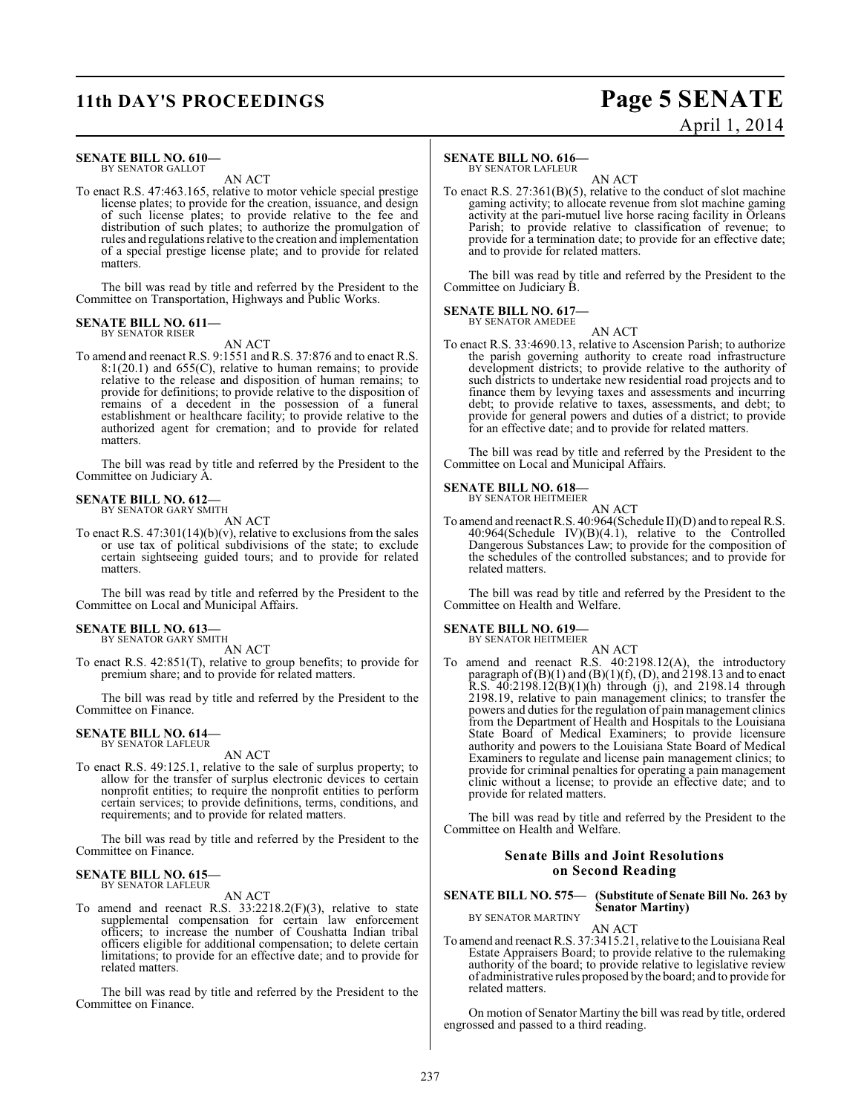## **11th DAY'S PROCEEDINGS Page 5 SENATE**

#### **SENATE BILL NO. 610—** BY SENATOR GALLOT

AN ACT

To enact R.S. 47:463.165, relative to motor vehicle special prestige license plates; to provide for the creation, issuance, and design of such license plates; to provide relative to the fee and distribution of such plates; to authorize the promulgation of rules and regulations relative to the creation and implementation of a special prestige license plate; and to provide for related matters.

The bill was read by title and referred by the President to the Committee on Transportation, Highways and Public Works.

#### **SENATE BILL NO. 611—** BY SENATOR RISER

AN ACT

To amend and reenact R.S. 9:1551 and R.S. 37:876 and to enact R.S. 8:1(20.1) and 655(C), relative to human remains; to provide relative to the release and disposition of human remains; to provide for definitions; to provide relative to the disposition of remains of a decedent in the possession of a funeral establishment or healthcare facility; to provide relative to the authorized agent for cremation; and to provide for related matters.

The bill was read by title and referred by the President to the Committee on Judiciary A.

#### **SENATE BILL NO. 612—** BY SENATOR GARY SMITH

AN ACT

To enact R.S. 47:301(14)(b)(v), relative to exclusions from the sales or use tax of political subdivisions of the state; to exclude certain sightseeing guided tours; and to provide for related matters.

The bill was read by title and referred by the President to the Committee on Local and Municipal Affairs.

## **SENATE BILL NO. 613—** BY SENATOR GARY SMITH

AN ACT

To enact R.S. 42:851(T), relative to group benefits; to provide for premium share; and to provide for related matters.

The bill was read by title and referred by the President to the Committee on Finance.

#### **SENATE BILL NO. 614—** BY SENATOR LAFLEUR

AN ACT

To enact R.S. 49:125.1, relative to the sale of surplus property; to allow for the transfer of surplus electronic devices to certain nonprofit entities; to require the nonprofit entities to perform certain services; to provide definitions, terms, conditions, and requirements; and to provide for related matters.

The bill was read by title and referred by the President to the Committee on Finance.

## **SENATE BILL NO. 615—** BY SENATOR LAFLEUR

AN ACT

To amend and reenact R.S. 33:2218.2(F)(3), relative to state supplemental compensation for certain law enforcement officers; to increase the number of Coushatta Indian tribal officers eligible for additional compensation; to delete certain limitations; to provide for an effective date; and to provide for related matters.

The bill was read by title and referred by the President to the Committee on Finance.

#### **SENATE BILL NO. 616—**

BY SENATOR LAFLEUR

AN ACT To enact R.S. 27:361(B)(5), relative to the conduct of slot machine gaming activity; to allocate revenue from slot machine gaming activity at the pari-mutuel live horse racing facility in Orleans Parish; to provide relative to classification of revenue; to provide for a termination date; to provide for an effective date; and to provide for related matters.

The bill was read by title and referred by the President to the Committee on Judiciary B.

#### **SENATE BILL NO. 617—** BY SENATOR AMEDEE

AN ACT

To enact R.S. 33:4690.13, relative to Ascension Parish; to authorize the parish governing authority to create road infrastructure development districts; to provide relative to the authority of such districts to undertake new residential road projects and to finance them by levying taxes and assessments and incurring debt; to provide relative to taxes, assessments, and debt; to provide for general powers and duties of a district; to provide for an effective date; and to provide for related matters.

The bill was read by title and referred by the President to the Committee on Local and Municipal Affairs.

### **SENATE BILL NO. 618—** BY SENATOR HEITMEIER

AN ACT

To amend and reenactR.S. 40:964(Schedule II)(D) and to repeal R.S. 40:964(Schedule IV)(B)(4.1), relative to the Controlled Dangerous Substances Law; to provide for the composition of the schedules of the controlled substances; and to provide for related matters.

The bill was read by title and referred by the President to the Committee on Health and Welfare.

#### **SENATE BILL NO. 619—** BY SENATOR HEITMEIER

AN ACT

To amend and reenact R.S. 40:2198.12(A), the introductory paragraph of  $(B)(1)$  and  $(B)(1)(f)$ ,  $(D)$ , and 2198.13 and to enact R.S.  $40:2198.12(B)(1)(h)$  through (j), and 2198.14 through 2198.19, relative to pain management clinics; to transfer the powers and duties for the regulation of pain management clinics from the Department of Health and Hospitals to the Louisiana State Board of Medical Examiners; to provide licensure authority and powers to the Louisiana State Board of Medical Examiners to regulate and license pain management clinics; to provide for criminal penalties for operating a pain management clinic without a license; to provide an effective date; and to provide for related matters.

The bill was read by title and referred by the President to the Committee on Health and Welfare.

#### **Senate Bills and Joint Resolutions on Second Reading**

#### **SENATE BILL NO. 575— (Substitute of Senate Bill No. 263 by Senator Martiny)** BY SENATOR MARTINY

AN ACT

To amend and reenact R.S. 37:3415.21, relative to the Louisiana Real Estate Appraisers Board; to provide relative to the rulemaking authority of the board; to provide relative to legislative review of administrative rules proposed by the board; and to provide for related matters.

On motion of Senator Martiny the bill was read by title, ordered engrossed and passed to a third reading.

# April 1, 2014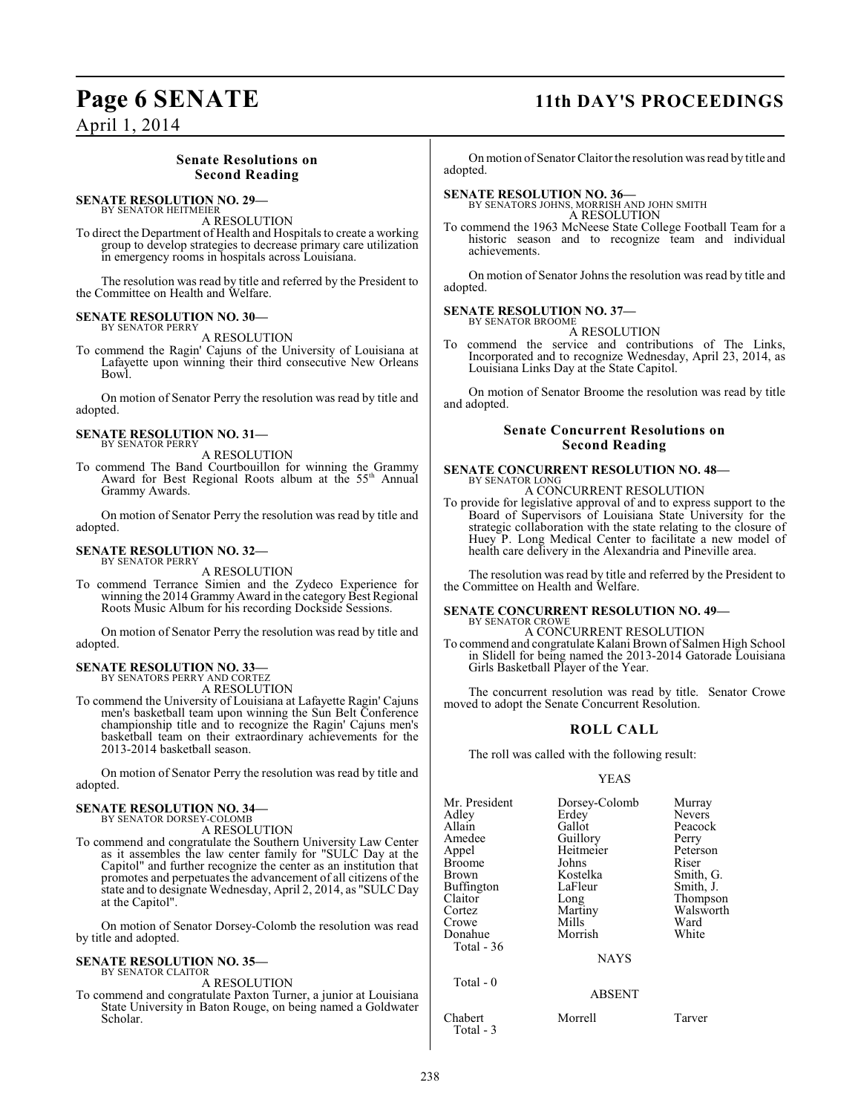## **Page 6 SENATE 11th DAY'S PROCEEDINGS**

April 1, 2014

### **Senate Resolutions on Second Reading**

#### **SENATE RESOLUTION NO. 29—** BY SENATOR HEITMEIER

A RESOLUTION

To direct the Department of Health and Hospitals to create a working group to develop strategies to decrease primary care utilization in emergency rooms in hospitals across Louisiana.

The resolution was read by title and referred by the President to the Committee on Health and Welfare.

### **SENATE RESOLUTION NO. 30—**

BY SENATOR PERRY A RESOLUTION

To commend the Ragin' Cajuns of the University of Louisiana at Lafayette upon winning their third consecutive New Orleans Bowl.

On motion of Senator Perry the resolution was read by title and adopted.

#### **SENATE RESOLUTION NO. 31—** BY SENATOR PERRY

A RESOLUTION

To commend The Band Courtbouillon for winning the Grammy Award for Best Regional Roots album at the 55<sup>th</sup> Annual Grammy Awards.

On motion of Senator Perry the resolution was read by title and adopted.

#### **SENATE RESOLUTION NO. 32—** BY SENATOR PERRY

A RESOLUTION

To commend Terrance Simien and the Zydeco Experience for winning the 2014 Grammy Award in the category Best Regional Roots Music Album for his recording Dockside Sessions.

On motion of Senator Perry the resolution was read by title and adopted.

#### **SENATE RESOLUTION NO. 33—** BY SENATORS PERRY AND CORTEZ

A RESOLUTION

To commend the University of Louisiana at Lafayette Ragin' Cajuns men's basketball team upon winning the Sun Belt Conference championship title and to recognize the Ragin' Cajuns men's basketball team on their extraordinary achievements for the 2013-2014 basketball season.

On motion of Senator Perry the resolution was read by title and adopted.

#### **SENATE RESOLUTION NO. 34—** BY SENATOR DORSEY-COLOMB

A RESOLUTION

To commend and congratulate the Southern University Law Center as it assembles the law center family for "SULC Day at the Capitol" and further recognize the center as an institution that promotes and perpetuates the advancement of all citizens of the state and to designate Wednesday, April 2, 2014, as "SULC Day at the Capitol".

On motion of Senator Dorsey-Colomb the resolution was read by title and adopted.

#### **SENATE RESOLUTION NO. 35—** BY SENATOR CLAITOR

A RESOLUTION

To commend and congratulate Paxton Turner, a junior at Louisiana State University in Baton Rouge, on being named a Goldwater Scholar.

On motion of Senator Claitor the resolution was read by title and adopted.

## **SENATE RESOLUTION NO. 36—**<br>BY SENATORS JOHNS, MORRISH AND JOHN SMITH

A RESOLUTION

To commend the 1963 McNeese State College Football Team for a historic season and to recognize team and individual achievements.

On motion of Senator Johns the resolution was read by title and adopted.

#### **SENATE RESOLUTION NO. 37—** BY SENATOR BROOME

A RESOLUTION

To commend the service and contributions of The Links, Incorporated and to recognize Wednesday, April 23, 2014, as Louisiana Links Day at the State Capitol.

On motion of Senator Broome the resolution was read by title and adopted.

#### **Senate Concurrent Resolutions on Second Reading**

### **SENATE CONCURRENT RESOLUTION NO. 48—** BY SENATOR LONG A CONCURRENT RESOLUTION

To provide for legislative approval of and to express support to the Board of Supervisors of Louisiana State University for the strategic collaboration with the state relating to the closure of Huey P. Long Medical Center to facilitate a new model of health care delivery in the Alexandria and Pineville area.

The resolution was read by title and referred by the President to the Committee on Health and Welfare.

#### **SENATE CONCURRENT RESOLUTION NO. 49—** BY SENATOR CROWE

A CONCURRENT RESOLUTION

To commend and congratulate Kalani Brown of Salmen High School in Slidell for being named the 2013-2014 Gatorade Louisiana Girls Basketball Player of the Year.

The concurrent resolution was read by title. Senator Crowe moved to adopt the Senate Concurrent Resolution.

### **ROLL CALL**

The roll was called with the following result:

#### YEAS

| Mr. President | Dorsey-Colomb | Murray        |
|---------------|---------------|---------------|
| Adlev         | Erdey         | <b>Nevers</b> |
| Allain        | Gallot        | Peacock       |
| Amedee        | Guillory      | Perry         |
| Appel         | Heitmeier     | Peterson      |
| Broome        | Johns         | Riser         |
| Brown         | Kostelka      | Smith, G.     |
| Buffington    | LaFleur       | Smith, J.     |
| Claitor       | Long          | Thompson      |
| Cortez        | Martiny       | Walsworth     |
| Crowe         | Mills         | Ward          |
| Donahue       | Morrish       | White         |
| Total - 36    |               |               |
|               | <b>NAYS</b>   |               |
| Total - 0     |               |               |
|               | ABSENT        |               |

Chabert Morrell Tarver Total - 3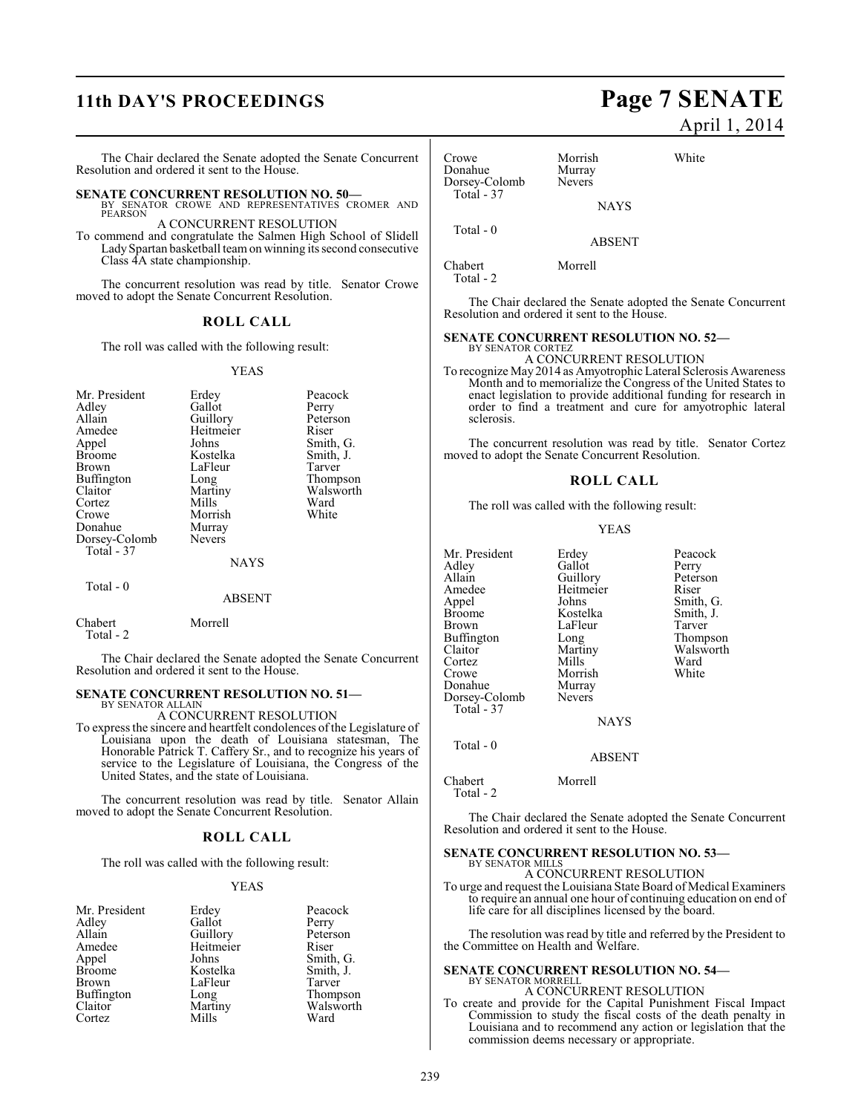## **11th DAY'S PROCEEDINGS Page 7 SENATE**

The Chair declared the Senate adopted the Senate Concurrent Resolution and ordered it sent to the House.

**SENATE CONCURRENT RESOLUTION NO. 50—**<br>BY SENATOR CROWE AND REPRESENTATIVES CROMER AND PEARSON

A CONCURRENT RESOLUTION

To commend and congratulate the Salmen High School of Slidell Lady Spartan basketball team on winning its second consecutive Class 4A state championship.

The concurrent resolution was read by title. Senator Crowe moved to adopt the Senate Concurrent Resolution.

#### **ROLL CALL**

The roll was called with the following result:

#### YEAS

| Mr. President<br>Adley<br>Allain<br>Amedee<br>Appel<br><b>Broome</b><br><b>Brown</b><br>Buffington<br>Claitor<br>Cortez<br>Crowe<br>Donahue<br>Dorsey-Colomb<br>Total - 37 | Erdey<br>Gallot<br>Guillory<br>Heitmeier<br>Johns<br>Kostelka<br>LaFleur<br>Long<br>Martiny<br>Mills<br>Morrish<br>Murray<br><b>Nevers</b><br><b>NAYS</b> | Peacock<br>Perry<br>Peterson<br>Riser<br>Smith, G.<br>Smith, J.<br>Tarver<br>Thompson<br>Walsworth<br>Ward<br>White |
|----------------------------------------------------------------------------------------------------------------------------------------------------------------------------|-----------------------------------------------------------------------------------------------------------------------------------------------------------|---------------------------------------------------------------------------------------------------------------------|
| $Total - 0$                                                                                                                                                                | <b>ABSENT</b>                                                                                                                                             |                                                                                                                     |

Chabert Morrell Total - 2

The Chair declared the Senate adopted the Senate Concurrent Resolution and ordered it sent to the House.

#### **SENATE CONCURRENT RESOLUTION NO. 51—** BY SENATOR ALLAIN

A CONCURRENT RESOLUTION

To express the sincere and heartfelt condolences ofthe Legislature of Louisiana upon the death of Louisiana statesman, The Honorable Patrick T. Caffery Sr., and to recognize his years of service to the Legislature of Louisiana, the Congress of the United States, and the state of Louisiana.

The concurrent resolution was read by title. Senator Allain moved to adopt the Senate Concurrent Resolution.

### **ROLL CALL**

The roll was called with the following result:

#### YEAS

| Mr. President     | Erdey     | Peacock   |
|-------------------|-----------|-----------|
| Adley             | Gallot    | Perry     |
| Allain            | Guillory  | Peterson  |
| Amedee            | Heitmeier | Riser     |
| Appel             | Johns     | Smith, G. |
| <b>Broome</b>     | Kostelka  | Smith, J. |
| Brown             | LaFleur   | Tarver    |
| <b>Buffington</b> | Long      | Thompson  |
| Claitor           | Martiny   | Walsworth |
| Cortez            | Mills     | Ward      |

## April 1, 2014 Crowe Morrish White<br>
Donahue Murray

Donahue Murray<br>Dorsey-Colomb Nevers Dorsey-Colomb Total - 37 Total - 0

NAYS

ABSENT

Chabert Morrell

Total - 2

The Chair declared the Senate adopted the Senate Concurrent Resolution and ordered it sent to the House.

#### **SENATE CONCURRENT RESOLUTION NO. 52—** BY SENATOR CORTEZ

A CONCURRENT RESOLUTION

To recognize May 2014 as Amyotrophic Lateral Sclerosis Awareness Month and to memorialize the Congress of the United States to enact legislation to provide additional funding for research in order to find a treatment and cure for amyotrophic lateral sclerosis.

The concurrent resolution was read by title. Senator Cortez moved to adopt the Senate Concurrent Resolution.

#### **ROLL CALL**

The roll was called with the following result:

#### YEAS

Mr. President Erdey Peacock<br>Adley Gallot Perry Adley Gallot Perry<br>Allain Guillory Peterson Allain Guillory Peters<br>
Amedee Heitmeier Riser Amedee Heitmeier<br>
Appel Johns Appel Johns Smith, G.<br>Broome Kostelka Smith, J. Broome Kostelka Smith,<br>Brown LaFleur Tarver Buffington Long<br>Claitor Martiny Cortez Mills Ward<br>Crowe Morrish White Donahue Murray<br>Dorsey-Colomb Nevers Dorsey-Colomb Total - 37 Total - 0

LaFleur Tarver<br>
Long Thompson Martiny Walsworth<br>
Mills Ward

**NAYS** 

ABSENT

Morrish<br>Murray

Chabert Morrell Total - 2

The Chair declared the Senate adopted the Senate Concurrent Resolution and ordered it sent to the House.

#### **SENATE CONCURRENT RESOLUTION NO. 53—** BY SENATOR MILLS

A CONCURRENT RESOLUTION

To urge and request the Louisiana State Board of Medical Examiners to require an annual one hour of continuing education on end of life care for all disciplines licensed by the board.

The resolution was read by title and referred by the President to the Committee on Health and Welfare.

## **SENATE CONCURRENT RESOLUTION NO. 54—** BY SENATOR MORRELL

A CONCURRENT RESOLUTION

To create and provide for the Capital Punishment Fiscal Impact Commission to study the fiscal costs of the death penalty in Louisiana and to recommend any action or legislation that the commission deems necessary or appropriate.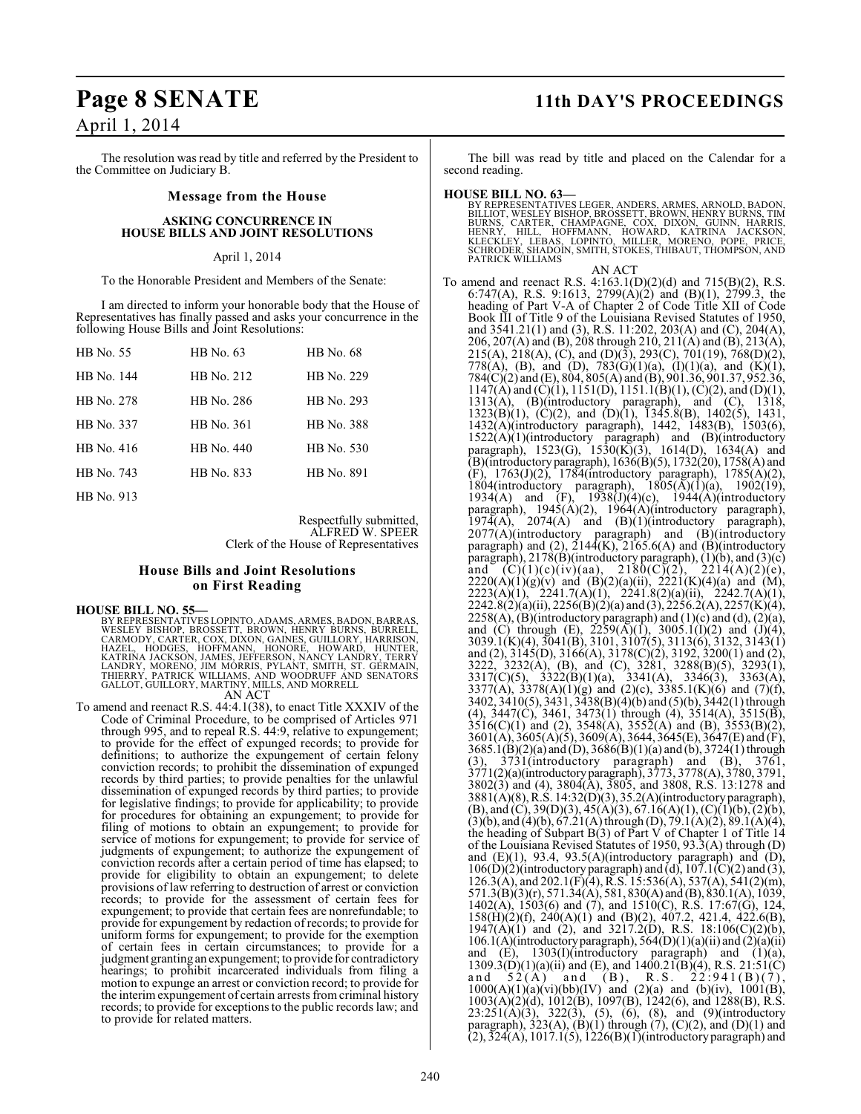# April 1, 2014

The resolution was read by title and referred by the President to the Committee on Judiciary B.

#### **Message from the House**

#### **ASKING CONCURRENCE IN HOUSE BILLS AND JOINT RESOLUTIONS**

#### April 1, 2014

To the Honorable President and Members of the Senate:

I am directed to inform your honorable body that the House of Representatives has finally passed and asks your concurrence in the following House Bills and Joint Resolutions:

| HB No. 55  | HB No. 63  | HB No. 68  |
|------------|------------|------------|
| HB No. 144 | HB No. 212 | HB No. 229 |
| HB No. 278 | HB No. 286 | HB No. 293 |
| HB No. 337 | HB No. 361 | HB No. 388 |
| HB No. 416 | HB No. 440 | HB No. 530 |
| HB No. 743 | HB No. 833 | HB No. 891 |
| HB No. 913 |            |            |

Respectfully submitted, ALFRED W. SPEER Clerk of the House of Representatives

#### **House Bills and Joint Resolutions on First Reading**

**HOUSE BILL NO. 55—**<br>BY REPRESENTATIVES LOPINTO, ADAMS, ARMES, BADON, BARRAS,<br>WESLEY BISHOP, BROSSETT, BROWN, HENRY BURNS, BURRELL,<br>CARMODY, CARTER, COX, DIXON, GAINES, GUILLORY, HARRISON,<br>HAZEL, HODGES, HOFFMANN, HONORE,

### AN ACT

To amend and reenact R.S. 44:4.1(38), to enact Title XXXIV of the Code of Criminal Procedure, to be comprised of Articles 971 through 995, and to repeal R.S. 44:9, relative to expungement; to provide for the effect of expunged records; to provide for definitions; to authorize the expungement of certain felony conviction records; to prohibit the dissemination of expunged records by third parties; to provide penalties for the unlawful dissemination of expunged records by third parties; to provide for legislative findings; to provide for applicability; to provide for procedures for obtaining an expungement; to provide for filing of motions to obtain an expungement; to provide for service of motions for expungement; to provide for service of judgments of expungement; to authorize the expungement of conviction records after a certain period of time has elapsed; to provide for eligibility to obtain an expungement; to delete provisions of law referring to destruction of arrest or conviction records; to provide for the assessment of certain fees for expungement; to provide that certain fees are nonrefundable; to provide for expungement by redaction of records; to provide for uniform forms for expungement; to provide for the exemption of certain fees in certain circumstances; to provide for a judgment granting an expungement; to provide for contradictory hearings; to prohibit incarcerated individuals from filing a motion to expunge an arrest or conviction record; to provide for the interim expungement of certain arrests from criminal history records; to provide for exceptionsto the public records law; and to provide for related matters.

### **Page 8 SENATE 11th DAY'S PROCEEDINGS**

The bill was read by title and placed on the Calendar for a second reading.

**HOUSE BILL NO. 63—**<br>BY REPRESENTATIVES LEGER, ANDERS, ARMES, ARNOLD, BADON,<br>BILLIOT, WESLEY BISHOP, BROSSETT, BROWN, HENRY BURNS, TIM<br>BURNS, CARTER, CHAMPAGNE, COX, DIXON, GUINN, HARRIS,<br>HENRY, HILL, HOFFMANN, HOWARD, KAT PATRICK WILLIAMS

AN ACT

To amend and reenact R.S. 4:163.1(D)(2)(d) and 715(B)(2), R.S. 6:747(A), R.S. 9:1613, 2799(A)(2) and (B)(1), 2799.3, the heading of Part V-A of Chapter 2 of Code Title XII of Code Book III of Title 9 of the Louisiana Revised Statutes of 1950, and 3541.21(1) and (3), R.S. 11:202, 203(A) and (C), 204(A), 206, 207(A) and (B), 208 through 210, 211(A) and (B), 213(A), 215(A), 218(A), (C), and (D)(3), 293(C), 701(19), 768(D)(2), 778(A), (B), and (D), 783(G)(1)(a), (I)(1)(a), and (K)(1), 784(C)(2) and (E), 804, 805(A) and (B), 901.36, 901.37, 952.36,  $1147(A)$  and  $(\dot{C})(1)$ ,  $1151(D)$ ,  $1151.1(B)(1)$ ,  $(\dot{C})(2)$ , and  $(D)(1)$ , 1313(A), (B)(introductory paragraph), and (C), 1318, 1323(B)(1), (C)(2), and (D)(1), 1345.8(B), 1402(5), 1431, 1432(A)(introductory paragraph), 1442, 1483(B), 1503(6),  $1522(A)(1)(introducing paragraph)$  and  $(B)(introducing$ paragraph), 1523(G), 1530(K)(3), 1614(D), 1634(A) and (B)(introductory paragraph), 1636(B)(5), 1732(20), 1758(A) and (F), 1763(J)(2), 1784(introductory paragraph), 1785(A)(2), 1804(introductory paragraph),  $1805(\overline{A})(1)(a)$ ,  $1902(19)$ , 1934(A) and  $(F)$ , 1938(J)(4)(c), 1944(A)(introductory paragraph), 1945(A)(2), 1964(A)(introductory paragraph),  $1974(A)$ ,  $2074(A)$  and  $(B)(1)(introductory$  paragraph), 2077(A)(introductory paragraph) and (B)(introductory paragraph) and (2),  $2144(K)$ ,  $2165.6(A)$  and  $(B)$ (introductory paragraph), 2178(B)(introductory paragraph), (1)(b), and (3)(c) and  $(C)(1)(c)(iv)(aa)$ ,  $2180(C)(2)$ ,  $2214(A)(2)(e)$ , pangraph), 2176(B)(introductory pangraph), (1)(b), and (5)(b)<br>and (C)(1)(c)(iv)(aa), 2180(C)(2), 2214(A)(2)(e),<br>2220(A)(1)(g)(v) and (B)(2)(a)(ii), 2221(K)(4)(a) and (M), 2223(A)(1), 2241.7(A)(1), 2241.8(2)(a)(ii), 2242.7(A)(1),  $2242.8(2)(a)(ii)$ ,  $2256(B)(2)(a)$  and  $(3)$ ,  $2256.2(A)$ ,  $2257(K)(4)$ ,  $2258(A)$ , (B)(introductory paragraph) and (1)(c) and (d), (2)(a), and (C) through (E),  $2259(A)(1)$ ,  $3005.1(1)(2)$  and  $(1)(4)$ , 3039.1(K)(4), 3041(B), 3101, 3107(5), 3113(6), 3132, 3143(1) and (2), 3145(D), 3166(A), 3178(C)(2), 3192, 3200(1) and (2), 3222, 3232(A), (B), and (C), 3281, 3288(B)(5), 3293(1), 3317(C)(5), 3322(B)(1)(a), 3341(A), 3346(3), 3363(A), 3377(A), 3378(A)(1)(g) and (2)(c), 3385.1(K)(6) and (7)(f), 3402, 3410(5), 3431, 3438(B)(4)(b) and (5)(b), 3442(1) through (4), 3447(C), 3461, 3473(1) through (4), 3514(A), 3515(B),  $3516(C)(1)$  and (2),  $3548(A)$ ,  $3552(A)$  and (B),  $3553(B)(2)$ , 3601(A), 3605(A)(5), 3609(A), 3644, 3645(E), 3647(E) and (F),  $3685.1(\hat{B})(2)(a)$  and  $(\hat{D})$ ,  $3686(\hat{B})(1)(a)$  and  $(\hat{b})$ ,  $3724(1)$  through (3), 3731(introductory paragraph) and (B), 3761, 3771(2)(a)(introductory paragraph), 3773, 3778(A), 3780, 3791, 3802(3) and (4), 3804(A), 3805, and 3808, R.S. 13:1278 and 3881(A)(8), R.S. 14:32(D)(3), 35.2(A)(introductory paragraph),  $(B)$ , and  $(C)$ , 39 $(D)(3)$ , 45 $(A)(3)$ , 67.16 $(A)(1)$ ,  $(C)(1)(b)$ ,  $(2)(b)$ ,  $(3)(b)$ , and  $(4)(b)$ ,  $67.21(A)$  through  $(D)$ ,  $79.1(A)(2)$ ,  $89.1(A)(4)$ , the heading of Subpart B(3) of Part V of Chapter 1 of Title 14 of the Louisiana Revised Statutes of 1950, 93.3(A) through (D) and  $(E)(1)$ , 93.4, 93.5(A)(introductory paragraph) and  $(D)$ ,  $106(D)(2)$ (introductory paragraph) and (d),  $107.1(C)(2)$  and (3), 126.3(A), and 202.1(F)(4), R.S. 15:536(A), 537(A), 541(2)(m), 571.3(B)(3)(r), 571.34(A), 581, 830(A) and (B), 830.1(A), 1039,  $1402(A)$ ,  $1503(6)$  and  $(7)$ , and  $1510(C)$ , R.S.  $17:67(G)$ ,  $124$ ,  $158(\text{H})(2)(\text{f})$ ,  $240(\text{A})(1)$  and  $(\text{B})(2)$ ,  $407.2$ ,  $421.4$ ,  $422.6(\text{B})$ ,  $1947(\text{A})(1)$  and (2), and  $3217.2(\text{D})$ , R.S.  $18:106(\text{C})(2)(\text{b})$ , 106.1(A)(introductory paragraph),  $564(D)(1)(a)(ii)$  and  $(2)(a)(ii)$ and  $(E)$ , 1303(I)(introductory paragraph) and  $(1)(a)$ ,  $\frac{1309.3(D)}{1309.3(D)}$ (1)(a)(ii) and (E), and 1400.21(B)(4), R.S. 21:51(C) and 52(A) and (B), R.S. 22:941(B)(7), and  $52(A)$  and  $(B)$ , R.S.  $22:941(B)(7)$ ,  $1000(A)(1)(a)(vi)(bb)(IV)$  and  $(2)(a)$  and  $(b)(iv)$ ,  $1001(B)$ , 1003(A)(2)(d), 1012(B), 1097(B), 1242(6), and 1288(B), R.S.  $23:251(A)(3)$ ,  $322(3)$ ,  $(5)$ ,  $(6)$ ,  $(8)$ , and  $(9)$ (introductory paragraph),  $323(A)$ ,  $(B)(1)$  through  $(7)$ ,  $(C)(2)$ , and  $(D)(1)$  and  $(2), 324(A), 1017.1(5), 1226(B)(1)$ (introductory paragraph) and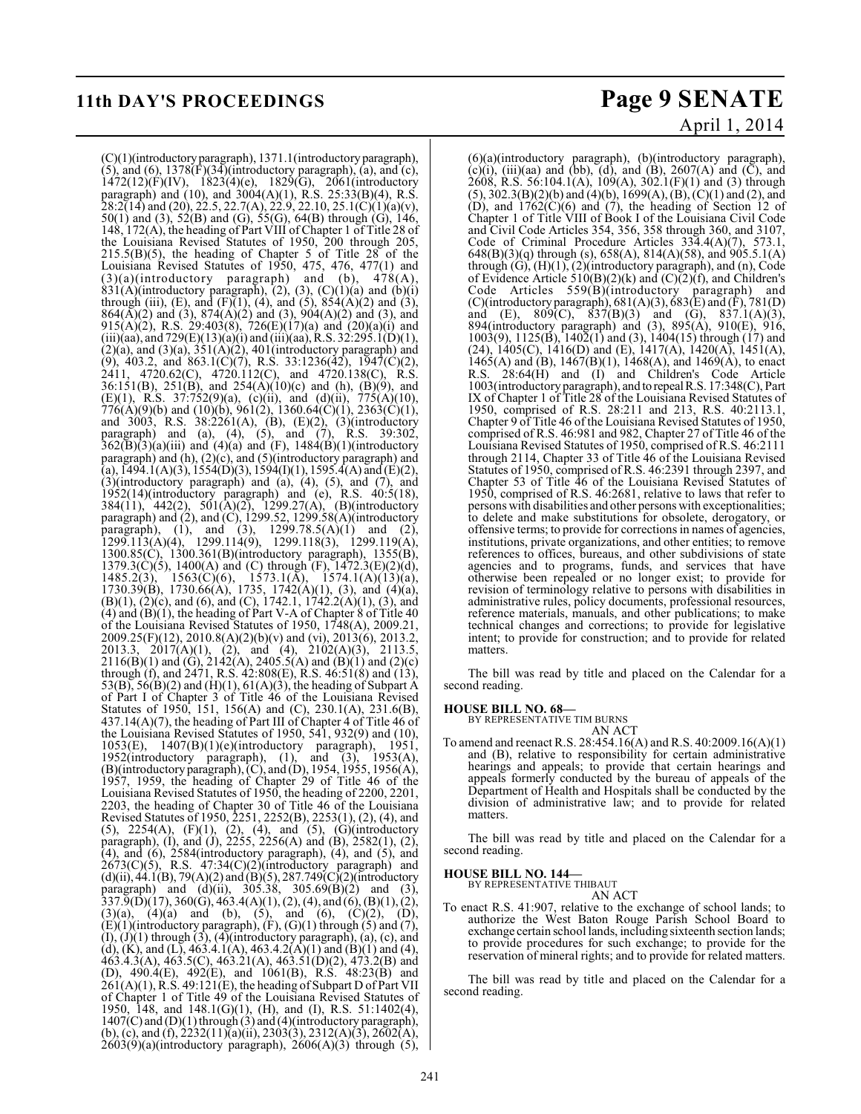## **11th DAY'S PROCEEDINGS Page 9 SENATE**

(C)(1)(introductory paragraph), 1371.1(introductory paragraph),  $(5)$ , and  $(6)$ , 1378 $(F)(34)$ (introductory paragraph),  $(a)$ , and  $(c)$ ,  $1472(12)(F)(IV)$ ,  $1823(4)(e)$ ,  $1829(G)$ ,  $2061(introductor)$ paragraph) and (10), and 3004(A)(1), R.S. 25:33(B)(4), R.S.  $28:2(14)$  and (20), 22.5, 22.7(A), 22.9, 22.10, 25.1(C)(1)(a)(v), 50(1) and (3),  $52(B)$  and (G),  $55(G)$ ,  $64(B)$  through (G),  $146$ , 148, 172(A), the heading of Part VIII of Chapter 1 of Title 28 of the Louisiana Revised Statutes of 1950, 200 through 205,  $215.5(B)(5)$ , the heading of Chapter 5 of Title 28 of the Louisiana Revised Statutes of 1950, 475, 476, 477(1) and  $(3)(a)$ (introductory paragraph) and (b),  $478(A)$ ,  $831(A)$ (introductory paragraph), (2), (3), (C)(1)(a) and (b)(i) through (iii), (E), and (F)(1), (4), and (5),  $854(A)(2)$  and (3),  $864(\overline{A})(2)$  and (3),  $874(\overline{A})(2)$  and (3),  $904(\overline{A})(2)$  and (3), and 915(A)(2), R.S. 29:403(8), 726(E)(17)(a) and (20)(a)(i) and (iii)(aa), and 729(E)(13)(a)(i) and (iii)(aa), R.S. 32:295.1(D)(1),  $(2)(a)$ , and  $(3)(a)$ ,  $351(A)(2)$ ,  $401($ introductory paragraph) and (9), 403.2, and 863.1(C)(7), R.S. 33:1236(42), 1947(C)(2), 2411, 4720.62(C), 4720.112(C), and 4720.138(C), R.S. 36:151(B), 251(B), and 254(A)(10)(c) and (h), (B)(9), and (E)(1), R.S. 37:752(9)(a), (c)(ii), and (d)(ii), 775(A)(10),  $776(A)(9)(b)$  and  $(10)(b)$ ,  $961(2)$ ,  $1360.64(C)(1)$ ,  $2363(C)(1)$ , and 3003, R.S. 38:2261(A), (B), (E)(2), (3)(introductory paragraph) and (a), (4), (5), and (7), R.S. 39:302,  $362(\overline{B})(3)(a)(iii)$  and  $(4)(a)$  and  $(F)$ ,  $1484(\overline{B})(1)(introductory)$ paragraph) and (h), (2)(c), and (5)(introductory paragraph) and (a),  $\overline{1}49\overline{4}.\overline{1}(A)(3), 155\overline{4}(D)(3), 159\overline{4}(I)(1), 1595.\overline{4}(A)$  and  $\overline{(E)}(2),$  $(3)$ (introductory paragraph) and  $(a)$ ,  $(4)$ ,  $(5)$ , and  $(7)$ , and 1952(14)(introductory paragraph) and (e), R.S. 40:5(18), 384(11), 442(2), 501(A)(2), 1299.27(A), (B)(introductory paragraph) and (2), and (C), 1299.52, 1299.58(A)(introductory paragraph), (1), and (3),  $1299.78.5(A)(1)$  and (2), 1299.113(A)(4), 1299.114(9), 1299.118(3), 1299.119(A), 1300.85(C), 1300.361(B)(introductory paragraph), 1355(B), 1379.3(C)(5), 1400(A) and (C) through  $(F)$ , 1472.3(E)(2)(d), 1485.2(3), 1563(C)(6), 1573.1(A), 1574.1(A)(13)(a),  $1730.39(B)$ ,  $1730.66(A)$ ,  $1735$ ,  $1742(A)(1)$ ,  $(3)$ , and  $(4)(a)$ ,  $(B)(1)$ ,  $(2)(c)$ , and  $(6)$ , and  $(C)$ , 1742.1, 1742.2(A)(1), (3), and (4) and  $(B)(1)$ , the heading of Part V-A of Chapter 8 of Title 40 of the Louisiana Revised Statutes of 1950,  $1748(A)$ , 2009.21, 2009.25(F)(12), 2010.8(A)(2)(b)(v) and (vi), 2013(6), 2013.2, 2013.3, 2017(A)(1), (2), and (4), 2102(A)(3), 2113.5,  $2116(B)(1)$  and  $(G)$ ,  $2142(A)$ ,  $2405.5(A)$  and  $(B)(1)$  and  $(2)(c)$ through (f), and 2471, R.S. 42:808(E), R.S. 46:51(8) and (13), 53(B), 56(B)(2) and (H)(1), 61(A)(3), the heading of Subpart A of Part I of Chapter 3 of Title 46 of the Louisiana Revised Statutes of 1950, 151, 156(A) and (C), 230.1(A), 231.6(B), 437.14(A)(7), the heading of Part III of Chapter 4 of Title 46 of the Louisiana Revised Statutes of 1950, 541, 932(9) and (10), 1053(E), 1407(B)(1)(e)(introductory paragraph), 1951, 1952(introductory paragraph), (1), and (3), 1953(A), (B)(introductory paragraph), (C), and (D), 1954, 1955, 1956(A), 1957, 1959, the heading of Chapter 29 of Title 46 of the Louisiana Revised Statutes of 1950, the heading of 2200, 2201, 2203, the heading of Chapter 30 of Title 46 of the Louisiana Revised Statutes of 1950, 2251, 2252(B), 2253(1), (2), (4), and (5), 2254(A), (F)(1), (2), (4), and (5), (G)(introductory paragraph), (I), and (J), 2255, 2256(A) and (B), 2582(1), (2), (4), and (6), 2584(introductory paragraph), (4), and (5), and  $2673(C)(5)$ , R.S.  $47:34(C)(2)$ (introductory paragraph) and  $(d)(ii)$ , 44.1(B), 79(A)(2) and (B)(5), 287.749(C)(2)(introductory paragraph) and  $(d)(ii)$ , 305.38, 305.69 $(B)(2)$  and (3),  $337.9(D)(17)$ ,  $360(G)$ ,  $463.4(A)(1)$ ,  $(2)$ ,  $(4)$ , and  $(6)$ ,  $(B)(1)$ ,  $(2)$ ,  $(3)(a)$ ,  $(4)(a)$  and  $(b)$ ,  $(5)$ , and  $(6)$ ,  $(C)(2)$ ,  $(D)$ ,  $(E)(1)$ (introductory paragraph),  $(F)$ ,  $(G)(1)$  through  $(5)$  and  $(7)$ ,  $(I), (J)(1)$  through  $(3), (4)$ (introductory paragraph),  $(a), (c),$  and (d), (K), and (L), 463.4.1(A), 463.4.2(A)(1) and (B)(1) and (4), 463.4.3(A), 463.5(C), 463.21(A), 463.51(D)(2), 473.2(B) and (D), 490.4(E), 492(E), and 1061(B), R.S. 48:23(B) and  $261(A)(1)$ , R.S. 49:121(E), the heading of Subpart D of Part VII of Chapter 1 of Title 49 of the Louisiana Revised Statutes of 1950, 148, and 148.1(G)(1), (H), and (I), R.S. 51:1402(4), 1950, 148, and 148.1(G)(1), (H), and (I), R.S. 51:1402(4), 1407(C) and (D)(1) through (3) and (4)(introductory paragraph), (b), (c), and (f), 2232(11)(a)(ii), 2303(3), 2312(A)(3), 2602(A),  $2603(9)(a)$ (introductory paragraph),  $2606(A)(3)$  through (5),

# April 1, 2014

(6)(a)(introductory paragraph), (b)(introductory paragraph), (c)(i), (iii)(aa) and (bb), (d), and (B), 2607(A) and (C), and 2608, R.S. 56:104.1(A), 109(A), 302.1(F)(1) and (3) through (5), 302.3(B)(2)(b) and (4)(b), 1699(A), (B), (C)(1) and (2), and  $(D)$ , and  $1762(C)(6)$  and  $(7)$ , the heading of Section 12 of Chapter 1 of Title VIII of Book I of the Louisiana Civil Code and Civil Code Articles 354, 356, 358 through 360, and 3107, Code of Criminal Procedure Articles 334.4(A)(7), 573.1, 648(B)(3)(q) through (s), 658(A), 814(A)(58), and  $905.5.1(A)$ through  $(G)$ ,  $(H)(1)$ ,  $(2)$ (introductory paragraph), and  $(n)$ , Code of Evidence Article 510(B)(2)(k) and  $(C)$ (2)(f), and Children's Code Articles 559(B)(introductory paragraph) and (C)(introductory paragraph),  $681(A)(3)$ ,  $683(E)$  and (F),  $781(D)$ and (E),  $809(C)$ ,  $837(B)(3)$  and (G),  $837.1(A)(3)$ , 894(introductory paragraph) and (3), 895(A), 910(E), 916, 1003(9), 1125(B), 1402(1) and (3), 1404(15) through (17) and (24), 1405(C), 1416(D) and (E), 1417(A), 1420(A), 1451(A), 1465(A) and (B),  $1467(B)(1)$ ,  $1468(A)$ , and  $1469(A)$ , to enact R.S. 28:64(H) and (I) and Children's Code Article 1003(introductory paragraph), and to repeal R.S. 17:348(C), Part IX of Chapter 1 of Title 28 of the Louisiana Revised Statutes of 1950, comprised of R.S. 28:211 and 213, R.S. 40:2113.1, Chapter 9 of Title 46 of the Louisiana Revised Statutes of 1950, comprised of R.S. 46:981 and 982, Chapter 27 of Title 46 of the Louisiana Revised Statutes of 1950, comprised of R.S. 46:2111 through 2114, Chapter 33 of Title 46 of the Louisiana Revised Statutes of 1950, comprised of R.S. 46:2391 through 2397, and Chapter 53 of Title 46 of the Louisiana Revised Statutes of 1950, comprised of R.S. 46:2681, relative to laws that refer to persons with disabilities and other persons with exceptionalities; to delete and make substitutions for obsolete, derogatory, or offensive terms; to provide for corrections in names of agencies, institutions, private organizations, and other entities; to remove references to offices, bureaus, and other subdivisions of state agencies and to programs, funds, and services that have otherwise been repealed or no longer exist; to provide for revision of terminology relative to persons with disabilities in administrative rules, policy documents, professional resources, reference materials, manuals, and other publications; to make technical changes and corrections; to provide for legislative intent; to provide for construction; and to provide for related matters.

The bill was read by title and placed on the Calendar for a second reading.

#### **HOUSE BILL NO. 68—**

BY REPRESENTATIVE TIM BURNS AN ACT

To amend and reenact R.S. 28:454.16(A) and R.S. 40:2009.16(A)(1) and (B), relative to responsibility for certain administrative hearings and appeals; to provide that certain hearings and appeals formerly conducted by the bureau of appeals of the Department of Health and Hospitals shall be conducted by the division of administrative law; and to provide for related matters.

The bill was read by title and placed on the Calendar for a second reading.

### **HOUSE BILL NO. 144—** BY REPRESENTATIVE THIBAUT

AN ACT

To enact R.S. 41:907, relative to the exchange of school lands; to authorize the West Baton Rouge Parish School Board to exchange certain school lands, including sixteenth section lands; to provide procedures for such exchange; to provide for the reservation of mineral rights; and to provide for related matters.

The bill was read by title and placed on the Calendar for a second reading.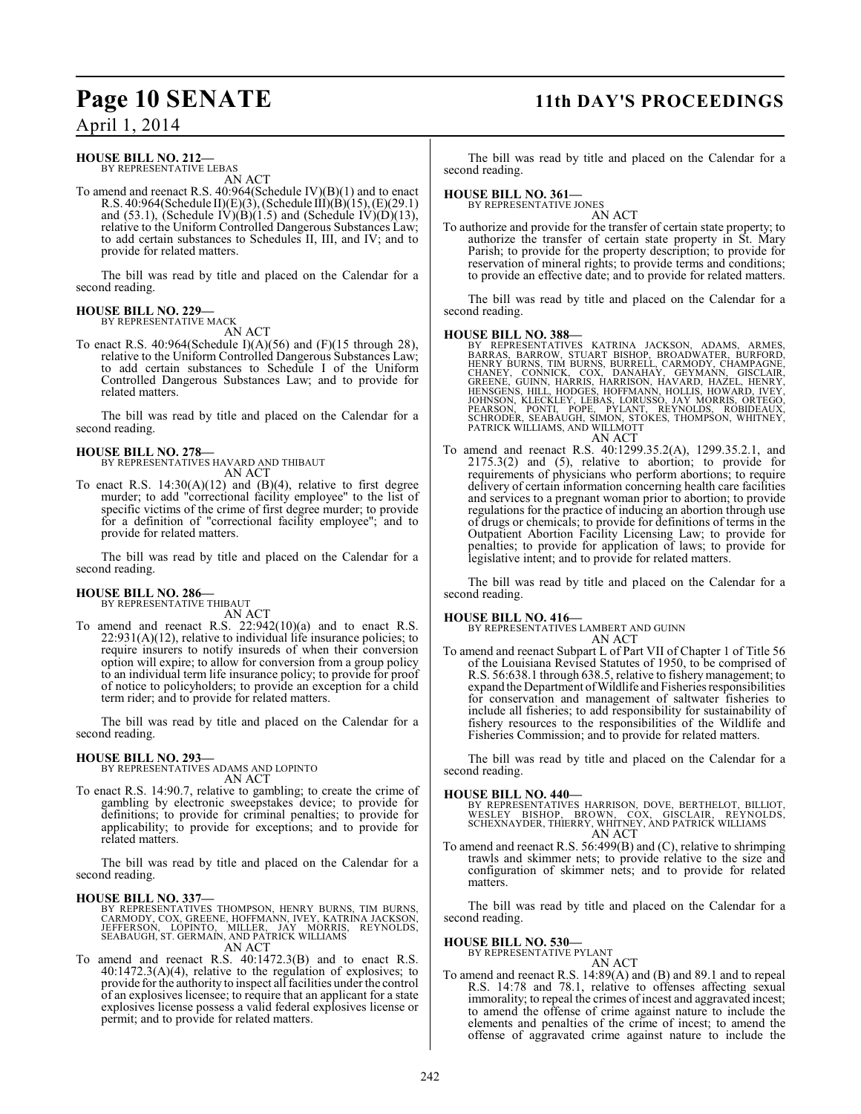## **Page 10 SENATE 11th DAY'S PROCEEDINGS**

April 1, 2014

#### **HOUSE BILL NO. 212—** BY REPRESENTATIVE LEBAS

AN ACT

To amend and reenact R.S. 40:964(Schedule IV)(B)(1) and to enact R.S. 40:964(Schedule II)(E)(3), (Schedule III)(B)(15), (E)(29.1) and (53.1), (Schedule IV)(B)(1.5) and (Schedule IV)(D)(13), relative to the Uniform Controlled Dangerous Substances Law; to add certain substances to Schedules II, III, and IV; and to provide for related matters.

The bill was read by title and placed on the Calendar for a second reading.

#### **HOUSE BILL NO. 229—** BY REPRESENTATIVE MACK

AN ACT

To enact R.S. 40:964(Schedule I)(A)(56) and (F)(15 through 28), relative to the Uniform Controlled Dangerous Substances Law; to add certain substances to Schedule I of the Uniform Controlled Dangerous Substances Law; and to provide for related matters.

The bill was read by title and placed on the Calendar for a second reading.

#### **HOUSE BILL NO. 278—**

BY REPRESENTATIVES HAVARD AND THIBAUT AN ACT

To enact R.S.  $14:30(A)(12)$  and  $(B)(4)$ , relative to first degree murder; to add "correctional facility employee" to the list of specific victims of the crime of first degree murder; to provide for a definition of "correctional facility employee"; and to provide for related matters.

The bill was read by title and placed on the Calendar for a second reading.

#### **HOUSE BILL NO. 286—** BY REPRESENTATIVE THIBAUT

AN ACT To amend and reenact R.S. 22:942(10)(a) and to enact R.S.  $22:931(A)(12)$ , relative to individual life insurance policies; to require insurers to notify insureds of when their conversion option will expire; to allow for conversion from a group policy to an individual term life insurance policy; to provide for proof of notice to policyholders; to provide an exception for a child term rider; and to provide for related matters.

The bill was read by title and placed on the Calendar for a second reading.

#### **HOUSE BILL NO. 293—**

BY REPRESENTATIVES ADAMS AND LOPINTO AN ACT

To enact R.S. 14:90.7, relative to gambling; to create the crime of gambling by electronic sweepstakes device; to provide for definitions; to provide for criminal penalties; to provide for applicability; to provide for exceptions; and to provide for related matters.

The bill was read by title and placed on the Calendar for a second reading.

#### **HOUSE BILL NO. 337—**

BY REPRESENTATIVES THOMPSON, HENRY BURNS, TIM BURNS,<br>CARMODY, COX, GREENE, HOFFMANN, IVEY, KATRINA JACKSON,<br>JEFFERSON, LOPINTO, MILLER, JAY MORRIS<br>SEABAUGH, ST. GERMAIN, AND PATRICK WILLIAMS AN ACT

To amend and reenact R.S. 40:1472.3(B) and to enact R.S. 40:1472.3(A)(4), relative to the regulation of explosives; to provide for the authority to inspect all facilities under the control of an explosives licensee; to require that an applicant for a state explosives license possess a valid federal explosives license or permit; and to provide for related matters.

The bill was read by title and placed on the Calendar for a second reading.

### **HOUSE BILL NO. 361—** BY REPRESENTATIVE JONES

AN ACT To authorize and provide for the transfer of certain state property; to authorize the transfer of certain state property in St. Mary Parish; to provide for the property description; to provide for reservation of mineral rights; to provide terms and conditions; to provide an effective date; and to provide for related matters.

The bill was read by title and placed on the Calendar for a second reading.

**HOUSE BILL NO. 388—**<br>BY REPRESENTATIVES KATRINA JACKSON, ADAMS, ARMES, BARRAS, BARROW, STUART BISHOP, BROADWATER, BURFORD, HENRY BURNS, TIM BURNS, BURRELL, CARMODY, CHAMPAGNE, CHANEY, CONNICK, COX, DANAHAY, GEYMANN, GISCL

To amend and reenact R.S. 40:1299.35.2(A), 1299.35.2.1, and 2175.3(2) and (5), relative to abortion; to provide for requirements of physicians who perform abortions; to require delivery of certain information concerning health care facilities and services to a pregnant woman prior to abortion; to provide regulations for the practice of inducing an abortion through use of drugs or chemicals; to provide for definitions of terms in the Outpatient Abortion Facility Licensing Law; to provide for penalties; to provide for application of laws; to provide for legislative intent; and to provide for related matters.

The bill was read by title and placed on the Calendar for a second reading.

### **HOUSE BILL NO. 416—**

BY REPRESENTATIVES LAMBERT AND GUINN AN ACT

To amend and reenact Subpart L of Part VII of Chapter 1 of Title 56 of the Louisiana Revised Statutes of 1950, to be comprised of R.S. 56:638.1 through 638.5, relative to fishery management; to expand the Department of Wildlife and Fisheries responsibilities for conservation and management of saltwater fisheries to include all fisheries; to add responsibility for sustainability of fishery resources to the responsibilities of the Wildlife and Fisheries Commission; and to provide for related matters.

The bill was read by title and placed on the Calendar for a second reading.

#### **HOUSE BILL NO. 440—**

BY REPRESENTATIVES HARRISON, DOVE, BERTHELOT, BILLIOT,<br>WESLEY BISHOP, BROWN, COX, GISCLAIR, REYNOLDS,<br>SCHEXNAYDER,THIERRY, WHITNEY, AND PATRICK WILLIAMS AN ACT

To amend and reenact R.S. 56:499(B) and (C), relative to shrimping trawls and skimmer nets; to provide relative to the size and configuration of skimmer nets; and to provide for related matters.

The bill was read by title and placed on the Calendar for a second reading.

## **HOUSE BILL NO. 530—** BY REPRESENTATIVE PYLANT

AN ACT To amend and reenact R.S. 14:89(A) and (B) and 89.1 and to repeal R.S. 14:78 and 78.1, relative to offenses affecting sexual immorality; to repeal the crimes of incest and aggravated incest; to amend the offense of crime against nature to include the elements and penalties of the crime of incest; to amend the offense of aggravated crime against nature to include the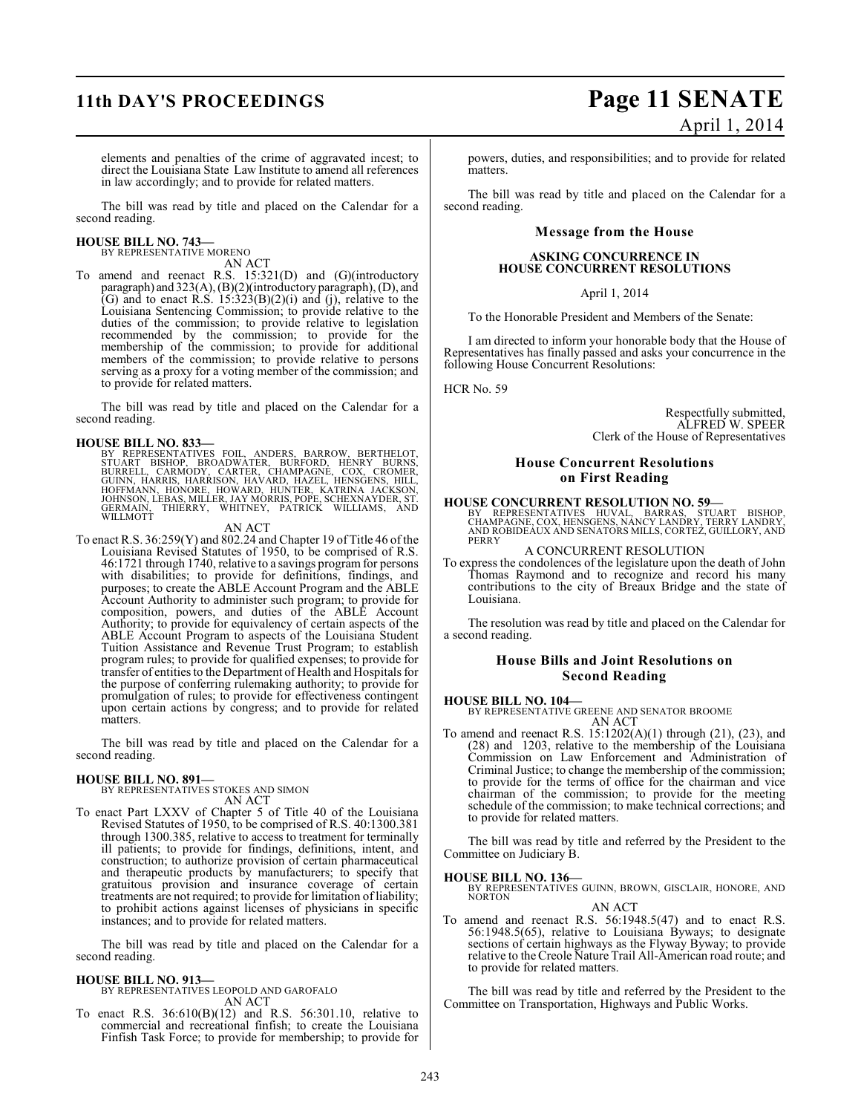#### elements and penalties of the crime of aggravated incest; to direct the Louisiana State Law Institute to amend all references in law accordingly; and to provide for related matters.

The bill was read by title and placed on the Calendar for a second reading.

#### **HOUSE BILL NO. 743—**

BY REPRESENTATIVE MORENO AN ACT

To amend and reenact R.S. 15:321(D) and (G)(introductory paragraph) and 323(A), (B)(2)(introductory paragraph), (D), and (G) and to enact R.S.  $15:323(B)(2)(i)$  and (j), relative to the Louisiana Sentencing Commission; to provide relative to the duties of the commission; to provide relative to legislation recommended by the commission; to provide for the membership of the commission; to provide for additional members of the commission; to provide relative to persons serving as a proxy for a voting member of the commission; and to provide for related matters.

The bill was read by title and placed on the Calendar for a second reading.

**HOUSE BILL NO. 833—**<br>BY REPRESENTATIVES FOIL, ANDERS, BARROW, BERTHELOT,<br>STUART BISHOP, BROADWATER, BURFORD, HENRY BURNS,<br>BURRELL, CARMODY, CARTER, CHAMPAGNE, COX, CROMER,<br>GUINN, HARRIS, HARRISON, HAVARD, HAZEL, HENSGENS,

#### AN ACT

To enact R.S. 36:259(Y) and 802.24 and Chapter 19 of Title 46 of the Louisiana Revised Statutes of 1950, to be comprised of R.S. 46:1721 through 1740, relative to a savings program for persons with disabilities; to provide for definitions, findings, and purposes; to create the ABLE Account Program and the ABLE Account Authority to administer such program; to provide for composition, powers, and duties of the ABLE Account Authority; to provide for equivalency of certain aspects of the ABLE Account Program to aspects of the Louisiana Student Tuition Assistance and Revenue Trust Program; to establish program rules; to provide for qualified expenses; to provide for transfer of entities to the Department of Health and Hospitals for the purpose of conferring rulemaking authority; to provide for promulgation of rules; to provide for effectiveness contingent upon certain actions by congress; and to provide for related matters.

The bill was read by title and placed on the Calendar for a second reading.

**HOUSE BILL NO. 891—** BY REPRESENTATIVES STOKES AND SIMON

AN ACT To enact Part LXXV of Chapter 5 of Title 40 of the Louisiana Revised Statutes of 1950, to be comprised of R.S. 40:1300.381 through 1300.385, relative to access to treatment for terminally ill patients; to provide for findings, definitions, intent, and construction; to authorize provision of certain pharmaceutical and therapeutic products by manufacturers; to specify that gratuitous provision and insurance coverage of certain treatments are not required; to provide for limitation of liability; to prohibit actions against licenses of physicians in specific instances; and to provide for related matters.

The bill was read by title and placed on the Calendar for a second reading.

#### **HOUSE BILL NO. 913—**

BY REPRESENTATIVES LEOPOLD AND GAROFALO AN ACT

To enact R.S. 36:610(B)(12) and R.S. 56:301.10, relative to commercial and recreational finfish; to create the Louisiana Finfish Task Force; to provide for membership; to provide for

## **11th DAY'S PROCEEDINGS Page 11 SENATE** April 1, 2014

powers, duties, and responsibilities; and to provide for related matters.

The bill was read by title and placed on the Calendar for a second reading.

#### **Message from the House**

#### **ASKING CONCURRENCE IN HOUSE CONCURRENT RESOLUTIONS**

April 1, 2014

To the Honorable President and Members of the Senate:

I am directed to inform your honorable body that the House of Representatives has finally passed and asks your concurrence in the following House Concurrent Resolutions:

HCR No. 59

Respectfully submitted, ALFRED W. SPEER Clerk of the House of Representatives

#### **House Concurrent Resolutions on First Reading**

**HOUSE CONCURRENT RESOLUTION NO. 59—**

BY REPRESENTATIVES HUVAL, BARRAS, STUART BISHOP,<br>CHAMPAGNE, COX, HENSGENS, NANCY LANDRY, TERRY LANDRY,<br>AND ROBIDEAUX AND SENATORS MILLS, CORTEZ, GUILLORY, AND<br>PERRY

A CONCURRENT RESOLUTION

To express the condolences of the legislature upon the death of John Thomas Raymond and to recognize and record his many contributions to the city of Breaux Bridge and the state of Louisiana.

The resolution was read by title and placed on the Calendar for a second reading.

#### **House Bills and Joint Resolutions on Second Reading**

#### **HOUSE BILL NO. 104—**

BY REPRESENTATIVE GREENE AND SENATOR BROOME AN ACT

To amend and reenact R.S. 15:1202(A)(1) through (21), (23), and (28) and 1203, relative to the membership of the Louisiana Commission on Law Enforcement and Administration of Criminal Justice; to change the membership of the commission; to provide for the terms of office for the chairman and vice chairman of the commission; to provide for the meeting schedule of the commission; to make technical corrections; and to provide for related matters.

The bill was read by title and referred by the President to the Committee on Judiciary B.

**HOUSE BILL NO. 136—** BY REPRESENTATIVES GUINN, BROWN, GISCLAIR, HONORE, AND **NORTON** 

AN ACT

To amend and reenact R.S. 56:1948.5(47) and to enact R.S. 56:1948.5(65), relative to Louisiana Byways; to designate sections of certain highways as the Flyway Byway; to provide relative to the Creole Nature Trail All-American road route; and to provide for related matters.

The bill was read by title and referred by the President to the Committee on Transportation, Highways and Public Works.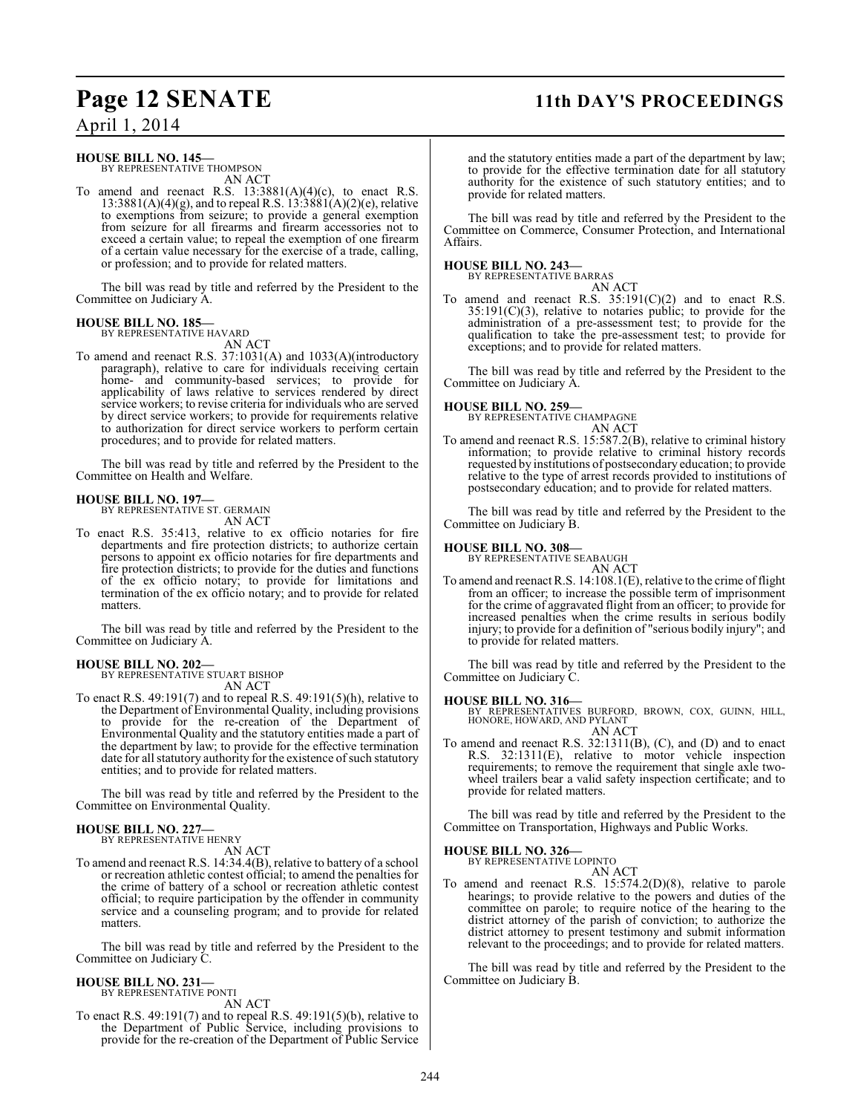### **Page 12 SENATE 11th DAY'S PROCEEDINGS**

April 1, 2014

#### **HOUSE BILL NO. 145—**

BY REPRESENTATIVE THOMPSON AN ACT

To amend and reenact R.S.  $13:3881(A)(4)(c)$ , to enact R.S.  $13:3881(A)(4)(g)$ , and to repeal R.S.  $13:3881(A)(2)(e)$ , relative to exemptions from seizure; to provide a general exemption from seizure for all firearms and firearm accessories not to exceed a certain value; to repeal the exemption of one firearm of a certain value necessary for the exercise of a trade, calling, or profession; and to provide for related matters.

The bill was read by title and referred by the President to the Committee on Judiciary A.

#### **HOUSE BILL NO. 185—** BY REPRESENTATIVE HAVARD

AN ACT

To amend and reenact R.S. 37:1031(A) and 1033(A)(introductory paragraph), relative to care for individuals receiving certain home- and community-based services; to provide for applicability of laws relative to services rendered by direct service workers; to revise criteria for individuals who are served by direct service workers; to provide for requirements relative to authorization for direct service workers to perform certain procedures; and to provide for related matters.

The bill was read by title and referred by the President to the Committee on Health and Welfare.

#### **HOUSE BILL NO. 197—** BY REPRESENTATIVE ST. GERMAIN

AN ACT

To enact R.S. 35:413, relative to ex officio notaries for fire departments and fire protection districts; to authorize certain persons to appoint ex officio notaries for fire departments and fire protection districts; to provide for the duties and functions of the ex officio notary; to provide for limitations and termination of the ex officio notary; and to provide for related matters.

The bill was read by title and referred by the President to the Committee on Judiciary A.

#### **HOUSE BILL NO. 202—**

BY REPRESENTATIVE STUART BISHOP AN ACT

To enact R.S. 49:191(7) and to repeal R.S. 49:191(5)(h), relative to the Department of Environmental Quality, including provisions to provide for the re-creation of the Department of Environmental Quality and the statutory entities made a part of the department by law; to provide for the effective termination date for all statutory authority for the existence of such statutory entities; and to provide for related matters.

The bill was read by title and referred by the President to the Committee on Environmental Quality.

## **HOUSE BILL NO. 227—** BY REPRESENTATIVE HENRY

AN ACT

To amend and reenact R.S. 14:34.4(B), relative to battery of a school or recreation athletic contest official; to amend the penalties for the crime of battery of a school or recreation athletic contest official; to require participation by the offender in community service and a counseling program; and to provide for related matters.

The bill was read by title and referred by the President to the Committee on Judiciary C.

#### **HOUSE BILL NO. 231—** BY REPRESENTATIVE PONTI

AN ACT

To enact R.S. 49:191(7) and to repeal R.S. 49:191(5)(b), relative to the Department of Public Service, including provisions to provide for the re-creation of the Department of Public Service and the statutory entities made a part of the department by law; to provide for the effective termination date for all statutory authority for the existence of such statutory entities; and to provide for related matters.

The bill was read by title and referred by the President to the Committee on Commerce, Consumer Protection, and International Affairs.

#### **HOUSE BILL NO. 243—**



To amend and reenact R.S.  $35:191(C)(2)$  and to enact R.S.  $35:191(C)(3)$ , relative to notaries public; to provide for the administration of a pre-assessment test; to provide for the qualification to take the pre-assessment test; to provide for exceptions; and to provide for related matters.

The bill was read by title and referred by the President to the Committee on Judiciary A.

#### **HOUSE BILL NO. 259—**



To amend and reenact R.S. 15:587.2(B), relative to criminal history information; to provide relative to criminal history records requested by institutions of postsecondary education; to provide relative to the type of arrest records provided to institutions of postsecondary education; and to provide for related matters.

The bill was read by title and referred by the President to the Committee on Judiciary B.

## **HOUSE BILL NO. 308—** BY REPRESENTATIVE SEABAUGH

AN ACT

To amend and reenact R.S. 14:108.1(E), relative to the crime of flight from an officer; to increase the possible term of imprisonment for the crime of aggravated flight from an officer; to provide for increased penalties when the crime results in serious bodily injury; to provide for a definition of "serious bodily injury"; and to provide for related matters.

The bill was read by title and referred by the President to the Committee on Judiciary C.

**HOUSE BILL NO. 316—** BY REPRESENTATIVES BURFORD, BROWN, COX, GUINN, HILL, HONORE, HOWARD, AND PYLANT AN ACT

To amend and reenact R.S. 32:1311(B), (C), and (D) and to enact R.S. 32:1311(E), relative to motor vehicle inspection requirements; to remove the requirement that single axle twowheel trailers bear a valid safety inspection certificate; and to provide for related matters.

The bill was read by title and referred by the President to the Committee on Transportation, Highways and Public Works.

### **HOUSE BILL NO. 326—**

BY REPRESENTATIVE LOPINTO AN ACT

To amend and reenact R.S. 15:574.2(D)(8), relative to parole hearings; to provide relative to the powers and duties of the committee on parole; to require notice of the hearing to the district attorney of the parish of conviction; to authorize the district attorney to present testimony and submit information relevant to the proceedings; and to provide for related matters.

The bill was read by title and referred by the President to the Committee on Judiciary B.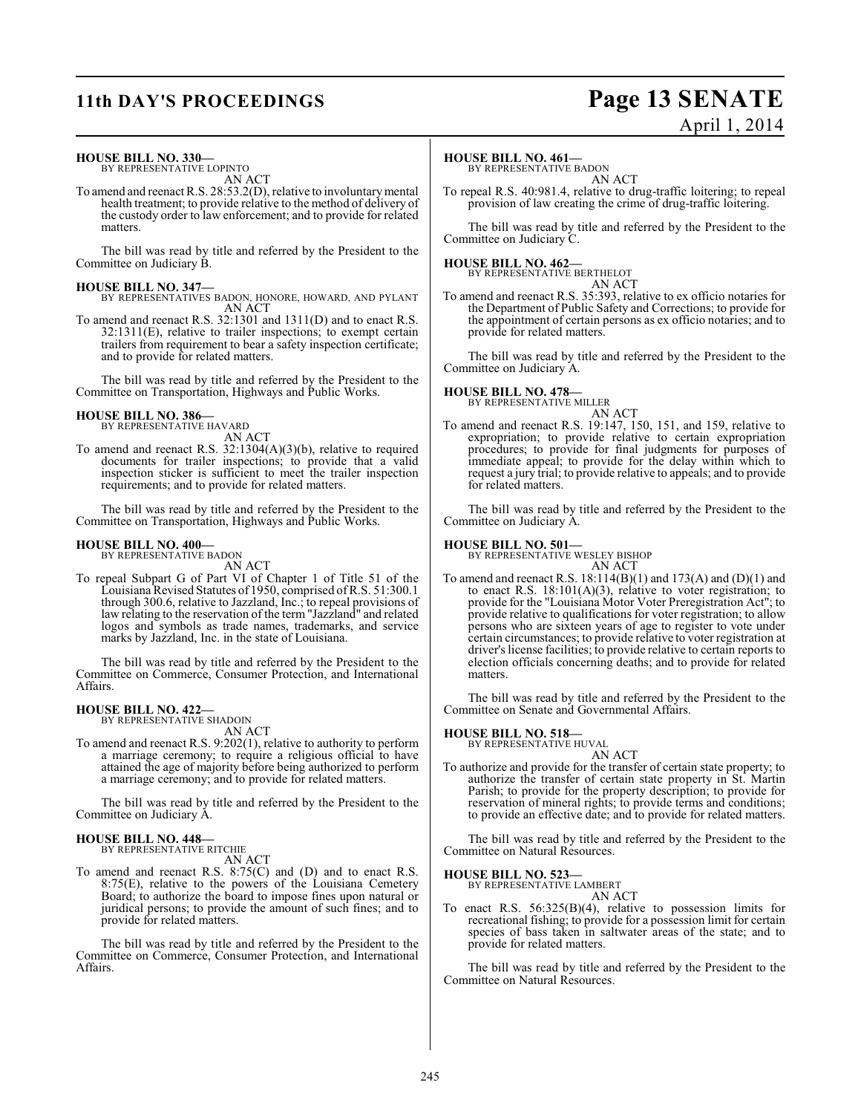## **11th DAY'S PROCEEDINGS Page 13 SENATE**

# April 1, 2014

#### **HOUSE BILL NO. 330—**

BY REPRESENTATIVE LOPINTO AN ACT

To amend and reenact R.S. 28:53.2(D), relative to involuntary mental health treatment; to provide relative to the method of delivery of the custody order to law enforcement; and to provide for related matters.

The bill was read by title and referred by the President to the Committee on Judiciary B.

- **HOUSE BILL NO. 347—** BY REPRESENTATIVES BADON, HONORE, HOWARD, AND PYLANT AN ACT
- To amend and reenact R.S. 32:1301 and 1311(D) and to enact R.S. 32:1311(E), relative to trailer inspections; to exempt certain trailers from requirement to bear a safety inspection certificate; and to provide for related matters.

The bill was read by title and referred by the President to the Committee on Transportation, Highways and Public Works.

#### **HOUSE BILL NO. 386—**

BY REPRESENTATIVE HAVARD AN ACT

To amend and reenact R.S. 32:1304(A)(3)(b), relative to required documents for trailer inspections; to provide that a valid inspection sticker is sufficient to meet the trailer inspection requirements; and to provide for related matters.

The bill was read by title and referred by the President to the Committee on Transportation, Highways and Public Works.

#### **HOUSE BILL NO. 400—** BY REPRESENTATIVE BADON

AN ACT

To repeal Subpart G of Part VI of Chapter 1 of Title 51 of the Louisiana Revised Statutes of 1950, comprised of R.S. 51:300.1 through 300.6, relative to Jazzland, Inc.; to repeal provisions of law relating to the reservation of the term "Jazzland" and related logos and symbols as trade names, trademarks, and service marks by Jazzland, Inc. in the state of Louisiana.

The bill was read by title and referred by the President to the Committee on Commerce, Consumer Protection, and International Affairs.

#### **HOUSE BILL NO. 422—** BY REPRESENTATIVE SHADOIN

AN ACT

To amend and reenact R.S. 9:202(1), relative to authority to perform a marriage ceremony; to require a religious official to have attained the age of majority before being authorized to perform a marriage ceremony; and to provide for related matters.

The bill was read by title and referred by the President to the Committee on Judiciary A.

## **HOUSE BILL NO. 448—** BY REPRESENTATIVE RITCHIE

provide for related matters.

AN ACT To amend and reenact R.S. 8:75(C) and (D) and to enact R.S. 8:75(E), relative to the powers of the Louisiana Cemetery Board; to authorize the board to impose fines upon natural or juridical persons; to provide the amount of such fines; and to

The bill was read by title and referred by the President to the Committee on Commerce, Consumer Protection, and International Affairs.

#### **HOUSE BILL NO. 461—**

BY REPRESENTATIVE BADON AN ACT

To repeal R.S. 40:981.4, relative to drug-traffic loitering; to repeal provision of law creating the crime of drug-traffic loitering.

The bill was read by title and referred by the President to the Committee on Judiciary C.

#### **HOUSE BILL NO. 462—**

BY REPRESENTATIVE BERTHELOT AN ACT

To amend and reenact R.S. 35:393, relative to ex officio notaries for the Department of Public Safety and Corrections; to provide for the appointment of certain persons as ex officio notaries; and to provide for related matters.

The bill was read by title and referred by the President to the Committee on Judiciary A.

#### **HOUSE BILL NO. 478—**

BY REPRESENTATIVE MILLER

AN ACT To amend and reenact R.S. 19:147, 150, 151, and 159, relative to expropriation; to provide relative to certain expropriation procedures; to provide for final judgments for purposes of immediate appeal; to provide for the delay within which to request a jury trial; to provide relative to appeals; and to provide for related matters.

The bill was read by title and referred by the President to the Committee on Judiciary A.

#### **HOUSE BILL NO. 501—**

BY REPRESENTATIVE WESLEY BISHOP

AN ACT To amend and reenact R.S.  $18:114(B)(1)$  and  $173(A)$  and  $(D)(1)$  and to enact R.S.  $18:101(A)(3)$ , relative to voter registration; to provide for the "Louisiana Motor Voter Preregistration Act"; to provide relative to qualifications for voter registration; to allow persons who are sixteen years of age to register to vote under certain circumstances; to provide relative to voter registration at driver's license facilities; to provide relative to certain reports to election officials concerning deaths; and to provide for related matters.

The bill was read by title and referred by the President to the Committee on Senate and Governmental Affairs.

### **HOUSE BILL NO. 518—** BY REPRESENTATIVE HUVAL

AN ACT To authorize and provide for the transfer of certain state property; to authorize the transfer of certain state property in St. Martin Parish; to provide for the property description; to provide for reservation of mineral rights; to provide terms and conditions; to provide an effective date; and to provide for related matters.

The bill was read by title and referred by the President to the Committee on Natural Resources.

### **HOUSE BILL NO. 523—** BY REPRESENTATIVE LAMBERT

AN ACT

To enact R.S. 56:325(B)(4), relative to possession limits for recreational fishing; to provide for a possession limit for certain species of bass taken in saltwater areas of the state; and to provide for related matters.

The bill was read by title and referred by the President to the Committee on Natural Resources.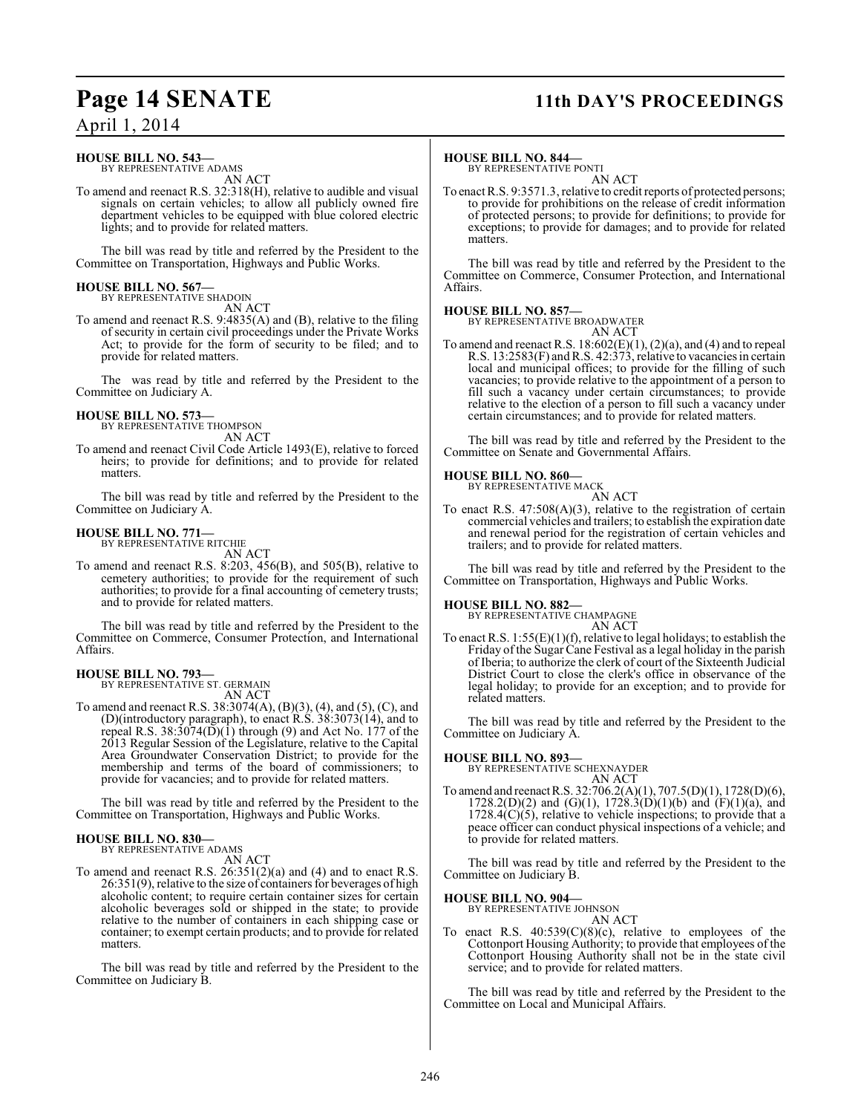## **Page 14 SENATE 11th DAY'S PROCEEDINGS**

### April 1, 2014

#### **HOUSE BILL NO. 543—** BY REPRESENTATIVE ADAMS

AN ACT

To amend and reenact R.S. 32:318(H), relative to audible and visual signals on certain vehicles; to allow all publicly owned fire department vehicles to be equipped with blue colored electric lights; and to provide for related matters.

The bill was read by title and referred by the President to the Committee on Transportation, Highways and Public Works.

#### **HOUSE BILL NO. 567—** BY REPRESENTATIVE SHADOIN

AN ACT

To amend and reenact R.S. 9:4835(A) and (B), relative to the filing of security in certain civil proceedings under the Private Works Act; to provide for the form of security to be filed; and to provide for related matters.

The was read by title and referred by the President to the Committee on Judiciary A.

#### **HOUSE BILL NO. 573—** BY REPRESENTATIVE THOMPSON

AN ACT

To amend and reenact Civil Code Article 1493(E), relative to forced heirs; to provide for definitions; and to provide for related matters.

The bill was read by title and referred by the President to the Committee on Judiciary A.

## **HOUSE BILL NO. 771—** BY REPRESENTATIVE RITCHIE

AN ACT

To amend and reenact R.S. 8:203, 456(B), and 505(B), relative to cemetery authorities; to provide for the requirement of such authorities; to provide for a final accounting of cemetery trusts; and to provide for related matters.

The bill was read by title and referred by the President to the Committee on Commerce, Consumer Protection, and International Affairs.

## **HOUSE BILL NO. 793—** BY REPRESENTATIVE ST. GERMAIN

AN ACT

To amend and reenact R.S. 38:3074(A), (B)(3), (4), and (5), (C), and (D)(introductory paragraph), to enact R.S. 38:3073(14), and to repeal R.S.  $38:3074(D)(1)$  through (9) and Act No. 177 of the 2013 Regular Session of the Legislature, relative to the Capital Area Groundwater Conservation District; to provide for the membership and terms of the board of commissioners; to provide for vacancies; and to provide for related matters.

The bill was read by title and referred by the President to the Committee on Transportation, Highways and Public Works.

#### **HOUSE BILL NO. 830—**

BY REPRESENTATIVE ADAMS

AN ACT

To amend and reenact R.S. 26:351(2)(a) and (4) and to enact R.S. 26:351(9), relative to the size of containers for beverages of high alcoholic content; to require certain container sizes for certain alcoholic beverages sold or shipped in the state; to provide relative to the number of containers in each shipping case or container; to exempt certain products; and to provide for related matters.

The bill was read by title and referred by the President to the Committee on Judiciary B.

#### **HOUSE BILL NO. 844—**

BY REPRESENTATIVE PONTI AN ACT

To enact R.S. 9:3571.3, relative to credit reports of protected persons; to provide for prohibitions on the release of credit information of protected persons; to provide for definitions; to provide for exceptions; to provide for damages; and to provide for related matters.

The bill was read by title and referred by the President to the Committee on Commerce, Consumer Protection, and International Affairs.

#### **HOUSE BILL NO. 857—**

BY REPRESENTATIVE BROADWATER

- AN ACT
- To amend and reenact R.S.  $18:602(E)(1)$ ,  $(2)(a)$ , and  $(4)$  and to repeal R.S. 13:2583(F) and R.S. 42:373, relative to vacancies in certain local and municipal offices; to provide for the filling of such vacancies; to provide relative to the appointment of a person to fill such a vacancy under certain circumstances; to provide relative to the election of a person to fill such a vacancy under certain circumstances; and to provide for related matters.

The bill was read by title and referred by the President to the Committee on Senate and Governmental Affairs.

#### **HOUSE BILL NO. 860—**

BY REPRESENTATIVE MACK AN ACT

To enact R.S. 47:508(A)(3), relative to the registration of certain commercial vehicles and trailers; to establish the expiration date and renewal period for the registration of certain vehicles and trailers; and to provide for related matters.

The bill was read by title and referred by the President to the Committee on Transportation, Highways and Public Works.

#### **HOUSE BILL NO. 882—**

BY REPRESENTATIVE CHAMPAGNE AN ACT

To enact R.S. 1:55(E)(1)(f), relative to legal holidays; to establish the Friday of the Sugar Cane Festival as a legal holiday in the parish of Iberia; to authorize the clerk of court of the Sixteenth Judicial District Court to close the clerk's office in observance of the legal holiday; to provide for an exception; and to provide for related matters.

The bill was read by title and referred by the President to the Committee on Judiciary A.

#### **HOUSE BILL NO. 893—**

BY REPRESENTATIVE SCHEXNAYDER AN ACT

To amend and reenact R.S. 32:706.2(A)(1), 707.5(D)(1), 1728(D)(6),  $1728.2(D)(2)$  and  $(G)(1)$ ,  $1728.3(D)(1)(b)$  and  $(F)(1)(a)$ , and  $1728.4(C)(5)$ , relative to vehicle inspections; to provide that a peace officer can conduct physical inspections of a vehicle; and to provide for related matters.

The bill was read by title and referred by the President to the Committee on Judiciary B.

#### **HOUSE BILL NO. 904—**

BY REPRESENTATIVE JOHNSON AN ACT

To enact R.S.  $40:539(C)(8)(c)$ , relative to employees of the Cottonport Housing Authority; to provide that employees of the Cottonport Housing Authority shall not be in the state civil service; and to provide for related matters.

The bill was read by title and referred by the President to the Committee on Local and Municipal Affairs.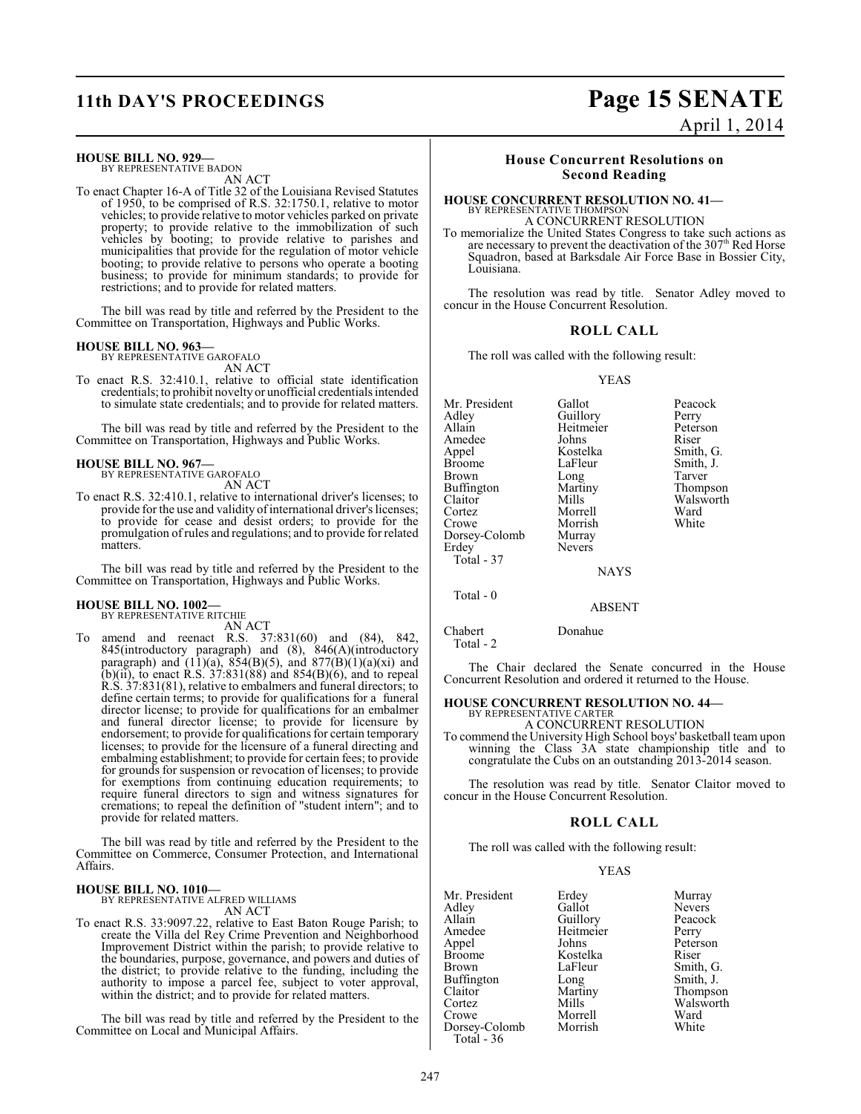#### **HOUSE BILL NO. 929—**

BY REPRESENTATIVE BADON AN ACT

To enact Chapter 16-A of Title 32 of the Louisiana Revised Statutes of 1950, to be comprised of R.S. 32:1750.1, relative to motor vehicles; to provide relative to motor vehicles parked on private property; to provide relative to the immobilization of such vehicles by booting; to provide relative to parishes and municipalities that provide for the regulation of motor vehicle booting; to provide relative to persons who operate a booting business; to provide for minimum standards; to provide for restrictions; and to provide for related matters.

The bill was read by title and referred by the President to the Committee on Transportation, Highways and Public Works.

## **HOUSE BILL NO. 963—** BY REPRESENTATIVE GAROFALO

AN ACT

To enact R.S. 32:410.1, relative to official state identification credentials; to prohibit novelty or unofficial credentials intended to simulate state credentials; and to provide for related matters.

The bill was read by title and referred by the President to the Committee on Transportation, Highways and Public Works.

### **HOUSE BILL NO. 967—**

BY REPRESENTATIVE GAROFALO AN ACT

To enact R.S. 32:410.1, relative to international driver's licenses; to provide for the use and validity of international driver's licenses; to provide for cease and desist orders; to provide for the promulgation of rules and regulations; and to provide for related matters.

The bill was read by title and referred by the President to the Committee on Transportation, Highways and Public Works.

#### **HOUSE BILL NO. 1002—**

BY REPRESENTATIVE RITCHIE AN ACT

To amend and reenact R.S. 37:831(60) and (84), 842, 845(introductory paragraph) and (8), 846(A)(introductory paragraph) and  $(11)(a)$ ,  $854(B)(5)$ , and  $877(B)(1)(a)(xi)$  and (b)(ii), to enact R.S.  $37:831(88)$  and  $854(B)(6)$ , and to repeal R.S. 37:831(81), relative to embalmers and funeral directors; to define certain terms; to provide for qualifications for a funeral director license; to provide for qualifications for an embalmer and funeral director license; to provide for licensure by endorsement; to provide for qualifications for certain temporary licenses; to provide for the licensure of a funeral directing and embalming establishment; to provide for certain fees; to provide for grounds for suspension or revocation of licenses; to provide for exemptions from continuing education requirements; to require funeral directors to sign and witness signatures for cremations; to repeal the definition of "student intern"; and to provide for related matters.

The bill was read by title and referred by the President to the Committee on Commerce, Consumer Protection, and International Affairs.

**HOUSE BILL NO. 1010—** BY REPRESENTATIVE ALFRED WILLIAMS AN ACT

To enact R.S. 33:9097.22, relative to East Baton Rouge Parish; to create the Villa del Rey Crime Prevention and Neighborhood Improvement District within the parish; to provide relative to the boundaries, purpose, governance, and powers and duties of the district; to provide relative to the funding, including the authority to impose a parcel fee, subject to voter approval, within the district; and to provide for related matters.

The bill was read by title and referred by the President to the Committee on Local and Municipal Affairs.

## **11th DAY'S PROCEEDINGS Page 15 SENATE** April 1, 2014

### **House Concurrent Resolutions on Second Reading**

#### **HOUSE CONCURRENT RESOLUTION NO. 41—** BY REPRESENTATIVE THOMPSON

A CONCURRENT RESOLUTION

To memorialize the United States Congress to take such actions as are necessary to prevent the deactivation of the 307<sup>th</sup> Red Horse Squadron, based at Barksdale Air Force Base in Bossier City, Louisiana.

The resolution was read by title. Senator Adley moved to concur in the House Concurrent Resolution.

#### **ROLL CALL**

The roll was called with the following result:

#### YEAS

Mr. President Gallot Peacock<br>Adley Guillory Perry Adley Guillory Perry Heitmeier Peters<br>Johns Riser Amedee Johns<br>Appel Kostelka Appel Kostelka Smith, G. Broome LaFleur Smith, J.<br>Brown Long Tarver Brown Long<br>Buffington Martiny Buffington Martiny Thompson<br>Claitor Mills Walsworth Claitor Mills Walsworth<br>
Cortez Morrell Ward Cortez Morrell Ward Morrish<br>Murray Dorsey-Colomb<br>Erdey **Nevers**  Total - 37 NAYS

Total - 0

ABSENT

Chabert Donahue

Total - 2

The Chair declared the Senate concurred in the House Concurrent Resolution and ordered it returned to the House.

## **HOUSE CONCURRENT RESOLUTION NO. 44—** BY REPRESENTATIVE CARTER

A CONCURRENT RESOLUTION

To commend the University High School boys' basketball team upon winning the Class 3A state championship title and to congratulate the Cubs on an outstanding 2013-2014 season.

The resolution was read by title. Senator Claitor moved to concur in the House Concurrent Resolution.

#### **ROLL CALL**

The roll was called with the following result:

#### YEAS

| Mr. President | Erdey     | Murray        |
|---------------|-----------|---------------|
|               |           |               |
| Adley         | Gallot    | <b>Nevers</b> |
| Allain        | Guillory  | Peacock       |
| Amedee        | Heitmeier | Perry         |
| Appel         | Johns     | Peterson      |
| Broome        | Kostelka  | Riser         |
| Brown         | LaFleur   | Smith, G.     |
| Buffington    | Long      | Smith, J.     |
| Claitor       | Martiny   | Thompson      |
| Cortez        | Mills     | Walsworth     |
| Crowe         | Morrell   | Ward          |
| Dorsey-Colomb | Morrish   | White         |
| Total - 36    |           |               |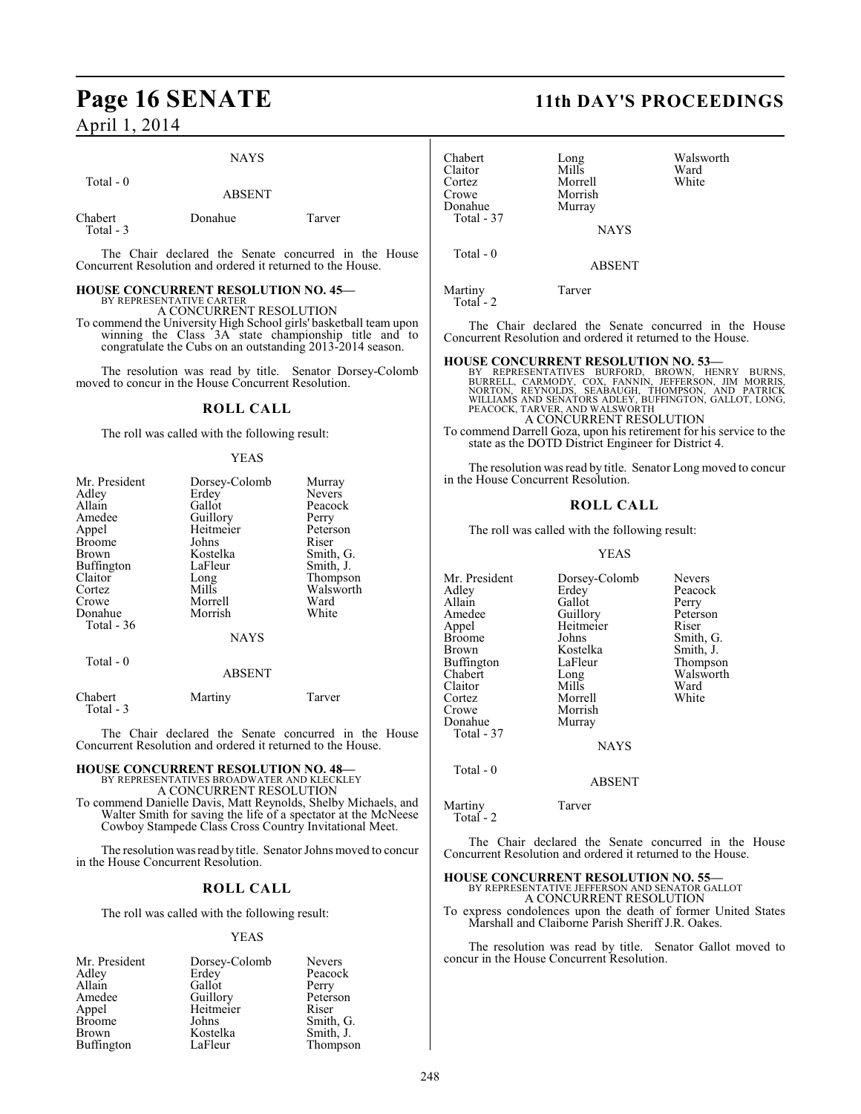## **Page 16 SENATE 11th DAY'S PROCEEDINGS**

April 1, 2014

#### NAYS

ABSENT

Total - 0

| Chabert   | Donahue | Tarver |
|-----------|---------|--------|
| Total - 3 |         |        |

The Chair declared the Senate concurred in the House Concurrent Resolution and ordered it returned to the House.

#### **HOUSE CONCURRENT RESOLUTION NO. 45—** BY REPRESENTATIVE CARTER

A CONCURRENT RESOLUTION

To commend the University High School girls' basketball team upon winning the Class 3A state championship title and to congratulate the Cubs on an outstanding 2013-2014 season.

The resolution was read by title. Senator Dorsey-Colomb moved to concur in the House Concurrent Resolution.

#### **ROLL CALL**

The roll was called with the following result:

#### YEAS

| Mr. President     | Dorsey-Colomb | Murray        |
|-------------------|---------------|---------------|
| Adley             | Erdey         | <b>Nevers</b> |
| Allain            | Gallot        | Peacock       |
| Amedee            | Guillory      | Perry         |
| Appel             | Heitmeier     | Peterson      |
| <b>Broome</b>     | Johns         | Riser         |
| Brown             | Kostelka      | Smith, G.     |
| <b>Buffington</b> | LaFleur       | Smith, J.     |
| Claitor           | Long          | Thompson      |
| Cortez            | Mills         | Walsworth     |
| Crowe             | Morrell       | Ward          |
| Donahue           | Morrish       | White         |
| Total - 36        |               |               |
|                   | <b>NAYS</b>   |               |
| Total - 0         |               |               |
|                   | <b>ABSENT</b> |               |
|                   |               |               |

Chabert Martiny Tarver Total - 3

The Chair declared the Senate concurred in the House Concurrent Resolution and ordered it returned to the House.

#### **HOUSE CONCURRENT RESOLUTION NO. 48—** BY REPRESENTATIVES BROADWATER AND KLECKLEY

A CONCURRENT RESOLUTION

To commend Danielle Davis, Matt Reynolds, Shelby Michaels, and Walter Smith for saving the life of a spectator at the McNeese Cowboy Stampede Class Cross Country Invitational Meet.

The resolution was read by title. Senator Johns moved to concur in the House Concurrent Resolution.

### **ROLL CALL**

The roll was called with the following result:

#### YEAS

| Mr. President | Dorsey-Colomb | <b>Nevers</b> |
|---------------|---------------|---------------|
| Adley         | Erdey         | Peacock       |
| Allain        | Gallot        | Perry         |
| Amedee        | Guillory      | Peterson      |
| Appel         | Heitmeier     | Riser         |
| <b>Broome</b> | Johns         | Smith, G.     |
| <b>Brown</b>  | Kostelka      | Smith, J.     |
| Buffington    | LaFleur       | Thompson      |

| Chabert<br>Claitor<br>Cortez<br>Crowe<br>Donahue<br>Total - 37 | Long<br>Mills<br>Morrell<br>Morrish<br>Murray | Walsworth<br>Ward<br>White |
|----------------------------------------------------------------|-----------------------------------------------|----------------------------|
|                                                                | <b>NAYS</b>                                   |                            |

ABSENT

Martiny Tarver Total - 2

Total - 0

The Chair declared the Senate concurred in the House Concurrent Resolution and ordered it returned to the House.

**HOUSE CONCURRENT RESOLUTION NO. 53**<br>BY REPRESENTATIVES BURFORD, BROWN, HENRY BURNS, BURRELL, CARMODY, COX, FANNIN, JEFFERSON, JIM MORRIS,<br>NORTON, REYNOLDS, SEABAUGH, THOMPSON, AND PATRICK<br>WILLIAMS AND SENATORS ADLEY, BUFF A CONCURRENT RESOLUTION

To commend Darrell Goza, upon his retirement for his service to the state as the DOTD District Engineer for District 4.

The resolution wasread by title. Senator Long moved to concur in the House Concurrent Resolution.

#### **ROLL CALL**

The roll was called with the following result:

#### YEAS

Mr. President Dorsey-Colomb Nevers<br>Adley Erdey Peacoc Adley Erdey Peacock<br>Allain Gallot Perry Gallot<br>Guillorv Amedee Guillory Peterson<br>
Appel Heitmeier Riser Appel Heitmeier<br>Broome Johns Broome Johns Smith, G.<br>Brown Kostelka Smith, J. Brown Kostelka<br>Buffington LaFleur Buffington LaFleur Thompson<br>Chabert Long Walsworth Long Walsworth<br>Mills Ward Claitor Mills Ward<br>Cortez Morrell White Cortez Morrell<br>Crowe Morrish Morrish Donahue Murray Total - 37 **NAYS** Total - 0

#### ABSENT

Martiny Tarver Total - 2

The Chair declared the Senate concurred in the House Concurrent Resolution and ordered it returned to the House.

## **HOUSE CONCURRENT RESOLUTION NO. 55—** BY REPRESENTATIVE JEFFERSON AND SENATOR GALLOT

A CONCURRENT RESOLUTION

To express condolences upon the death of former United States Marshall and Claiborne Parish Sheriff J.R. Oakes.

The resolution was read by title. Senator Gallot moved to concur in the House Concurrent Resolution.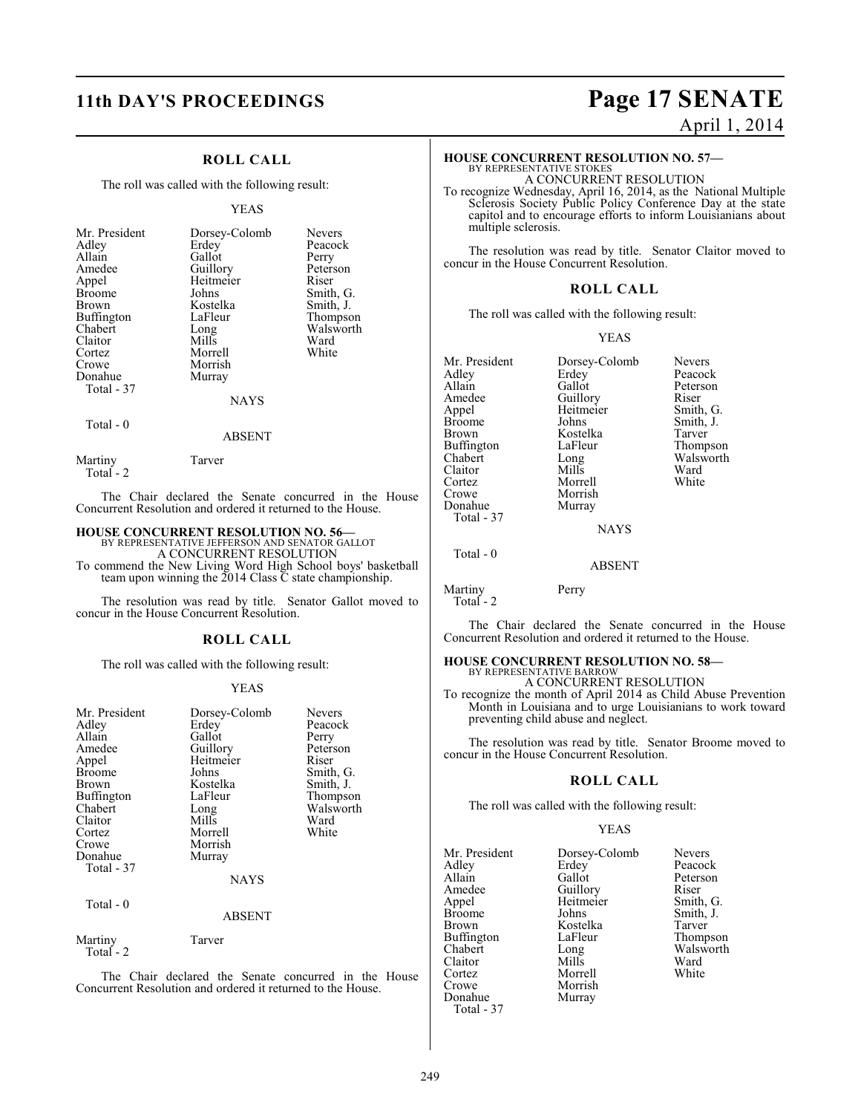### **ROLL CALL**

The roll was called with the following result:

#### YEAS

| Mr. President<br>Adley<br>Allain<br>Amedee<br>Appel<br><b>Broome</b><br><b>Brown</b><br>Buffington<br>Chabert<br>Claitor<br>Cortez | Dorsey-Colomb<br>Erdey<br>Gallot<br>Guillory<br>Heitmeier<br>Johns<br>Kostelka<br>LaFleur<br>Long<br>Mills<br>Morrell | <b>Nevers</b><br>Peacock<br>Perry<br>Peterson<br>Riser<br>Smith, G.<br>Smith, J.<br>Thompson<br>Walsworth<br>Ward<br>White |
|------------------------------------------------------------------------------------------------------------------------------------|-----------------------------------------------------------------------------------------------------------------------|----------------------------------------------------------------------------------------------------------------------------|
|                                                                                                                                    |                                                                                                                       |                                                                                                                            |
| Crowe<br>Donahue                                                                                                                   | Morrish<br>Murray                                                                                                     |                                                                                                                            |
| Total - 37                                                                                                                         | <b>NAYS</b>                                                                                                           |                                                                                                                            |
|                                                                                                                                    |                                                                                                                       |                                                                                                                            |

### Total - 0

Total - 2

Martiny Tarver

The Chair declared the Senate concurred in the House Concurrent Resolution and ordered it returned to the House.

ABSENT

**HOUSE CONCURRENT RESOLUTION NO. 56—**<br>BY REPRESENTATIVE JEFFERSON AND SENATOR GALLOT A CONCURRENT RESOLUTION To commend the New Living Word High School boys' basketball team upon winning the  $2014$  Class  $\bar{C}$  state championship.

The resolution was read by title. Senator Gallot moved to concur in the House Concurrent Resolution.

#### **ROLL CALL**

The roll was called with the following result:

#### YEAS

| Mr. President<br>Adley<br>Allain<br>Amedee<br>Appel<br><b>Broome</b><br>Brown<br>Buffington<br>Chabert<br>Claitor<br>Cortez<br>Crowe<br>Donahue<br>Total - 37<br>Total - 0 | Dorsey-Colomb<br>Erdey<br>Gallot<br>Guillory<br>Heitmeier<br>Johns<br>Kostelka<br>LaFleur<br>Long<br>Mills<br>Morrell<br>Morrish<br>Murray<br><b>NAYS</b> | <b>Nevers</b><br>Peacock<br>Perry<br>Peterson<br>Riser<br>Smith, G.<br>Smith, J.<br>Thompson<br>Walsworth<br>Ward<br>White |
|----------------------------------------------------------------------------------------------------------------------------------------------------------------------------|-----------------------------------------------------------------------------------------------------------------------------------------------------------|----------------------------------------------------------------------------------------------------------------------------|
|                                                                                                                                                                            | <b>ABSENT</b>                                                                                                                                             |                                                                                                                            |
| Martiny<br>Total - 2                                                                                                                                                       | Tarver                                                                                                                                                    |                                                                                                                            |

The Chair declared the Senate concurred in the House Concurrent Resolution and ordered it returned to the House.

# **11th DAY'S PROCEEDINGS Page 17 SENATE**

April 1, 2014

#### **HOUSE CONCURRENT RESOLUTION NO. 57—** BY REPRESENTATIVE STOKES

A CONCURRENT RESOLUTION

To recognize Wednesday, April 16, 2014, as the National Multiple Sclerosis Society Public Policy Conference Day at the state capitol and to encourage efforts to inform Louisianians about multiple sclerosis.

The resolution was read by title. Senator Claitor moved to concur in the House Concurrent Resolution.

#### **ROLL CALL**

The roll was called with the following result:

#### YEAS

| Mr. President<br>Adley<br>Allain<br>Amedee<br>Appel<br><b>Broome</b><br>Brown<br>Buffington<br>Chabert<br>Claitor<br>Cortez<br>Crowe<br>Donahue | Dorsey-Colomb<br>Erdey<br>Gallot<br>Guillory<br>Heitmeier<br>Johns<br>Kostelka<br>LaFleur<br>Long<br>Mills<br>Morrell<br>Morrish<br>Murray | <b>Nevers</b><br>Peacock<br>Peterson<br>Riser<br>Smith, G.<br>Smith, J.<br>Tarver<br>Thompson<br>Walsworth<br>Ward<br>White |
|-------------------------------------------------------------------------------------------------------------------------------------------------|--------------------------------------------------------------------------------------------------------------------------------------------|-----------------------------------------------------------------------------------------------------------------------------|
| Total - 37                                                                                                                                      | <b>NAYS</b>                                                                                                                                |                                                                                                                             |
| Total - 0                                                                                                                                       | <b>ABSENT</b>                                                                                                                              |                                                                                                                             |
| Martiny<br>Total - 2                                                                                                                            | Perry                                                                                                                                      |                                                                                                                             |

The Chair declared the Senate concurred in the House Concurrent Resolution and ordered it returned to the House.

### **HOUSE CONCURRENT RESOLUTION NO. 58—**

BY REPRESENTATIVE BARROW A CONCURRENT RESOLUTION

To recognize the month of April 2014 as Child Abuse Prevention Month in Louisiana and to urge Louisianians to work toward preventing child abuse and neglect.

The resolution was read by title. Senator Broome moved to concur in the House Concurrent Resolution.

### **ROLL CALL**

The roll was called with the following result:

#### YEAS

| Mr. President | Dorsey-Colomb | <b>Nevers</b> |
|---------------|---------------|---------------|
| Adley         | Erdey         | Peacock       |
| Allain        | Gallot        | Peterson      |
| Amedee        | Guillory      | Riser         |
| Appel         | Heitmeier     | Smith, C      |
| <b>Broome</b> | Johns         | Smith, J.     |
| Brown         | Kostelka      | Tarver        |
| Buffington    | LaFleur       | <b>Thomps</b> |
| Chabert       | Long          | Walswor       |
| Claitor       | Mills         | Ward          |
| Cortez        | Morrell       | White         |
| Crowe         | Morrish       |               |
| Donahue       | Murray        |               |
| Total - 37    |               |               |

Peterson<br>Riser eitmeier Smith, G.<br>
Smith, J. Smith, J.<br>Tarver aFleur Thompson<br>bug Walsworth ong Walsworth<br>
ills Ward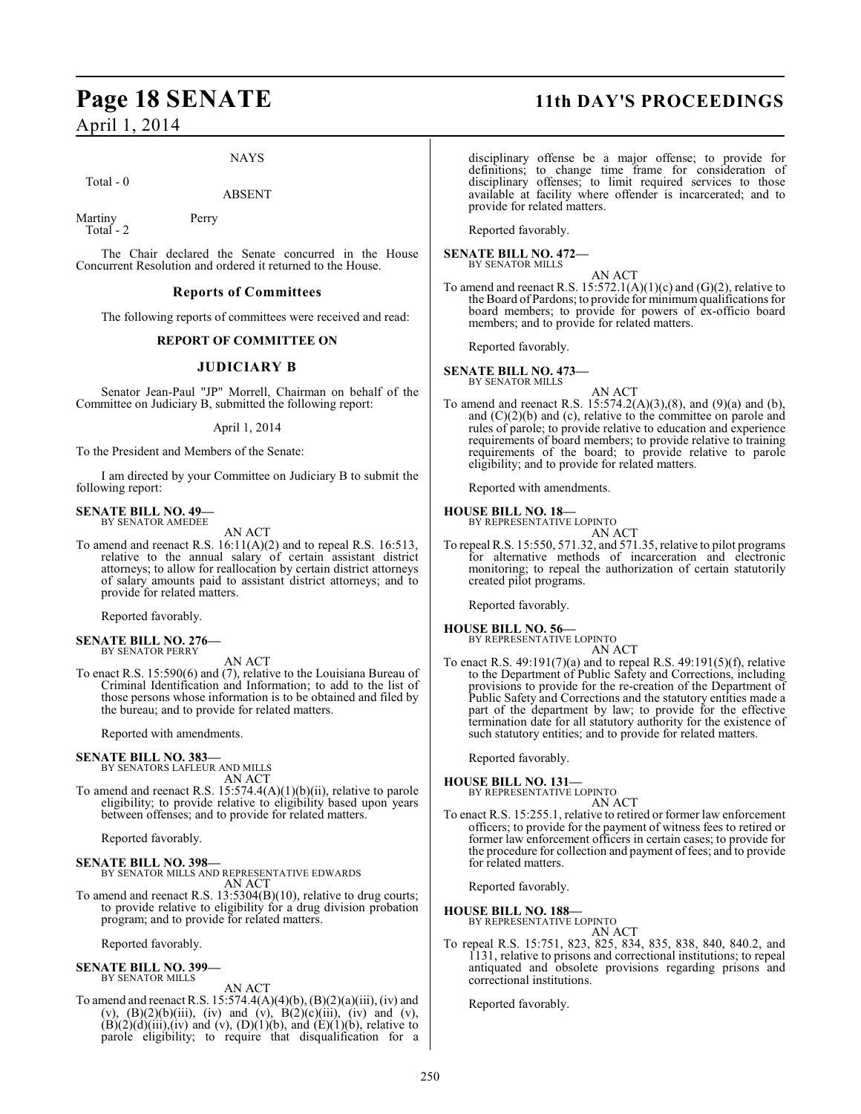April 1, 2014

#### NAYS

Total - 0

ABSENT

Martiny Perry Total - 2

The Chair declared the Senate concurred in the House Concurrent Resolution and ordered it returned to the House.

#### **Reports of Committees**

The following reports of committees were received and read:

#### **REPORT OF COMMITTEE ON**

#### **JUDICIARY B**

Senator Jean-Paul "JP" Morrell, Chairman on behalf of the Committee on Judiciary B, submitted the following report:

#### April 1, 2014

To the President and Members of the Senate:

I am directed by your Committee on Judiciary B to submit the following report:

#### **SENATE BILL NO. 49—** BY SENATOR AMEDEE

AN ACT

To amend and reenact R.S. 16:11(A)(2) and to repeal R.S. 16:513, relative to the annual salary of certain assistant district attorneys; to allow for reallocation by certain district attorneys of salary amounts paid to assistant district attorneys; and to provide for related matters.

Reported favorably.

**SENATE BILL NO. 276—** BY SENATOR PERRY

### AN ACT

To enact R.S. 15:590(6) and (7), relative to the Louisiana Bureau of Criminal Identification and Information; to add to the list of those persons whose information is to be obtained and filed by the bureau; and to provide for related matters.

Reported with amendments.

#### **SENATE BILL NO. 383—**

BY SENATORS LAFLEUR AND MILLS AN ACT

To amend and reenact R.S. 15:574.4(A)(1)(b)(ii), relative to parole eligibility; to provide relative to eligibility based upon years between offenses; and to provide for related matters.

Reported favorably.

**SENATE BILL NO. 398—** BY SENATOR MILLS AND REPRESENTATIVE EDWARDS AN ACT

To amend and reenact R.S. 13:5304(B)(10), relative to drug courts; to provide relative to eligibility for a drug division probation program; and to provide for related matters.

Reported favorably.

## **SENATE BILL NO. 399—** BY SENATOR MILLS

AN ACT To amend and reenact R.S.  $15:574.4(A)(4)(b)$ ,  $(B)(2)(a)(iii)$ , (iv) and (v),  $(B)(2)(b)(iii)$ , (iv) and (v),  $B(2)(c)(iii)$ , (iv) and (v),  $(B)(2)(d)(iii)$ , (iv) and (v),  $(D)(1)(b)$ , and  $(E)(1)(b)$ , relative to parole eligibility; to require that disqualification for a

### **Page 18 SENATE 11th DAY'S PROCEEDINGS**

disciplinary offense be a major offense; to provide for definitions; to change time frame for consideration of disciplinary offenses; to limit required services to those available at facility where offender is incarcerated; and to provide for related matters.

Reported favorably.

**SENATE BILL NO. 472—** BY SENATOR MILLS

AN ACT

To amend and reenact R.S.  $15:572.1(A)(1)(c)$  and  $(G)(2)$ , relative to the Board of Pardons; to provide for minimum qualifications for board members; to provide for powers of ex-officio board members; and to provide for related matters.

Reported favorably.

**SENATE BILL NO. 473—** BY SENATOR MILLS

AN ACT

To amend and reenact R.S. 15:574.2(A)(3),(8), and (9)(a) and (b), and  $(C)(2)(b)$  and  $(c)$ , relative to the committee on parole and rules of parole; to provide relative to education and experience requirements of board members; to provide relative to training requirements of the board; to provide relative to parole eligibility; and to provide for related matters.

Reported with amendments.

**HOUSE BILL NO. 18—** BY REPRESENTATIVE LOPINTO

AN ACT

To repeal R.S. 15:550, 571.32, and 571.35, relative to pilot programs for alternative methods of incarceration and electronic monitoring; to repeal the authorization of certain statutorily created pilot programs.

Reported favorably.

**HOUSE BILL NO. 56—** BY REPRESENTATIVE LOPINTO

AN ACT

To enact R.S. 49:191(7)(a) and to repeal R.S. 49:191(5)(f), relative to the Department of Public Safety and Corrections, including provisions to provide for the re-creation of the Department of Public Safety and Corrections and the statutory entities made a part of the department by law; to provide for the effective termination date for all statutory authority for the existence of such statutory entities; and to provide for related matters.

Reported favorably.

**HOUSE BILL NO. 131—** BY REPRESENTATIVE LOPINTO AN ACT

To enact R.S. 15:255.1, relative to retired or former law enforcement officers; to provide for the payment of witness fees to retired or former law enforcement officers in certain cases; to provide for the procedure for collection and payment of fees; and to provide for related matters.

Reported favorably.

#### **HOUSE BILL NO. 188—** BY REPRESENTATIVE LOPINTO

AN ACT

To repeal R.S. 15:751, 823, 825, 834, 835, 838, 840, 840.2, and 1131, relative to prisons and correctional institutions; to repeal antiquated and obsolete provisions regarding prisons and correctional institutions.

Reported favorably.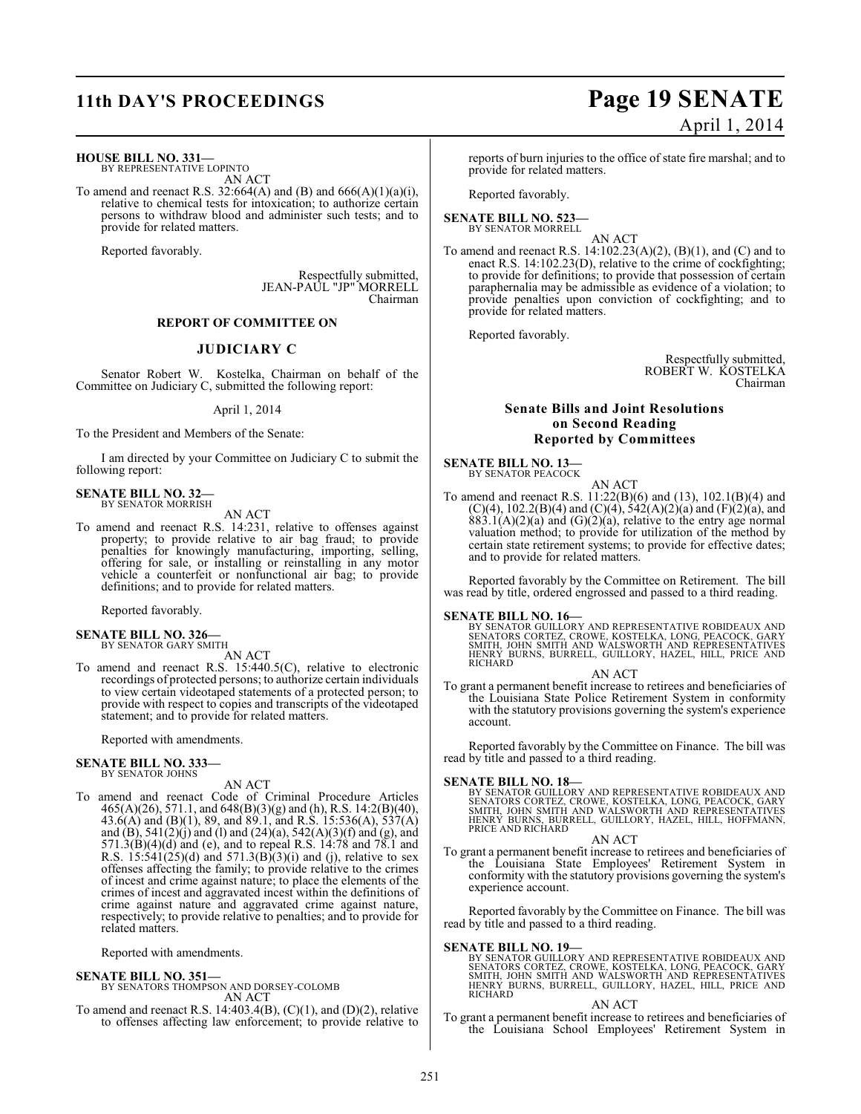**HOUSE BILL NO. 331—**

BY REPRESENTATIVE LOPINTO AN ACT

To amend and reenact R.S. 32:664(A) and (B) and 666(A)(1)(a)(i), relative to chemical tests for intoxication; to authorize certain persons to withdraw blood and administer such tests; and to provide for related matters.

Reported favorably.

Respectfully submitted, JEAN-PAUL "JP" MORRELL Chairman

### **REPORT OF COMMITTEE ON**

#### **JUDICIARY C**

Senator Robert W. Kostelka, Chairman on behalf of the Committee on Judiciary C, submitted the following report:

April 1, 2014

To the President and Members of the Senate:

I am directed by your Committee on Judiciary C to submit the following report:

#### **SENATE BILL NO. 32—** BY SENATOR MORRISH

AN ACT

To amend and reenact R.S. 14:231, relative to offenses against property; to provide relative to air bag fraud; to provide penalties for knowingly manufacturing, importing, selling, offering for sale, or installing or reinstalling in any motor vehicle a counterfeit or nonfunctional air bag; to provide definitions; and to provide for related matters.

Reported favorably.

#### **SENATE BILL NO. 326—** BY SENATOR GARY SMITH

AN ACT

To amend and reenact R.S. 15:440.5(C), relative to electronic recordings of protected persons; to authorize certain individuals to view certain videotaped statements of a protected person; to provide with respect to copies and transcripts of the videotaped statement; and to provide for related matters.

Reported with amendments.

#### **SENATE BILL NO. 333—** BY SENATOR JOHNS

AN ACT

To amend and reenact Code of Criminal Procedure Articles 465(A)(26), 571.1, and 648(B)(3)(g) and (h), R.S. 14:2(B)(40), 43.6(A) and (B)(1), 89, and 89.1, and R.S. 15:536(A), 537(A) and (B), 541(2)(j) and (l) and (24)(a), 542(A)(3)(f) and (g), and  $571.3(B)(4)(d)$  and (e), and to repeal R.S. 14:78 and 78.1 and R.S.  $15:541(25)(d)$  and  $571.3(B)(3)(i)$  and (j), relative to sex offenses affecting the family; to provide relative to the crimes of incest and crime against nature; to place the elements of the crimes of incest and aggravated incest within the definitions of crime against nature and aggravated crime against nature, respectively; to provide relative to penalties; and to provide for related matters.

Reported with amendments.

#### **SENATE BILL NO. 351—**

BY SENATORS THOMPSON AND DORSEY-COLOMB AN ACT

To amend and reenact R.S. 14:403.4(B),  $(C)(1)$ , and  $(D)(2)$ , relative to offenses affecting law enforcement; to provide relative to

## **11th DAY'S PROCEEDINGS Page 19 SENATE** April 1, 2014

reports of burn injuries to the office of state fire marshal; and to provide for related matters.

Reported favorably.

#### **SENATE BILL NO. 523—** BY SENATOR MORRELL

AN ACT

To amend and reenact R.S. 14:102.23(A)(2), (B)(1), and (C) and to enact R.S. 14:102.23(D), relative to the crime of cockfighting; to provide for definitions; to provide that possession of certain paraphernalia may be admissible as evidence of a violation; to provide penalties upon conviction of cockfighting; and to provide for related matters.

Reported favorably.

Respectfully submitted, ROBERT W. KOSTELKA Chairman

#### **Senate Bills and Joint Resolutions on Second Reading Reported by Committees**

#### **SENATE BILL NO. 13—**

BY SENATOR PEACOCK AN ACT

To amend and reenact R.S. 11:22(B)(6) and (13), 102.1(B)(4) and  $(C)(4)$ , 102.2(B)(4) and  $(C)(4)$ , 542(A)(2)(a) and (F)(2)(a), and  $883.1(A)(2)(a)$  and  $(G)(2)(a)$ , relative to the entry age normal valuation method; to provide for utilization of the method by certain state retirement systems; to provide for effective dates; and to provide for related matters.

Reported favorably by the Committee on Retirement. The bill was read by title, ordered engrossed and passed to a third reading.

#### **SENATE BILL NO. 16—**

BY SENATOR GUILLORY AND REPRESENTATIVE ROBIDEAUX AND<br>SENATORS CORTEZ, CROWE, KOSTELKA, LONG, PEACOCK, GARY<br>SMITH, JOHN SMITH AND WALSWORTH AND REPRESENTATIVES<br>HENRY BURNS, BURRELL, GUILLORY, HAZEL, HILL, PRICE AND **RICHARD** 

AN ACT

To grant a permanent benefit increase to retirees and beneficiaries of the Louisiana State Police Retirement System in conformity with the statutory provisions governing the system's experience account.

Reported favorably by the Committee on Finance. The bill was read by title and passed to a third reading.

#### **SENATE BILL NO. 18—**

BY SENATOR GUILLORY AND REPRESENTATIVE ROBIDEAUX AND<br>SENATORS CORTEZ, CROWE, KOSTELKA, LONG, PEACOCK, GARY<br>SMITH, JOHN SMITH AND WALSWORTH AND REPRESENTATIVES<br>HENRY BURNS, BURRELL, GUILLORY, HAZEL, HILL, HOFFMANN,<br>PRICE AN

#### AN ACT

To grant a permanent benefit increase to retirees and beneficiaries of the Louisiana State Employees' Retirement System in conformity with the statutory provisions governing the system's experience account.

Reported favorably by the Committee on Finance. The bill was read by title and passed to a third reading.

#### **SENATE BILL NO. 19—**

BY SENATOR GUILLORY AND REPRESENTATIVE ROBIDEAUX AND<br>SENATORS CORTEZ, CROWE, KOSTELKA, LONG, PEACOCK, GARY<br>SMITH, JOHN SMITH AND WALSWORTH AND REPRESENTATIVES<br>HENRY BURNS, BURRELL, GUILLORY, HAZEL, HILL, PRICE AND RICHARD

#### AN ACT

To grant a permanent benefit increase to retirees and beneficiaries of the Louisiana School Employees' Retirement System in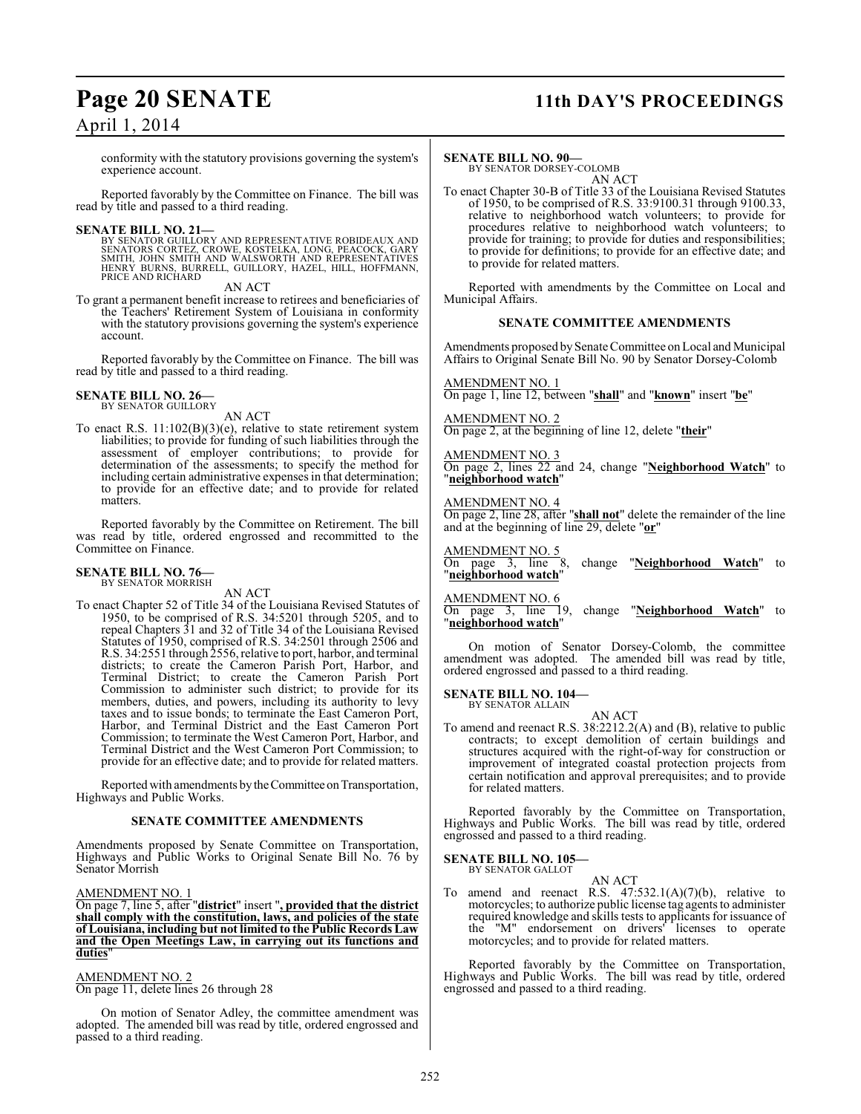### **Page 20 SENATE 11th DAY'S PROCEEDINGS**

### April 1, 2014

conformity with the statutory provisions governing the system's experience account.

Reported favorably by the Committee on Finance. The bill was read by title and passed to a third reading.

#### **SENATE BILL NO. 21—**

BY SENATOR GUILLORY AND REPRESENTATIVE ROBIDEAUX AND<br>SENATORS CORTEZ, CROWE, KOSTELKA, LONG, PEACOCK, GARY<br>SMITH, JOHN SMITH AND WALSWORTH AND REPRESENTATIVES<br>HENRY BURNS, BURRELL, GUILLORY, HAZEL, HILL, HOFFMANN, PRICE AND RICHARD

AN ACT

To grant a permanent benefit increase to retirees and beneficiaries of the Teachers' Retirement System of Louisiana in conformity with the statutory provisions governing the system's experience account.

Reported favorably by the Committee on Finance. The bill was read by title and passed to a third reading.

## **SENATE BILL NO. 26—**<br>BY SENATOR GUILLORY

AN ACT

To enact R.S. 11:102(B)(3)(e), relative to state retirement system liabilities; to provide for funding of such liabilities through the assessment of employer contributions; to provide for determination of the assessments; to specify the method for including certain administrative expenses in that determination; to provide for an effective date; and to provide for related matters.

Reported favorably by the Committee on Retirement. The bill was read by title, ordered engrossed and recommitted to the Committee on Finance.

## **SENATE BILL NO. 76—** BY SENATOR MORRISH

AN ACT

To enact Chapter 52 of Title 34 of the Louisiana Revised Statutes of 1950, to be comprised of R.S. 34:5201 through 5205, and to repeal Chapters 31 and 32 of Title 34 of the Louisiana Revised Statutes of 1950, comprised of R.S. 34:2501 through 2506 and R.S. 34:2551 through 2556, relative to port, harbor, and terminal districts; to create the Cameron Parish Port, Harbor, and Terminal District; to create the Cameron Parish Port Commission to administer such district; to provide for its members, duties, and powers, including its authority to levy taxes and to issue bonds; to terminate the East Cameron Port, Harbor, and Terminal District and the East Cameron Port Commission; to terminate the West Cameron Port, Harbor, and Terminal District and the West Cameron Port Commission; to provide for an effective date; and to provide for related matters.

Reported with amendments by the Committee on Transportation, Highways and Public Works.

#### **SENATE COMMITTEE AMENDMENTS**

Amendments proposed by Senate Committee on Transportation, Highways and Public Works to Original Senate Bill No. 76 by Senator Morrish

#### AMENDMENT NO. 1

On page 7, line 5, after "**district**" insert "**, provided that the district shall comply with the constitution, laws, and policies of the state of Louisiana, including but not limited to the Public Records Law and the Open Meetings Law, in carrying out its functions and duties**"

AMENDMENT NO. 2 On page 11, delete lines 26 through 28

On motion of Senator Adley, the committee amendment was adopted. The amended bill was read by title, ordered engrossed and passed to a third reading.

#### **SENATE BILL NO. 90—**

BY SENATOR DORSEY-COLOMB AN ACT

To enact Chapter 30-B of Title 33 of the Louisiana Revised Statutes of 1950, to be comprised of R.S. 33:9100.31 through 9100.33, relative to neighborhood watch volunteers; to provide for procedures relative to neighborhood watch volunteers; to provide for training; to provide for duties and responsibilities; to provide for definitions; to provide for an effective date; and to provide for related matters.

Reported with amendments by the Committee on Local and Municipal Affairs.

#### **SENATE COMMITTEE AMENDMENTS**

Amendments proposed by Senate Committee on Local and Municipal Affairs to Original Senate Bill No. 90 by Senator Dorsey-Colomb

AMENDMENT NO. 1

On page 1, line 12, between "**shall**" and "**known**" insert "**be**"

### AMENDMENT NO. 2

On page 2, at the beginning of line 12, delete "**their**"

#### AMENDMENT NO. 3

On page 2, lines 22 and 24, change "**Neighborhood Watch**" to "**neighborhood watch**"

#### AMENDMENT NO. 4

On page 2, line 28, after "**shall not**" delete the remainder of the line and at the beginning of line 29, delete "**or**"

 $\frac{\text{AMENDMENT NO. 5}}{\text{On page } 3}$ , line 8,

change "Neighborhood Watch" to "**neighborhood watch**"

#### <u>MENDMENT NO. 6</u>

On page 3, line 19, change "**Neighborhood Watch**" to "**neighborhood watch**"

On motion of Senator Dorsey-Colomb, the committee amendment was adopted. The amended bill was read by title, ordered engrossed and passed to a third reading.

#### **SENATE BILL NO. 104—** BY SENATOR ALLAIN

### AN ACT

To amend and reenact R.S. 38:2212.2(A) and (B), relative to public contracts; to except demolition of certain buildings and structures acquired with the right-of-way for construction or improvement of integrated coastal protection projects from certain notification and approval prerequisites; and to provide for related matters.

Reported favorably by the Committee on Transportation, Highways and Public Works. The bill was read by title, ordered engrossed and passed to a third reading.

#### **SENATE BILL NO. 105—** BY SENATOR GALLOT

AN ACT

To amend and reenact R.S.  $47:532.1(A)(7)(b)$ , relative to motorcycles; to authorize public license tag agents to administer required knowledge and skills tests to applicants for issuance of the "M" endorsement on drivers' licenses to operate motorcycles; and to provide for related matters.

Reported favorably by the Committee on Transportation, Highways and Public Works. The bill was read by title, ordered engrossed and passed to a third reading.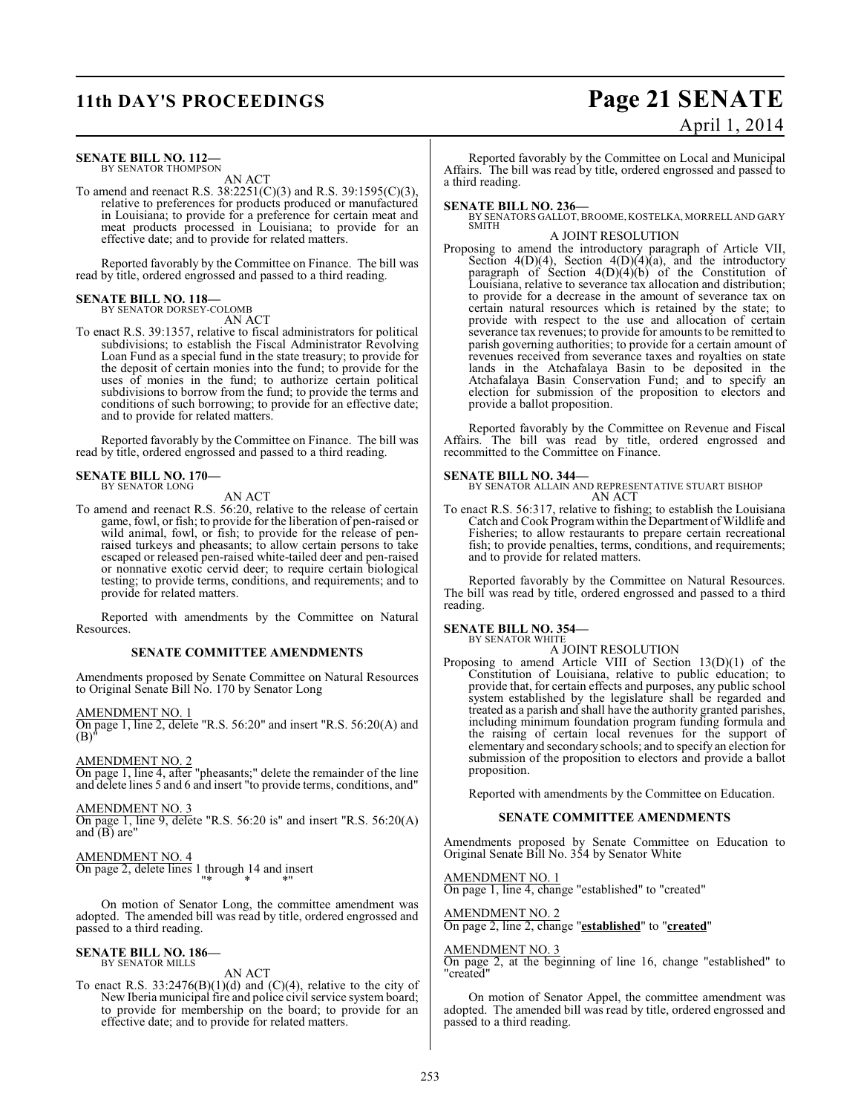## **11th DAY'S PROCEEDINGS Page 21 SENATE**

# April 1, 2014

### **SENATE BILL NO. 112—**

BY SENATOR THOMPSON AN ACT

To amend and reenact R.S. 38:2251(C)(3) and R.S. 39:1595(C)(3), relative to preferences for products produced or manufactured in Louisiana; to provide for a preference for certain meat and meat products processed in Louisiana; to provide for an effective date; and to provide for related matters.

Reported favorably by the Committee on Finance. The bill was read by title, ordered engrossed and passed to a third reading.

#### **SENATE BILL NO. 118—** BY SENATOR DORSEY-COLOMB

AN ACT

To enact R.S. 39:1357, relative to fiscal administrators for political subdivisions; to establish the Fiscal Administrator Revolving Loan Fund as a special fund in the state treasury; to provide for the deposit of certain monies into the fund; to provide for the uses of monies in the fund; to authorize certain political subdivisions to borrow from the fund; to provide the terms and conditions of such borrowing; to provide for an effective date; and to provide for related matters.

Reported favorably by the Committee on Finance. The bill was read by title, ordered engrossed and passed to a third reading.

#### **SENATE BILL NO. 170—** BY SENATOR LONG

AN ACT

To amend and reenact R.S. 56:20, relative to the release of certain game, fowl, or fish; to provide for the liberation of pen-raised or wild animal, fowl, or fish; to provide for the release of penraised turkeys and pheasants; to allow certain persons to take escaped or released pen-raised white-tailed deer and pen-raised or nonnative exotic cervid deer; to require certain biological testing; to provide terms, conditions, and requirements; and to provide for related matters.

Reported with amendments by the Committee on Natural Resources.

#### **SENATE COMMITTEE AMENDMENTS**

Amendments proposed by Senate Committee on Natural Resources to Original Senate Bill No. 170 by Senator Long

AMENDMENT NO. 1

On page 1, line 2, delete "R.S. 56:20" and insert "R.S. 56:20(A) and (B)"

AMENDMENT NO. 2

On page 1, line 4, after "pheasants;" delete the remainder of the line and delete lines 5 and 6 and insert "to provide terms, conditions, and"

AMENDMENT NO. 3 On page 1, line 9, delete "R.S. 56:20 is" and insert "R.S. 56:20(A) and  $(B)$  are"

AMENDMENT NO. 4 On page 2, delete lines  $1 \text{ through } 14$  and insert "\* \* \*"

On motion of Senator Long, the committee amendment was adopted. The amended bill was read by title, ordered engrossed and passed to a third reading.

#### **SENATE BILL NO. 186—** BY SENATOR MILLS

AN ACT

To enact R.S.  $33:2476(B)(1)(d)$  and  $(C)(4)$ , relative to the city of New Iberia municipal fire and police civil service system board; to provide for membership on the board; to provide for an effective date; and to provide for related matters.

Reported favorably by the Committee on Local and Municipal Affairs. The bill was read by title, ordered engrossed and passed to a third reading.

**SENATE BILL NO. 236—** BY SENATORS GALLOT, BROOME, KOSTELKA, MORRELL AND GARY SMITH

#### A JOINT RESOLUTION

Proposing to amend the introductory paragraph of Article VII, Section  $4(D)(4)$ , Section  $4(D)(4)(a)$ , and the introductory paragraph of Section 4(D)(4)(b) of the Constitution of Louisiana, relative to severance tax allocation and distribution; to provide for a decrease in the amount of severance tax on certain natural resources which is retained by the state; to provide with respect to the use and allocation of certain severance tax revenues; to provide for amounts to be remitted to parish governing authorities; to provide for a certain amount of revenues received from severance taxes and royalties on state lands in the Atchafalaya Basin to be deposited in the Atchafalaya Basin Conservation Fund; and to specify an election for submission of the proposition to electors and provide a ballot proposition.

Reported favorably by the Committee on Revenue and Fiscal Affairs. The bill was read by title, ordered engrossed and recommitted to the Committee on Finance.

#### **SENATE BILL NO. 344—**

BY SENATOR ALLAIN AND REPRESENTATIVE STUART BISHOP AN ACT

To enact R.S. 56:317, relative to fishing; to establish the Louisiana Catch and Cook Program within the Department of Wildlife and Fisheries; to allow restaurants to prepare certain recreational fish; to provide penalties, terms, conditions, and requirements; and to provide for related matters.

Reported favorably by the Committee on Natural Resources. The bill was read by title, ordered engrossed and passed to a third reading.

## **SENATE BILL NO. 354—** BY SENATOR WHITE

A JOINT RESOLUTION

Proposing to amend Article VIII of Section 13(D)(1) of the Constitution of Louisiana, relative to public education; to provide that, for certain effects and purposes, any public school system established by the legislature shall be regarded and treated as a parish and shall have the authority granted parishes, including minimum foundation program funding formula and the raising of certain local revenues for the support of elementary and secondary schools; and to specify an election for submission of the proposition to electors and provide a ballot proposition.

Reported with amendments by the Committee on Education.

#### **SENATE COMMITTEE AMENDMENTS**

Amendments proposed by Senate Committee on Education to Original Senate Bill No. 354 by Senator White

#### AMENDMENT NO. 1

On page 1, line 4, change "established" to "created"

AMENDMENT NO. 2 On page 2, line 2, change "**established**" to "**created**"

### AMENDMENT NO. 3

On page 2, at the beginning of line 16, change "established" to "created"

On motion of Senator Appel, the committee amendment was adopted. The amended bill was read by title, ordered engrossed and passed to a third reading.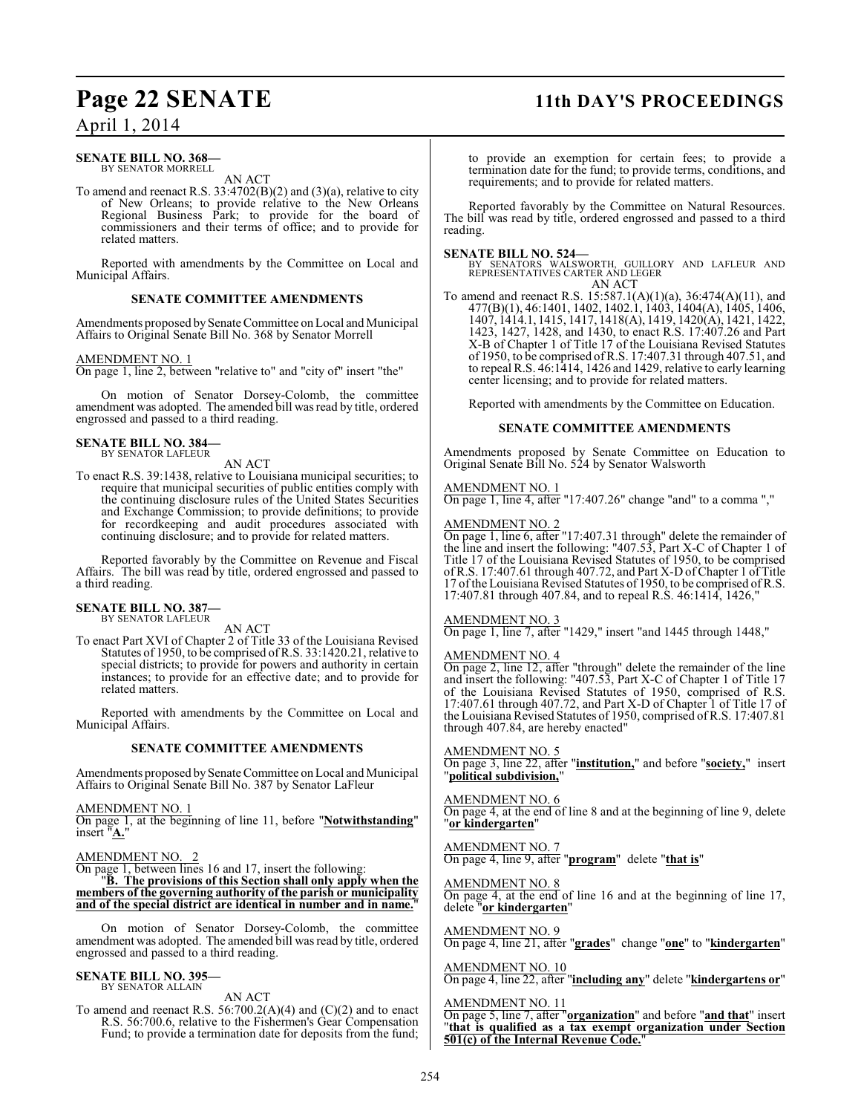## **Page 22 SENATE 11th DAY'S PROCEEDINGS**

### April 1, 2014

#### **SENATE BILL NO. 368—** BY SENATOR MORRELL

AN ACT

To amend and reenact R.S.  $33:4702(B)(2)$  and  $(3)(a)$ , relative to city of New Orleans; to provide relative to the New Orleans Regional Business Park; to provide for the board of commissioners and their terms of office; and to provide for related matters.

Reported with amendments by the Committee on Local and Municipal Affairs.

#### **SENATE COMMITTEE AMENDMENTS**

Amendments proposed by Senate Committee on Local and Municipal Affairs to Original Senate Bill No. 368 by Senator Morrell

#### AMENDMENT NO. 1

On page 1, line 2, between "relative to" and "city of" insert "the"

On motion of Senator Dorsey-Colomb, the committee amendment was adopted. The amended bill was read by title, ordered engrossed and passed to a third reading.

#### **SENATE BILL NO. 384—** BY SENATOR LAFLEUR

AN ACT

To enact R.S. 39:1438, relative to Louisiana municipal securities; to require that municipal securities of public entities comply with the continuing disclosure rules of the United States Securities and Exchange Commission; to provide definitions; to provide for recordkeeping and audit procedures associated with continuing disclosure; and to provide for related matters.

Reported favorably by the Committee on Revenue and Fiscal Affairs. The bill was read by title, ordered engrossed and passed to a third reading.

#### **SENATE BILL NO. 387—** BY SENATOR LAFLEUR

AN ACT

To enact Part XVI of Chapter 2 of Title 33 of the Louisiana Revised Statutes of 1950, to be comprised of R.S. 33:1420.21, relative to special districts; to provide for powers and authority in certain instances; to provide for an effective date; and to provide for related matters.

Reported with amendments by the Committee on Local and Municipal Affairs.

#### **SENATE COMMITTEE AMENDMENTS**

Amendments proposed by Senate Committee on Local and Municipal Affairs to Original Senate Bill No. 387 by Senator LaFleur

AMENDMENT NO. 1

On page 1, at the beginning of line 11, before "**Notwithstanding**" insert "A.

AMENDMENT NO. 2

On page 1, between lines 16 and 17, insert the following:

"**B. The provisions of this Section shall only apply when the members of the governing authority of the parish or municipality** and of the special district are identical in number and in name.

On motion of Senator Dorsey-Colomb, the committee amendment was adopted. The amended bill was read by title, ordered engrossed and passed to a third reading.

#### **SENATE BILL NO. 395—** BY SENATOR ALLAIN

AN ACT

To amend and reenact R.S.  $56:700.2(A)(4)$  and  $(C)(2)$  and to enact R.S. 56:700.6, relative to the Fishermen's Gear Compensation Fund; to provide a termination date for deposits from the fund;

to provide an exemption for certain fees; to provide a termination date for the fund; to provide terms, conditions, and requirements; and to provide for related matters.

Reported favorably by the Committee on Natural Resources. The bill was read by title, ordered engrossed and passed to a third reading.

**SENATE BILL NO. 524—** BY SENATORS WALSWORTH, GUILLORY AND LAFLEUR AND REPRESENTATIVES CARTER AND LEGER AN ACT

To amend and reenact R.S. 15:587.1(A)(1)(a), 36:474(A)(11), and 477(B)(1), 46:1401, 1402, 1402.1, 1403, 1404(A), 1405, 1406, 1407, 1414.1, 1415, 1417, 1418(A), 1419, 1420(A), 1421, 1422, 1423, 1427, 1428, and 1430, to enact R.S. 17:407.26 and Part X-B of Chapter 1 of Title 17 of the Louisiana Revised Statutes of 1950, to be comprised of R.S. 17:407.31 through 407.51, and to repeal R.S. 46:1414, 1426 and 1429, relative to early learning center licensing; and to provide for related matters.

Reported with amendments by the Committee on Education.

#### **SENATE COMMITTEE AMENDMENTS**

Amendments proposed by Senate Committee on Education to Original Senate Bill No. 524 by Senator Walsworth

#### AMENDMENT NO. 1

On page 1, line 4, after "17:407.26" change "and" to a comma ","

#### AMENDMENT NO. 2

On page 1, line 6, after "17:407.31 through" delete the remainder of the line and insert the following: "407.53, Part X-C of Chapter 1 of Title 17 of the Louisiana Revised Statutes of 1950, to be comprised of R.S. 17:407.61 through 407.72, and Part X-D of Chapter 1 of Title 17 of the Louisiana Revised Statutes of 1950, to be comprised of R.S. 17:407.81 through 407.84, and to repeal R.S. 46:1414, 1426,"

#### AMENDMENT NO. 3

On page 1, line 7, after "1429," insert "and 1445 through 1448,"

#### AMENDMENT NO. 4

On page 2, line 12, after "through" delete the remainder of the line and insert the following: "407.53, Part X-C of Chapter 1 of Title 17 of the Louisiana Revised Statutes of 1950, comprised of R.S. 17:407.61 through 407.72, and Part X-D of Chapter 1 of Title 17 of the Louisiana Revised Statutes of 1950, comprised of R.S. 17:407.81 through 407.84, are hereby enacted"

### AMENDMENT NO. 5

On page 3, line 22, after "**institution,**" and before "**society,**" insert "**political subdivision,**"

#### AMENDMENT NO. 6

On page 4, at the end of line 8 and at the beginning of line 9, delete "**or kindergarten**"

#### AMENDMENT NO. 7 On page 4, line 9, after "**program**" delete "**that is**"

AMENDMENT NO. 8 On page 4, at the end of line 16 and at the beginning of line 17, delete "**or kindergarten**"

#### AMENDMENT NO. 9 On page 4, line 21, after "**grades**" change "**one**" to "**kindergarten**"

AMENDMENT NO. 10 On page 4, line 22, after "**including any**" delete "**kindergartens or**"

#### AMENDMENT NO. 11

On page 5, line 7, after "**organization**" and before "**and that**" insert "**that is qualified as a tax exempt organization under Section 501(c) of the Internal Revenue Code.**"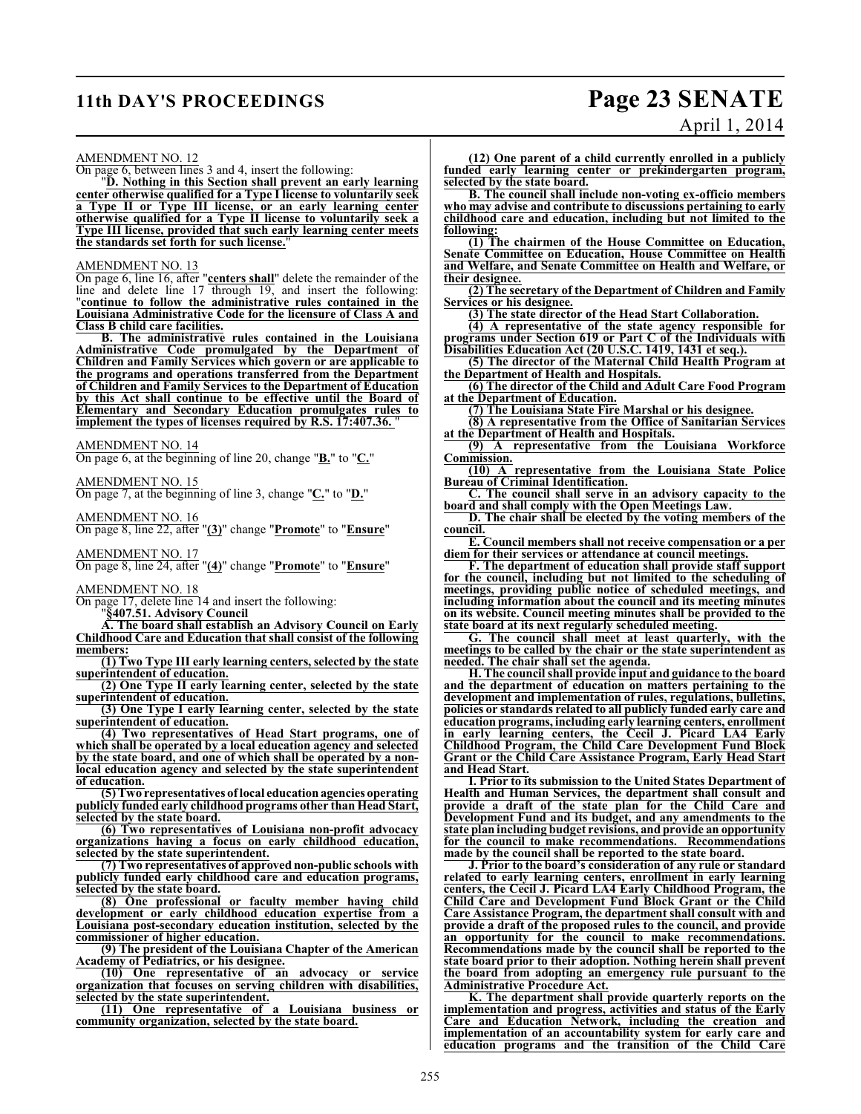### **11th DAY'S PROCEEDINGS Page 23 SENATE**

# April 1, 2014

AMENDMENT NO. 12

On page 6, between lines 3 and 4, insert the following:

"**D. Nothing in this Section shall prevent an early learning center otherwise qualified for a Type I license to voluntarily seek a Type II or Type III license, or an early learning center otherwise qualified for a Type II license to voluntarily seek a Type III license, provided that such early learning center meets the standards set forth for such license.**"

AMENDMENT NO. 13

On page 6, line 16, after "**centers shall**" delete the remainder of the line and delete line 17 through 19, and insert the following: "**continue to follow the administrative rules contained in the Louisiana Administrative Code for the licensure of Class A and Class B child care facilities.**

**B. The administrative rules contained in the Louisiana Administrative Code promulgated by the Department of Children and Family Services which govern or are applicable to the programs and operations transferred from the Department of Children and Family Services to the Department of Education by this Act shall continue to be effective until the Board of Elementary and Secondary Education promulgates rules to implement the types of licenses required by R.S. 17:407.36.** 

AMENDMENT NO. 14

On page 6, at the beginning of line 20, change "**B.**" to "**C.**"

AMENDMENT NO. 15

On page 7, at the beginning of line 3, change "**C.**" to "**D.**"

AMENDMENT NO. 16

On page 8, line 22, after "**(3)**" change "**Promote**" to "**Ensure**"

AMENDMENT NO. 17

On page 8, line 24, after "**(4)**" change "**Promote**" to "**Ensure**"

AMENDMENT NO. 18

On page 17, delete line 14 and insert the following:

"**§407.51. Advisory Council**

**A. The board shall establish an Advisory Council on Early Childhood Care and Education that shall consist of the following members:**

**(1) Two Type III early learning centers, selected by the state superintendent of education.**

**(2) One Type II early learning center, selected by the state superintendent of education.**

**(3) One Type I early learning center, selected by the state superintendent of education.**

**(4) Two representatives of Head Start programs, one of which shall be operated by a local education agency and selected by the state board, and one of which shall be operated by a nonlocal education agency and selected by the state superintendent of education.**

**(5) Two representatives of local education agencies operating publicly funded early childhood programs other than Head Start, selected by the state board.** 

**(6) Two representatives of Louisiana non-profit advocacy organizations having a focus on early childhood education, selected by the state superintendent.**

**(7) Two representatives of approved non-public schools with publicly funded early childhood care and education programs, selected by the state board.**

**(8) One professional or faculty member having child development or early childhood education expertise from a Louisiana post-secondary education institution, selected by the commissioner of higher education.**

**(9) The president of the Louisiana Chapter of the American Academy of Pediatrics, or his designee.**

**(10) One representative of an advocacy or service organization that focuses on serving children with disabilities, selected by the state superintendent.**

**(11) One representative of a Louisiana business or community organization, selected by the state board.**

**(12) One parent of a child currently enrolled in a publicly funded early learning center or prekindergarten program, selected by the state board.**

**B. The council shall include non-voting ex-officio members who may advise and contribute to discussions pertaining to early childhood care and education, including but not limited to the following:**

**(1) The chairmen of the House Committee on Education, Senate Committee on Education, House Committee on Health and Welfare, and Senate Committee on Health and Welfare, or their designee.**

**(2) The secretary of the Department of Children and Family Services or his designee.**

**(3) The state director of the Head Start Collaboration.**

**(4) A representative of the state agency responsible for programs under Section 619 or Part C of the Individuals with Disabilities Education Act (20 U.S.C. 1419, 1431 et seq.).**

**(5) The director of the Maternal Child Health Program at the Department of Health and Hospitals.**

**(6) The director of the Child and Adult Care Food Program at the Department of Education.**

**(7) The Louisiana State Fire Marshal or his designee.**

**(8) A representative from the Office of Sanitarian Services at the Department of Health and Hospitals.**

**(9) A representative from the Louisiana Workforce Commission.**

**(10) A representative from the Louisiana State Police Bureau of Criminal Identification.**

**C. The council shall serve in an advisory capacity to the board and shall comply with the Open Meetings Law.**

**D. The chair shall be elected by the voting members of the council.**

**E. Council members shall not receive compensation or a per diem for their services or attendance at council meetings.**

**F. The department of education shall provide staff support for the council, including but not limited to the scheduling of meetings, providing public notice of scheduled meetings, and including information about the council and its meeting minutes on its website. Council meeting minutes shall be provided to the state board at its next regularly scheduled meeting.**

**G. The council shall meet at least quarterly, with the meetings to be called by the chair or the state superintendent as needed. The chair shall set the agenda.**

**H. The council shall provide input and guidance to the board and the department of education on matters pertaining to the development and implementation of rules, regulations, bulletins, policies or standards related to all publicly funded early care and education programs, including early learning centers, enrollment in early learning centers, the Cecil J. Picard LA4 Early Childhood Program, the Child Care Development Fund Block Grant or the Child Care Assistance Program, Early Head Start and Head Start.**

**I. Prior to its submission to the United States Department of Health and Human Services, the department shall consult and provide a draft of the state plan for the Child Care and Development Fund and its budget, and any amendments to the state plan including budget revisions, and provide an opportunity for the council to make recommendations. Recommendations made by the council shall be reported to the state board.**

**J. Prior to the board's consideration of any rule or standard related to early learning centers, enrollment in early learning centers, the Cecil J. Picard LA4 Early Childhood Program, the Child Care and Development Fund Block Grant or the Child Care Assistance Program, the department shall consult with and provide a draft of the proposed rules to the council, and provide an opportunity for the council to make recommendations. Recommendations made by the council shall be reported to the state board prior to their adoption. Nothing herein shall prevent the board from adopting an emergency rule pursuant to the Administrative Procedure Act.**

**K. The department shall provide quarterly reports on the implementation and progress, activities and status of the Early Care and Education Network, including the creation and implementation of an accountability system for early care and education programs and the transition of the Child Care**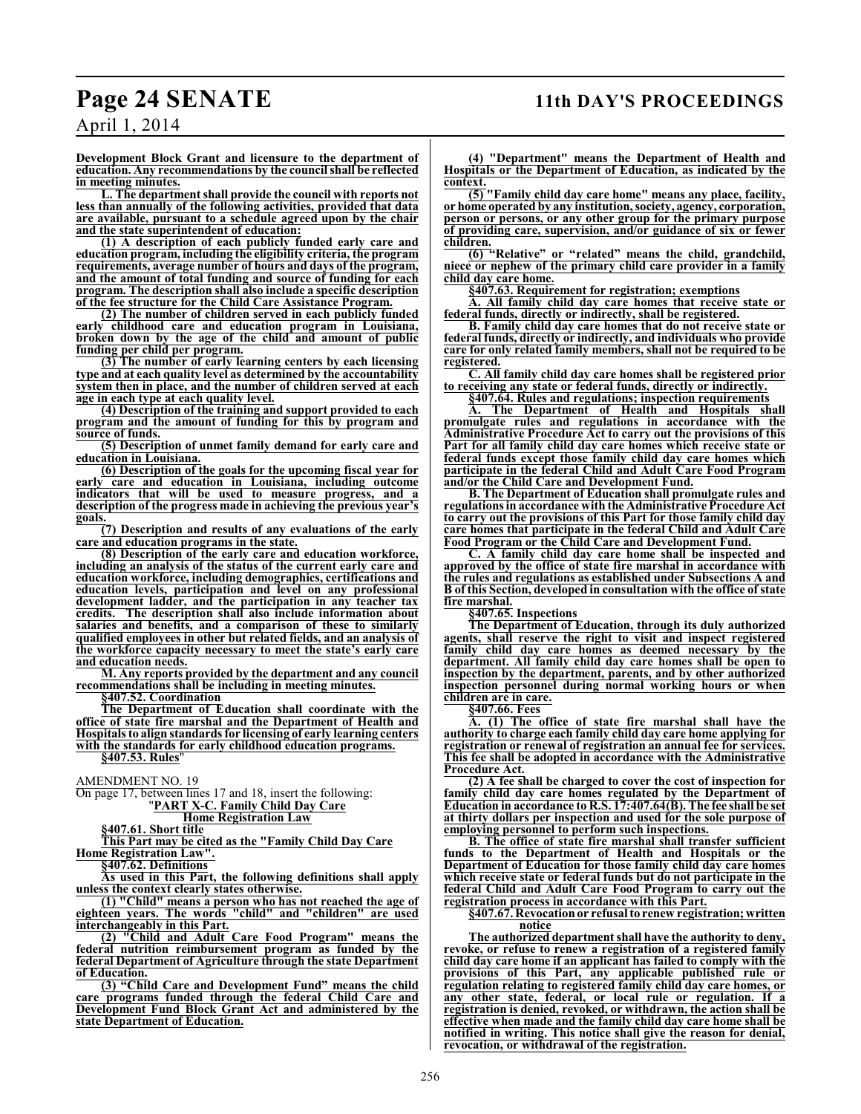April 1, 2014

**Development Block Grant and licensure to the department of education. Any recommendations by the council shall be reflected in meeting minutes.**

**L. The department shall provide the council with reports not less than annually of the following activities, provided that data are available, pursuant to a schedule agreed upon by the chair and the state superintendent of education:**

**(1) A description of each publicly funded early care and education program, including the eligibility criteria, the program requirements, average number of hours and days of the program, and the amount of total funding and source of funding for each program. The description shall also include a specific description of the fee structure for the Child Care Assistance Program.**

**(2) The number of children served in each publicly funded early childhood care and education program in Louisiana, broken down by the age of the child and amount of public funding per child per program.**

**(3) The number of early learning centers by each licensing type and at each quality level as determined by the accountability system then in place, and the number of children served at each age in each type at each quality level.**

**(4) Description of the training and support provided to each program and the amount of funding for this by program and source of funds.**

**(5) Description of unmet family demand for early care and education in Louisiana.**

**(6) Description of the goals for the upcoming fiscal year for early care and education in Louisiana, including outcome indicators that will be used to measure progress, and a description of the progress made in achieving the previous year's goals.**

**(7) Description and results of any evaluations of the early care and education programs in the state.**

**(8) Description of the early care and education workforce, including an analysis of the status of the current early care and education workforce, including demographics, certifications and education levels, participation and level on any professional development ladder, and the participation in any teacher tax credits. The description shall also include information about salaries and benefits, and a comparison of these to similarly qualified employees in other but related fields, and an analysis of the workforce capacity necessary to meet the state's early care and education needs.**

**M. Any reports provided by the department and any council recommendations shall be including in meeting minutes.**

**§407.52. Coordination**

**The Department of Education shall coordinate with the office of state fire marshal and the Department of Health and Hospitals to align standards for licensing of early learning centers with the standards for early childhood education programs.**

**§407.53. Rules**"

AMENDMENT NO. 19

On page 17, between lines 17 and 18, insert the following:

"**PART X-C. Family Child Day Care**

**Home Registration Law**

**§407.61. Short title**

**This Part may be cited as the "Family Child Day Care Home Registration Law".**

**§407.62. Definitions**

**As used in this Part, the following definitions shall apply unless the context clearly states otherwise.**

**(1) "Child" means a person who has not reached the age of eighteen years. The words "child" and "children" are used interchangeably in this Part.**

**(2) "Child and Adult Care Food Program" means the federal nutrition reimbursement program as funded by the federal Department of Agriculture through the state Department of Education.**

**(3) "Child Care and Development Fund" means the child care programs funded through the federal Child Care and Development Fund Block Grant Act and administered by the state Department of Education.**

**(4) "Department" means the Department of Health and Hospitals or the Department of Education, as indicated by the context.**

**(5) "Family child day care home" means any place, facility, or home operated by any institution, society, agency, corporation, person or persons, or any other group for the primary purpose of providing care, supervision, and/or guidance of six or fewer children.**

**(6) "Relative" or "related" means the child, grandchild, niece or nephew of the primary child care provider in a family child day care home.**

**§407.63. Requirement for registration; exemptions**

**A. All family child day care homes that receive state or federal funds, directly or indirectly, shall be registered.**

**B. Family child day care homes that do not receive state or federal funds, directly or indirectly, and individuals who provide care for only related family members, shall not be required to be registered.**

**C. All family child day care homes shall be registered prior to receiving any state or federal funds, directly or indirectly.**

**§407.64. Rules and regulations; inspection requirements**

The Department of Health and Hospitals shall **promulgate rules and regulations in accordance with the Administrative Procedure Act to carry out the provisions of this Part for all family child day care homes which receive state or federal funds except those family child day care homes which participate in the federal Child and Adult Care Food Program and/or the Child Care and Development Fund.**

**B. The Department of Education shall promulgate rules and regulations in accordance with the Administrative Procedure Act to carry out the provisions of this Part for those family child day care homes that participate in the federal Child and Adult Care Food Program or the Child Care and Development Fund.**

**C. A family child day care home shall be inspected and approved by the office of state fire marshal in accordance with the rules and regulations as established under Subsections A and B of this Section, developed in consultation with the office of state fire marshal.**

**§407.65. Inspections**

**The Department of Education, through its duly authorized agents, shall reserve the right to visit and inspect registered family child day care homes as deemed necessary by the department. All family child day care homes shall be open to inspection by the department, parents, and by other authorized inspection personnel during normal working hours or when children are in care.**

**§407.66. Fees**

**A. (1) The office of state fire marshal shall have the authority to charge each family child day care home applying for registration or renewal of registration an annual fee for services. This fee shall be adopted in accordance with the Administrative Procedure Act.**

**(2) A fee shall be charged to cover the cost of inspection for family child day care homes regulated by the Department of Education in accordance to R.S. 17:407.64(B). The fee shall be set at thirty dollars per inspection and used for the sole purpose of employing personnel to perform such inspections.**

**B. The office of state fire marshal shall transfer sufficient funds to the Department of Health and Hospitals or the Department of Education for those family child day care homes which receive state or federal funds but do not participate in the federal Child and Adult Care Food Program to carry out the registration process in accordance with this Part.**

**§407.67. Revocation or refusal to renew registration; written notice**

**The authorized department shall have the authority to deny, revoke, or refuse to renew a registration of a registered family child day care home if an applicant has failed to comply with the provisions of this Part, any applicable published rule or regulation relating to registered family child day care homes, or any other state, federal, or local rule or regulation. If a registration is denied, revoked, or withdrawn, the action shall be effective when made and the family child day care home shall be notified in writing. This notice shall give the reason for denial, revocation, or withdrawal of the registration.**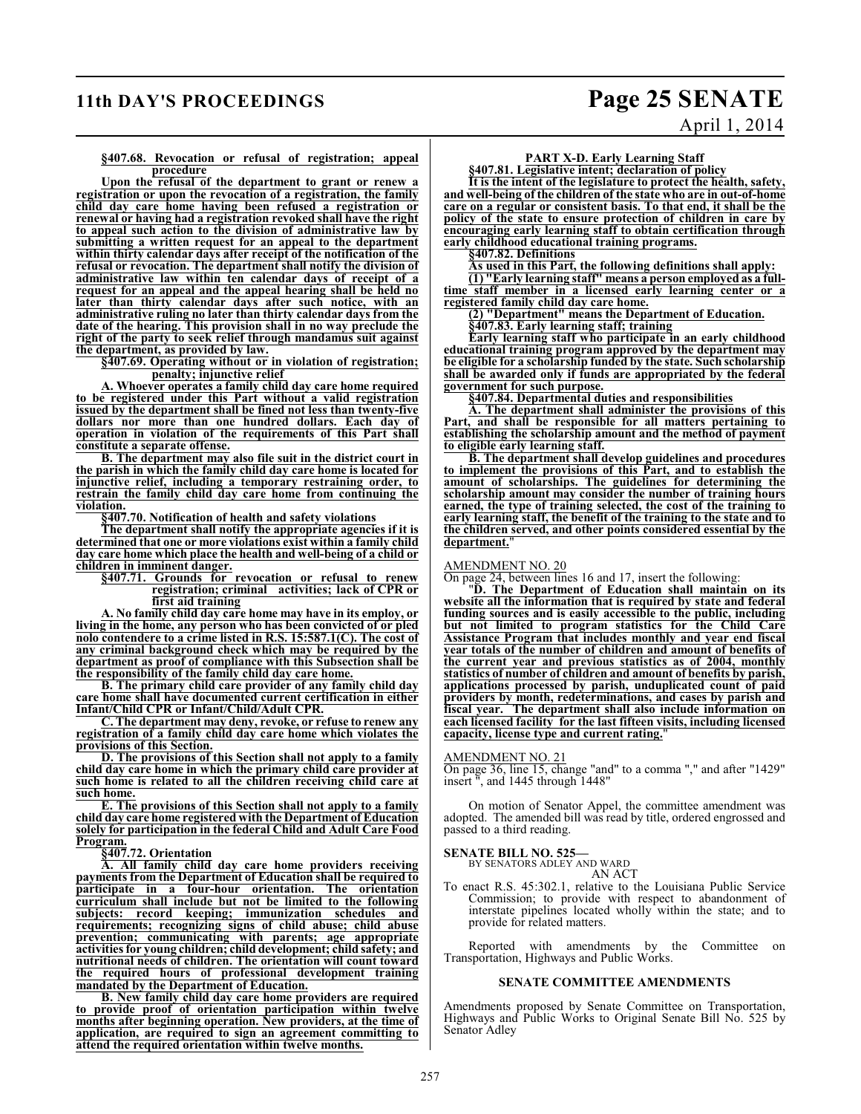### **11th DAY'S PROCEEDINGS Page 25 SENATE**

April 1, 2014

#### **§407.68. Revocation or refusal of registration; appeal procedure**

**Upon the refusal of the department to grant or renew a registration or upon the revocation of a registration, the family child day care home having been refused a registration or renewal or having had a registration revoked shall have the right to appeal such action to the division of administrative law by submitting a written request for an appeal to the department within thirty calendar days after receipt of the notification of the refusal or revocation. The department shall notify the division of administrative law within ten calendar days of receipt of a request for an appeal and the appeal hearing shall be held no later than thirty calendar days after such notice, with an administrative ruling no later than thirty calendar days from the date of the hearing. This provision shall in no way preclude the right of the party to seek relief through mandamus suit against the department, as provided by law.**

**§407.69. Operating without or in violation of registration; penalty; injunctive relief** 

**A. Whoever operates a family child day care home required to be registered under this Part without a valid registration issued by the department shall be fined not less than twenty-five dollars nor more than one hundred dollars. Each day of operation in violation of the requirements of this Part shall constitute a separate offense.**

**B. The department may also file suit in the district court in the parish in which the family child day care home is located for injunctive relief, including a temporary restraining order, to restrain the family child day care home from continuing the violation.**

**§407.70. Notification of health and safety violations**

**The department shall notify the appropriate agencies if it is determined that one or more violations exist within a family child day care home which place the health and well-being of a child or children in imminent danger.**

**§407.71. Grounds for revocation or refusal to renew registration; criminal activities; lack of CPR or first aid training**

**A. No family child day care home may have in its employ, or living in the home, any person who has been convicted of or pled nolo contendere to a crime listed in R.S. 15:587.1(C). The cost of any criminal background check which may be required by the department as proof of compliance with this Subsection shall be the responsibility of the family child day care home.**

**B. The primary child care provider of any family child day care home shall have documented current certification in either Infant/Child CPR or Infant/Child/Adult CPR.**

**C. The department may deny, revoke, or refuse to renew any registration of a family child day care home which violates the provisions of this Section.**

**D. The provisions of this Section shall not apply to a family child day care home in which the primary child care provider at such home is related to all the children receiving child care at such home.**

**E. The provisions of this Section shall not apply to a family child day care home registered with the Department of Education solely for participation in the federal Child and Adult Care Food Program.**

**§407.72. Orientation**

**A. All family child day care home providers receiving payments from the Department of Education shall be required to participate in a four-hour orientation. The orientation curriculum shall include but not be limited to the following subjects: record keeping; immunization schedules and requirements; recognizing signs of child abuse; child abuse prevention; communicating with parents; age appropriate activities for young children; child development; child safety; and nutritional needs of children. The orientation will count toward the required hours of professional development training mandated by the Department of Education.**

**B. New family child day care home providers are required to provide proof of orientation participation within twelve months after beginning operation. New providers, at the time of application, are required to sign an agreement committing to attend the required orientation within twelve months.**

### **PART X-D. Early Learning Staff**

**§407.81. Legislative intent; declaration of policy**

**It is the intent of the legislature to protect the health, safety, and well-being of the children of the state who are in out-of-home care on a regular or consistent basis. To that end, it shall be the policy of the state to ensure protection of children in care by encouraging early learning staff to obtain certification through early childhood educational training programs.**

**§407.82. Definitions**

**As used in this Part, the following definitions shall apply:**

**(1) "Early learning staff" means a person employed as a fulltime staff member in a licensed early learning center or a registered family child day care home.**

**(2) "Department" means the Department of Education. §407.83. Early learning staff; training**

**Early learning staff who participate in an early childhood educational training program approved by the department may be eligible for a scholarship funded by the state. Such scholarship shall be awarded only if funds are appropriated by the federal government for such purpose.**

**§407.84. Departmental duties and responsibilities**

**A. The department shall administer the provisions of this Part, and shall be responsible for all matters pertaining to establishing the scholarship amount and the method of payment to eligible early learning staff.**

**B. The department shall develop guidelines and procedures to implement the provisions of this Part, and to establish the amount of scholarships. The guidelines for determining the scholarship amount may consider the number of training hours earned, the type of training selected, the cost of the training to early learning staff, the benefit of the training to the state and to the children served, and other points considered essential by the department.**"

#### AMENDMENT NO. 20

On page 24, between lines 16 and 17, insert the following:

"**D. The Department of Education shall maintain on its website all the information that is required by state and federal funding sources and is easily accessible to the public, including but not limited to program statistics for the Child Care Assistance Program that includes monthly and year end fiscal year totals of the number of children and amount of benefits of the current year and previous statistics as of 2004, monthly statistics of number of children and amount of benefits by parish, applications processed by parish, unduplicated count of paid providers by month, redeterminations, and cases by parish and fiscal year. The department shall also include information on each licensed facility for the last fifteen visits, including licensed capacity, license type and current rating.**"

#### AMENDMENT NO. 21

On page 36, line 15, change "and" to a comma "," and after "1429" insert ", and 1445 through 1448"

On motion of Senator Appel, the committee amendment was adopted. The amended bill was read by title, ordered engrossed and passed to a third reading.

## **SENATE BILL NO. 525—** BY SENATORS ADLEY AND WARD

AN ACT

To enact R.S. 45:302.1, relative to the Louisiana Public Service Commission; to provide with respect to abandonment of interstate pipelines located wholly within the state; and to provide for related matters.

Reported with amendments by the Committee on Transportation, Highways and Public Works.

#### **SENATE COMMITTEE AMENDMENTS**

Amendments proposed by Senate Committee on Transportation, Highways and Public Works to Original Senate Bill No. 525 by Senator Adley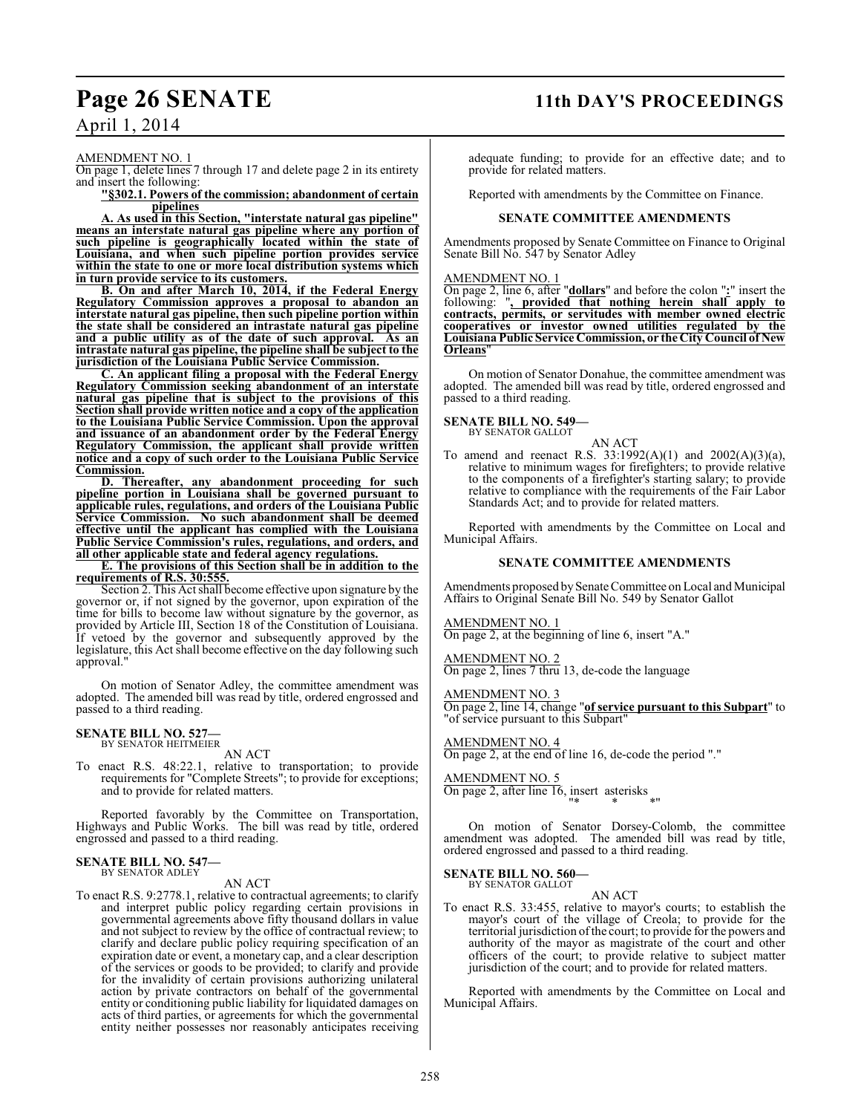### **Page 26 SENATE 11th DAY'S PROCEEDINGS**

### April 1, 2014

AMENDMENT NO. 1

On page 1, delete lines 7 through 17 and delete page 2 in its entirety and insert the following:

**"§302.1. Powers of the commission; abandonment of certain pipelines**

**A. As used in this Section, "interstate natural gas pipeline" means an interstate natural gas pipeline where any portion of such pipeline is geographically located within the state of Louisiana, and when such pipeline portion provides service within the state to one or more local distribution systems which in turn provide service to its customers.**

**B. On and after March 10, 2014, if the Federal Energy Regulatory Commission approves a proposal to abandon an interstate natural gas pipeline, then such pipeline portion within the state shall be considered an intrastate natural gas pipeline and a public utility as of the date of such approval. As an intrastate natural gas pipeline, the pipeline shall be subject to the jurisdiction of the Louisiana Public Service Commission.**

**C. An applicant filing a proposal with the Federal Energy Regulatory Commission seeking abandonment of an interstate natural gas pipeline that is subject to the provisions of this Section shall provide written notice and a copy of the application to the Louisiana Public Service Commission. Upon the approval and issuance of an abandonment order by the Federal Energy Regulatory Commission, the applicant shall provide written notice and a copy of such order to the Louisiana Public Service Commission.**

**D. Thereafter, any abandonment proceeding for such pipeline portion in Louisiana shall be governed pursuant to applicable rules, regulations, and orders of the Louisiana Public Service Commission. No such abandonment shall be deemed effective until the applicant has complied with the Louisiana Public Service Commission's rules, regulations, and orders, and all other applicable state and federal agency regulations.**

**E. The provisions of this Section shall be in addition to the requirements of R.S. 30:555.**

Section 2. This Act shall become effective upon signature by the governor or, if not signed by the governor, upon expiration of the time for bills to become law without signature by the governor, as provided by Article III, Section 18 of the Constitution of Louisiana. If vetoed by the governor and subsequently approved by the legislature, this Act shall become effective on the day following such approval."

On motion of Senator Adley, the committee amendment was adopted. The amended bill was read by title, ordered engrossed and passed to a third reading.

## **SENATE BILL NO. 527—** BY SENATOR HEITMEIER

AN ACT

To enact R.S. 48:22.1, relative to transportation; to provide requirements for "Complete Streets"; to provide for exceptions; and to provide for related matters.

Reported favorably by the Committee on Transportation, Highways and Public Works. The bill was read by title, ordered engrossed and passed to a third reading.

#### **SENATE BILL NO. 547—** BY SENATOR ADLEY

AN ACT

To enact R.S. 9:2778.1, relative to contractual agreements; to clarify and interpret public policy regarding certain provisions in governmental agreements above fifty thousand dollars in value and not subject to review by the office of contractual review; to clarify and declare public policy requiring specification of an expiration date or event, a monetary cap, and a clear description of the services or goods to be provided; to clarify and provide for the invalidity of certain provisions authorizing unilateral action by private contractors on behalf of the governmental entity or conditioning public liability for liquidated damages on acts of third parties, or agreements for which the governmental entity neither possesses nor reasonably anticipates receiving adequate funding; to provide for an effective date; and to provide for related matters.

Reported with amendments by the Committee on Finance.

#### **SENATE COMMITTEE AMENDMENTS**

Amendments proposed by Senate Committee on Finance to Original Senate Bill No. 547 by Senator Adley

#### AMENDMENT NO. 1

On page 2, line 6, after "**dollars**" and before the colon "**:**" insert the following: "**, provided that nothing herein shall apply to contracts, permits, or servitudes with member owned electric cooperatives or investor owned utilities regulated by the Louisiana Public Service Commission, or the City Council of New Orleans**"

On motion of Senator Donahue, the committee amendment was adopted. The amended bill was read by title, ordered engrossed and passed to a third reading.

#### **SENATE BILL NO. 549—** BY SENATOR GALLOT

AN ACT To amend and reenact R.S. 33:1992(A)(1) and 2002(A)(3)(a), relative to minimum wages for firefighters; to provide relative to the components of a firefighter's starting salary; to provide relative to compliance with the requirements of the Fair Labor Standards Act; and to provide for related matters.

Reported with amendments by the Committee on Local and Municipal Affairs.

#### **SENATE COMMITTEE AMENDMENTS**

Amendments proposed by Senate Committee on Local and Municipal Affairs to Original Senate Bill No. 549 by Senator Gallot

#### AMENDMENT NO. 1

On page 2, at the beginning of line 6, insert "A."

AMENDMENT NO. 2 On page 2, lines 7 thru 13, de-code the language

AMENDMENT NO. 3

On page 2, line 14, change "**of service pursuant to this Subpart**" to "of service pursuant to this Subpart"

### AMENDMENT NO. 4

On page 2, at the end of line 16, de-code the period "."

### AMENDMENT NO. 5

On page 2, after line 16, insert asterisks "\* \* \*"

On motion of Senator Dorsey-Colomb, the committee amendment was adopted. The amended bill was read by title, ordered engrossed and passed to a third reading.

#### **SENATE BILL NO. 560—** BY SENATOR GALLOT

AN ACT

To enact R.S. 33:455, relative to mayor's courts; to establish the mayor's court of the village of Creola; to provide for the territorial jurisdiction ofthe court; to provide for the powers and authority of the mayor as magistrate of the court and other officers of the court; to provide relative to subject matter jurisdiction of the court; and to provide for related matters.

Reported with amendments by the Committee on Local and Municipal Affairs.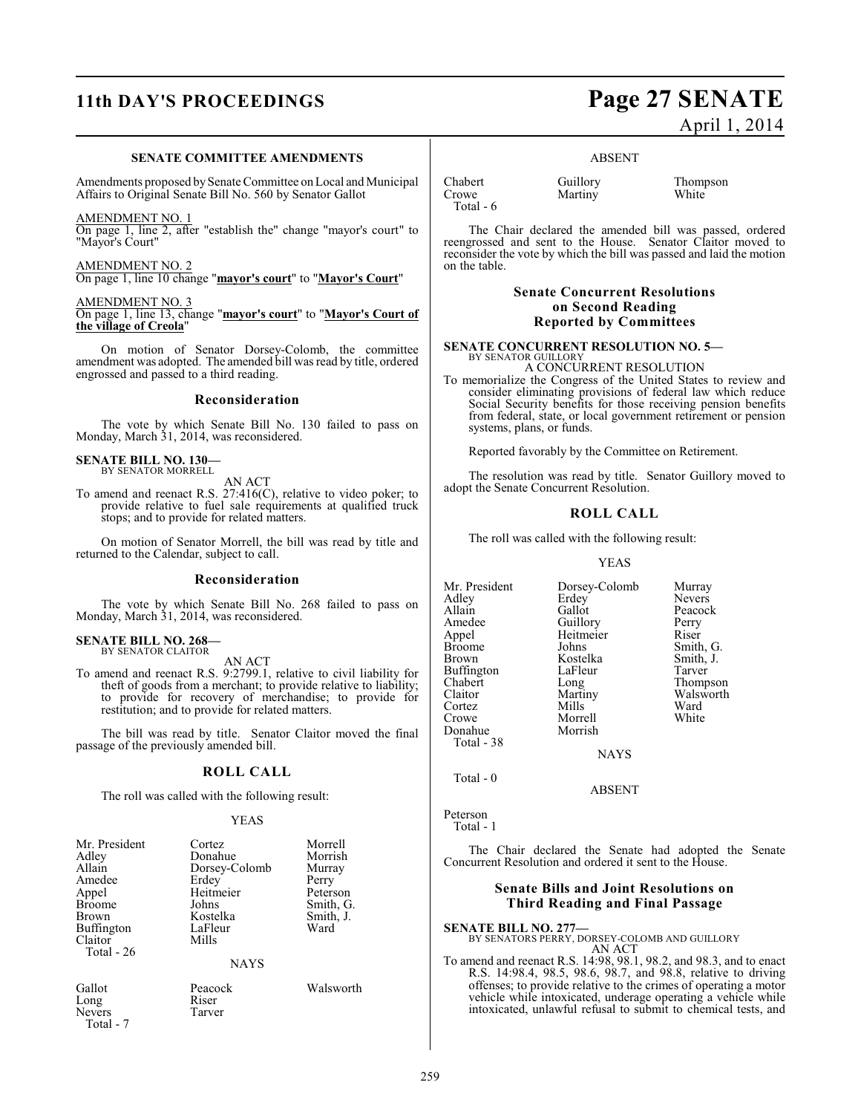## **11th DAY'S PROCEEDINGS Page 27 SENATE**

#### **SENATE COMMITTEE AMENDMENTS**

Amendments proposed by Senate Committee on Local and Municipal Affairs to Original Senate Bill No. 560 by Senator Gallot

#### AMENDMENT NO. 1

On page 1, line 2, after "establish the" change "mayor's court" to "Mayor's Court"

#### AMENDMENT NO. 2

On page 1, line 10 change "**mayor's court**" to "**Mayor's Court**"

#### AMENDMENT NO. 3

On page 1, line 13, change "**mayor's court**" to "**Mayor's Court of the village of Creola**"

On motion of Senator Dorsey-Colomb, the committee amendment was adopted. The amended bill was read by title, ordered engrossed and passed to a third reading.

#### **Reconsideration**

The vote by which Senate Bill No. 130 failed to pass on Monday, March 31, 2014, was reconsidered.

### **SENATE BILL NO. 130—** BY SENATOR MORRELL

AN ACT

To amend and reenact R.S. 27:416(C), relative to video poker; to provide relative to fuel sale requirements at qualified truck stops; and to provide for related matters.

On motion of Senator Morrell, the bill was read by title and returned to the Calendar, subject to call.

#### **Reconsideration**

The vote by which Senate Bill No. 268 failed to pass on Monday, March 31, 2014, was reconsidered.

### **SENATE BILL NO. 268—** BY SENATOR CLAITOR

AN ACT

To amend and reenact R.S. 9:2799.1, relative to civil liability for theft of goods from a merchant; to provide relative to liability; to provide for recovery of merchandise; to provide for restitution; and to provide for related matters.

The bill was read by title. Senator Claitor moved the final passage of the previously amended bill.

#### **ROLL CALL**

The roll was called with the following result:

#### YEAS

| Mr. President<br>Adley<br>Allain<br>Amedee<br>Appel<br><b>Broome</b><br>Brown<br>Buffington<br>Claitor | Cortez<br>Donahue<br>Dorsey-Colomb<br>Erdey<br>Heitmeier<br>Johns<br>Kostelka<br>LaFleur<br>Mills | Morrell<br>Morrish<br>Murray<br>Perry<br>Peterson<br>Smith, G.<br>Smith, J.<br>Ward |
|--------------------------------------------------------------------------------------------------------|---------------------------------------------------------------------------------------------------|-------------------------------------------------------------------------------------|
| Total - 26                                                                                             | <b>NAYS</b>                                                                                       |                                                                                     |

Long Riser<br>Nevers Tarver Nevers Total - 7

Gallot Peacock Walsworth<br>
Long Riser

April 1, 2014

#### ABSENT

Chabert Guillory Thompson<br>
Crowe Martiny White Total - 6

The Chair declared the amended bill was passed, ordered reengrossed and sent to the House. Senator Claitor moved to reconsider the vote by which the bill was passed and laid the motion on the table.

### **Senate Concurrent Resolutions on Second Reading Reported by Committees**

## **SENATE CONCURRENT RESOLUTION NO. 5—** BY SENATOR GUILLORY

Martiny

A CONCURRENT RESOLUTION

To memorialize the Congress of the United States to review and consider eliminating provisions of federal law which reduce Social Security benefits for those receiving pension benefits from federal, state, or local government retirement or pension systems, plans, or funds.

Reported favorably by the Committee on Retirement.

The resolution was read by title. Senator Guillory moved to adopt the Senate Concurrent Resolution.

#### **ROLL CALL**

The roll was called with the following result:

#### YEAS

Mr. President Dorsey-Colomb Murray<br>Adley Erdey Nevers Adley Erdey Nevers<br>Allain Gallot Peacocl Allain Gallot Peacock<br>Amedee Guillory Perry Amedee Guillory Perry<br>Appel Heitmeier Riser Appel Heitmeier<br>Broome Johns Broome Johns Smith, G.<br>Brown Kostelka Smith, J. Buffington LaFle<br>Chabert Long Chabert Long Thompson<br>Claitor Martiny Walsworth Cortez Mills Ward Donahue Total - 38

Kostelka Smith,<br>LaFleur Tarver Martiny Walsworth<br>
Mills Ward

**NAYS** 

ABSENT

Morrell<br>Morrish

Total - 0

Peterson Total - 1

The Chair declared the Senate had adopted the Senate Concurrent Resolution and ordered it sent to the House.

### **Senate Bills and Joint Resolutions on Third Reading and Final Passage**

## **SENATE BILL NO. 277—** BY SENATORS PERRY, DORSEY-COLOMB AND GUILLORY

AN ACT

To amend and reenact R.S. 14:98, 98.1, 98.2, and 98.3, and to enact R.S. 14:98.4, 98.5, 98.6, 98.7, and 98.8, relative to driving offenses; to provide relative to the crimes of operating a motor vehicle while intoxicated, underage operating a vehicle while intoxicated, unlawful refusal to submit to chemical tests, and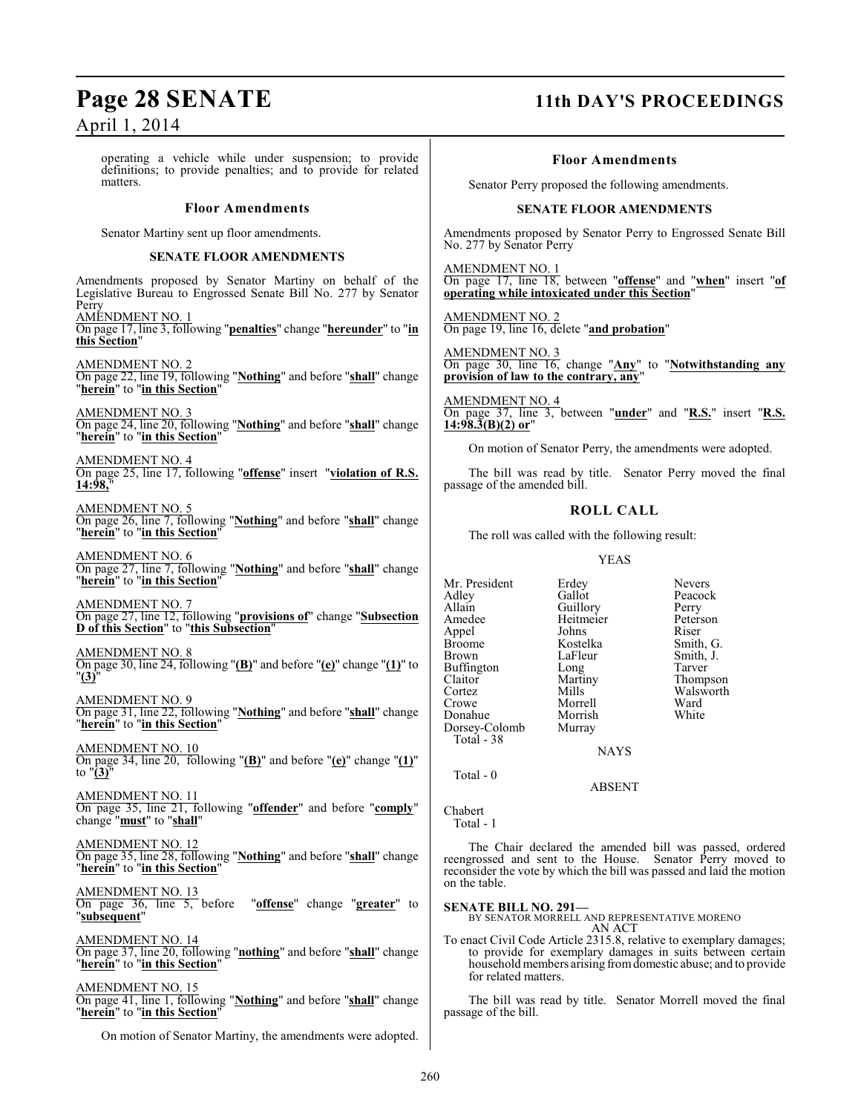### **Page 28 SENATE 11th DAY'S PROCEEDINGS**

April 1, 2014

operating a vehicle while under suspension; to provide definitions; to provide penalties; and to provide for related matters.

#### **Floor Amendments**

Senator Martiny sent up floor amendments.

#### **SENATE FLOOR AMENDMENTS**

Amendments proposed by Senator Martiny on behalf of the Legislative Bureau to Engrossed Senate Bill No. 277 by Senator Perry AMENDMENT NO. 1 On page 17, line 3, following "**penalties**" change "**hereunder**" to "**in this Section**" AMENDMENT NO. 2 On page 22, line 19, following "**Nothing**" and before "**shall**" change "**herein**" to "**in this Section**" AMENDMENT NO. 3 On page 24, line 20, following "**Nothing**" and before "**shall**" change "**herein**" to "**in this Section**"

AMENDMENT NO. 4 On page 25, line 17, following "**offense**" insert "**violation of R.S. 14:98,**"

AMENDMENT NO. 5 On page 26, line 7, following "**Nothing**" and before "**shall**" change "**herein**" to "**in this Section**"

AMENDMENT NO. 6 On page 27, line 7, following "**Nothing**" and before "**shall**" change "**herein**" to "**in this Section**"

AMENDMENT NO. 7 On page 27, line 12, following "**provisions of**" change "**Subsection D of this Section**" to "**this Subsection**"

AMENDMENT NO. 8 On page 30, line 24, following "**(B)**" and before "**(e)**" change "**(1)**" to "**(3)**"

AMENDMENT NO. 9 On page 31, line 22, following "**Nothing**" and before "**shall**" change "**herein**" to "**in this Section**"

AMENDMENT NO. 10 On page 34, line 20, following "**(B)**" and before "**(e)**" change "**(1)**" to "**(3)**"

AMENDMENT NO. 11 On page 35, line 21, following "**offender**" and before "**comply**" change "**must**" to "**shall**"

AMENDMENT NO. 12 On page 35, line 28, following "**Nothing**" and before "**shall**" change "**herein**" to "**in this Section**"

AMENDMENT NO. 13 On page 36, line 5, before "**offense**" change "**greater**" to "**subsequent**"

AMENDMENT NO. 14 On page 37, line 20, following "**nothing**" and before "**shall**" change "**herein**" to "**in this Section**"

AMENDMENT NO. 15

On page 41, line 1, following "**Nothing**" and before "**shall**" change "**herein**" to "**in this Section**"

On motion of Senator Martiny, the amendments were adopted.

#### **Floor Amendments**

Senator Perry proposed the following amendments.

#### **SENATE FLOOR AMENDMENTS**

Amendments proposed by Senator Perry to Engrossed Senate Bill No. 277 by Senator Perry

AMENDMENT NO. 1 On page 17, line 18, between "**offense**" and "**when**" insert "**of operating while intoxicated under this Section**"

AMENDMENT NO. 2 On page 19, line 16, delete "**and probation**"

AMENDMENT NO. 3 On page 30, line 16, change "**Any**" to "**Notwithstanding any provision of law to the contrary, any**"

AMENDMENT NO. 4 On page 37, line 3, between "**under**" and "**R.S.**" insert "**R.S. 14:98.3(B)(2) or**"

On motion of Senator Perry, the amendments were adopted.

The bill was read by title. Senator Perry moved the final passage of the amended bill.

### **ROLL CALL**

The roll was called with the following result:

YEAS

Mr. President Erdey Nevers<br>Adley Gallot Peacocl Adley Gallot Peacock<br>Allain Guillory Perry Allain Guillory Perry<br>Amedee Heitmeier Peterson Appel Johns Riser Broome Kostelka<br>Brown LaFleur Buffington Long<br>Claitor Martiny Claitor Martiny Thompson<br>
Cortez Mills Walsworth Cortez Mills Walsworth<br>Crowe Morrell Ward Donahue Morrish<br>Dorsey-Colomb Murray Dorsey-Colomb Total - 38

Heitmeier Peters<br>
Johns Riser LaFleur Smith, J.<br>Long Tarver Morrell Ward<br>
Morrish White

**NAYS** 

ABSENT

Total - 0

Chabert Total - 1

The Chair declared the amended bill was passed, ordered reengrossed and sent to the House. Senator Perry moved to reconsider the vote by which the bill was passed and laid the motion on the table.

**SENATE BILL NO. 291—** BY SENATOR MORRELL AND REPRESENTATIVE MORENO

AN ACT

To enact Civil Code Article 2315.8, relative to exemplary damages; to provide for exemplary damages in suits between certain household members arising from domestic abuse; and to provide for related matters.

The bill was read by title. Senator Morrell moved the final passage of the bill.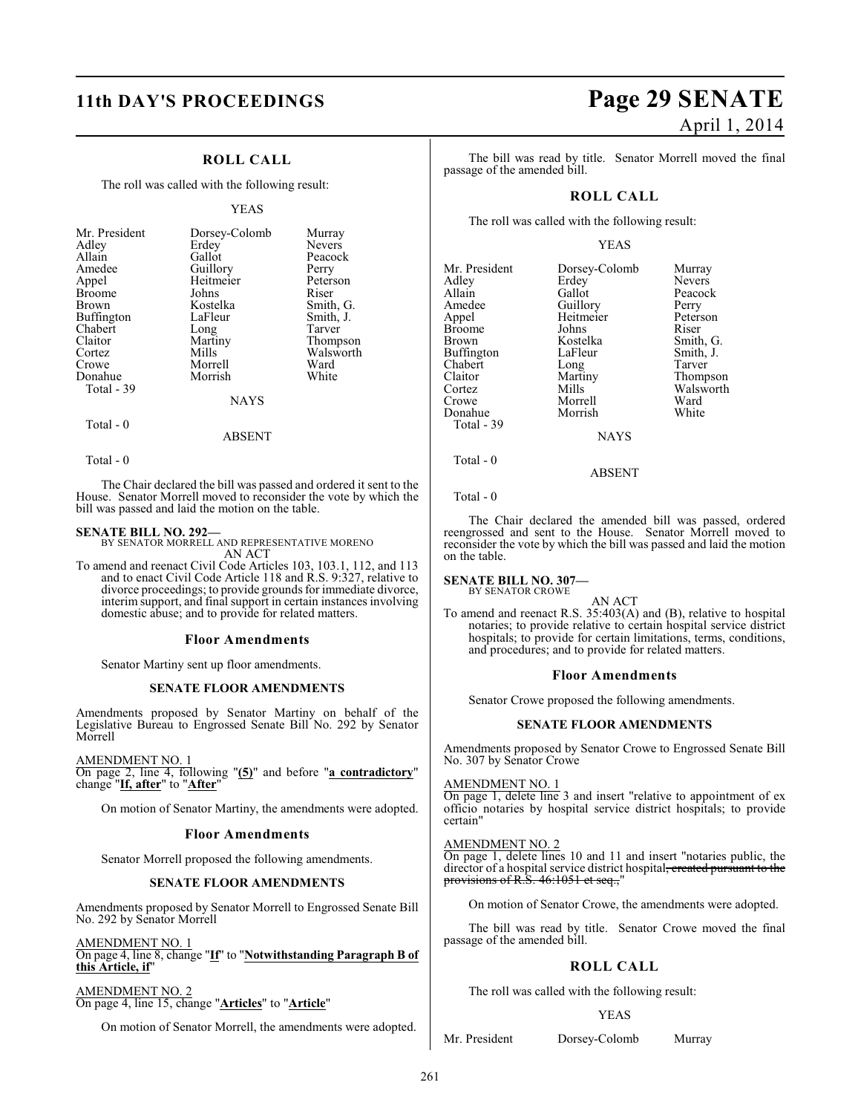## **11th DAY'S PROCEEDINGS Page 29 SENATE**

### **ROLL CALL**

The roll was called with the following result:

#### YEAS

| Mr. President<br>Adley<br>Allain<br>Amedee<br>Appel<br><b>Broome</b><br><b>Brown</b><br>Buffington<br>Chabert<br>Claitor<br>Cortez<br>Crowe<br>Donahue | Dorsey-Colomb<br>Erdey<br>Gallot<br>Guillory<br>Heitmeier<br>Johns<br>Kostelka<br>LaFleur<br>Long<br>Martiny<br>Mills<br>Morrell<br>Morrish | Murray<br><b>Nevers</b><br>Peacock<br>Perry<br>Peterson<br>Riser<br>Smith, G.<br>Smith, J.<br>Tarver<br>Thompson<br>Walsworth<br>Ward<br>White |
|--------------------------------------------------------------------------------------------------------------------------------------------------------|---------------------------------------------------------------------------------------------------------------------------------------------|------------------------------------------------------------------------------------------------------------------------------------------------|
| Total - 39                                                                                                                                             | NAYS                                                                                                                                        |                                                                                                                                                |
|                                                                                                                                                        |                                                                                                                                             |                                                                                                                                                |

### Total - 0

Total - 0

The Chair declared the bill was passed and ordered it sent to the House. Senator Morrell moved to reconsider the vote by which the bill was passed and laid the motion on the table.

ABSENT

**SENATE BILL NO. 292—** BY SENATOR MORRELL AND REPRESENTATIVE MORENO AN ACT

To amend and reenact Civil Code Articles 103, 103.1, 112, and 113 and to enact Civil Code Article 118 and R.S. 9:327, relative to divorce proceedings; to provide grounds for immediate divorce, interim support, and final support in certain instances involving domestic abuse; and to provide for related matters.

#### **Floor Amendments**

Senator Martiny sent up floor amendments.

#### **SENATE FLOOR AMENDMENTS**

Amendments proposed by Senator Martiny on behalf of the Legislative Bureau to Engrossed Senate Bill No. 292 by Senator Morrell

AMENDMENT NO. 1 On page 2, line 4, following "**(5)**" and before "**a contradictory**" change "**If, after**" to "**After**"

On motion of Senator Martiny, the amendments were adopted.

#### **Floor Amendments**

Senator Morrell proposed the following amendments.

#### **SENATE FLOOR AMENDMENTS**

Amendments proposed by Senator Morrell to Engrossed Senate Bill No. 292 by Senator Morrell

AMENDMENT NO. 1

On page 4, line 8, change "**If**" to "**Notwithstanding Paragraph B of this Article, if**"

#### AMENDMENT NO. 2

On page 4, line 15, change "**Articles**" to "**Article**"

On motion of Senator Morrell, the amendments were adopted.

# April 1, 2014

The bill was read by title. Senator Morrell moved the final passage of the amended bill.

### **ROLL CALL**

The roll was called with the following result:

#### YEAS

| Mr. President     | Dorsey-Colomb   | Murray        |
|-------------------|-----------------|---------------|
|                   |                 |               |
| Adley             | Erdey           | <b>Nevers</b> |
| Allain            | Gallot          | Peacock       |
| Amedee            | Guillory        | Perry         |
| Appel             | Heitmeier       | Peterson      |
| <b>Broome</b>     | Johns           | Riser         |
| Brown             | Kostelka        | Smith, G.     |
| <b>Buffington</b> | LaFleur         | Smith, J.     |
| Chabert           | Long            | Tarver        |
| Claitor           | Martiny         | Thompson      |
| Cortez            | Mills           | Walsworth     |
| Crowe             | Morrell         | Ward          |
| Donahue           | Morrish         | White         |
| Total - 39        |                 |               |
|                   | <b>NI A VZC</b> |               |

NAYS

ABSENT

#### Total - 0

Total - 0

The Chair declared the amended bill was passed, ordered reengrossed and sent to the House. Senator Morrell moved to reconsider the vote by which the bill was passed and laid the motion on the table.

## **SENATE BILL NO. 307—** BY SENATOR CROWE

AN ACT

To amend and reenact R.S. 35:403(A) and (B), relative to hospital notaries; to provide relative to certain hospital service district hospitals; to provide for certain limitations, terms, conditions, and procedures; and to provide for related matters.

#### **Floor Amendments**

Senator Crowe proposed the following amendments.

#### **SENATE FLOOR AMENDMENTS**

Amendments proposed by Senator Crowe to Engrossed Senate Bill No. 307 by Senator Crowe

AMENDMENT NO. 1

On page 1, delete line 3 and insert "relative to appointment of ex officio notaries by hospital service district hospitals; to provide certain"

### AMENDMENT NO. 2

On page 1, delete lines 10 and 11 and insert "notaries public, the director of a hospital service district hospital<del>, created pursuant to the</del> provisions of R.S. 46:1051 et seq.,"

On motion of Senator Crowe, the amendments were adopted.

The bill was read by title. Senator Crowe moved the final passage of the amended bill.

#### **ROLL CALL**

The roll was called with the following result:

#### YEAS

Mr. President Dorsey-Colomb Murray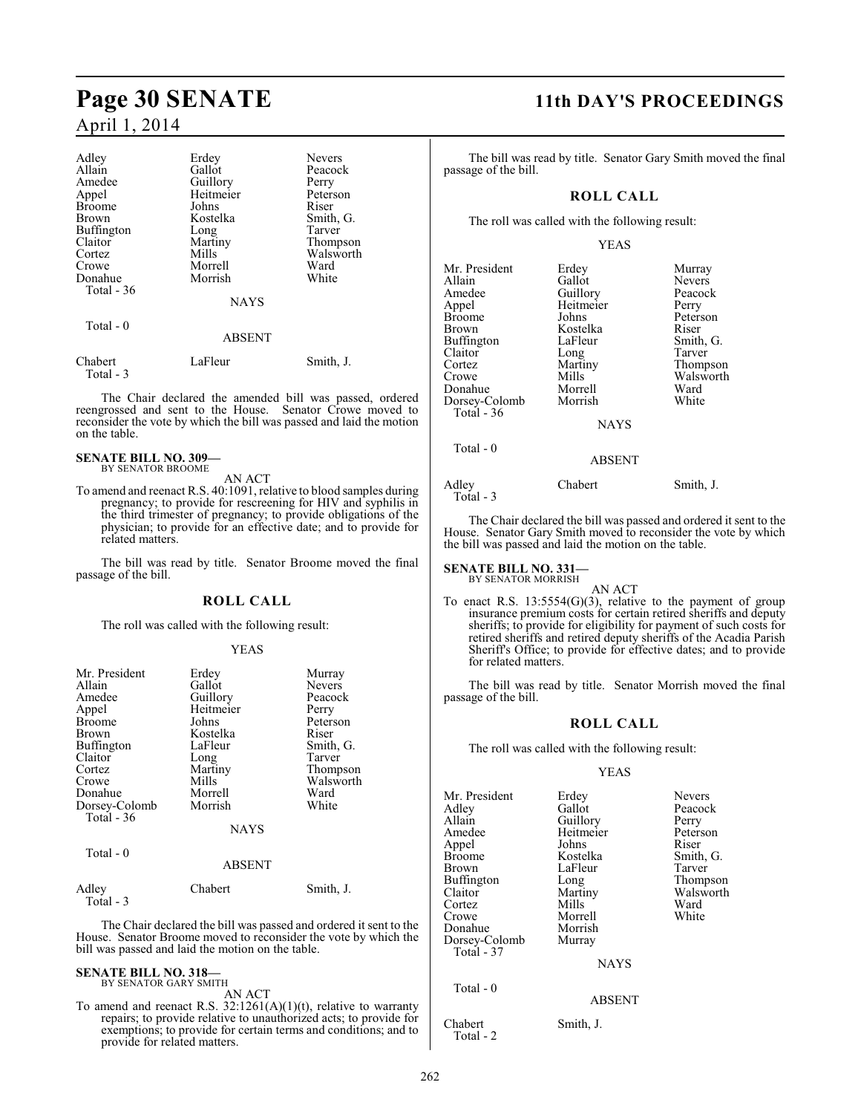### April 1, 2014

| Adley         | Erdey         | <b>Nevers</b> |
|---------------|---------------|---------------|
| Allain        | Gallot        | Peacock       |
| Amedee        | Guillory      | Perry         |
| Appel         | Heitmeier     | Peterson      |
| <b>Broome</b> | Johns         | Riser         |
| Brown         | Kostelka      | Smith, G.     |
| Buffington    | Long          | Tarver        |
| Claitor       | Martiny       | Thompson      |
| Cortez        | Mills         | Walsworth     |
| Crowe         | Morrell       | Ward          |
| Donahue       | Morrish       | White         |
| Total $-36$   |               |               |
|               | <b>NAYS</b>   |               |
| Total $-0$    |               |               |
|               | <b>ABSENT</b> |               |
| Chabert       | LaFleur       | Smith, J.     |

 Total - 3 The Chair declared the amended bill was passed, ordered reengrossed and sent to the House. Senator Crowe moved to reconsider the vote by which the bill was passed and laid the motion

## **SENATE BILL NO. 309—** BY SENATOR BROOME

on the table.

AN ACT

To amend and reenact R.S. 40:1091, relative to blood samples during pregnancy; to provide for rescreening for HIV and syphilis in the third trimester of pregnancy; to provide obligations of the physician; to provide for an effective date; and to provide for related matters.

The bill was read by title. Senator Broome moved the final passage of the bill.

#### **ROLL CALL**

The roll was called with the following result:

#### YEAS

| Mr. President<br>Allain<br>Amedee<br>Appel<br><b>Broome</b><br>Brown<br>Buffington<br>Claitor<br>Cortez<br>Crowe<br>Donahue<br>Dorsey-Colomb<br>Total - 36 | Erdey<br>Gallot<br>Guillory<br>Heitmeier<br>Johns<br>Kostelka<br>LaFleur<br>Long<br>Martiny<br>Mills<br>Morrell<br>Morrish | Murray<br><b>Nevers</b><br>Peacock<br>Perry<br>Peterson<br>Riser<br>Smith, G.<br>Tarver<br>Thompson<br>Walsworth<br>Ward<br>White |
|------------------------------------------------------------------------------------------------------------------------------------------------------------|----------------------------------------------------------------------------------------------------------------------------|-----------------------------------------------------------------------------------------------------------------------------------|
|                                                                                                                                                            | <b>NAYS</b>                                                                                                                |                                                                                                                                   |
| Total $-0$                                                                                                                                                 | <b>ABSENT</b>                                                                                                              |                                                                                                                                   |
| $A = 11 - 1$                                                                                                                                               | $C1 - 1 - 1$                                                                                                               | $C_{111}$ : $\pm 1$ . T                                                                                                           |

Adley Chabert Smith, J. Total - 3

The Chair declared the bill was passed and ordered it sent to the House. Senator Broome moved to reconsider the vote by which the bill was passed and laid the motion on the table.

#### **SENATE BILL NO. 318—** BY SENATOR GARY SMITH

AN ACT

To amend and reenact R.S.  $32:1261(A)(1)(t)$ , relative to warranty repairs; to provide relative to unauthorized acts; to provide for exemptions; to provide for certain terms and conditions; and to provide for related matters.

### **Page 30 SENATE 11th DAY'S PROCEEDINGS**

The bill was read by title. Senator Gary Smith moved the final passage of the bill.

### **ROLL CALL**

The roll was called with the following result:

#### YEAS

| Mr. President<br>Allain<br>Amedee<br>Appel<br>Broome<br>Brown<br>Buffington<br>Claitor<br>Cortez<br>Crowe<br>Donahue<br>Dorsey-Colomb<br>Total - 36<br>Total - 0 | Erdey<br>Gallot<br>Guillory<br>Heitmeier<br>Johns<br>Kostelka<br>LaFleur<br>Long<br>Martiny<br>Mills<br>Morrell<br>Morrish<br><b>NAYS</b> | Murray<br>Nevers<br>Peacock<br>Perry<br>Peterson<br>Riser<br>Smith, G.<br>Tarver<br>Thompson<br>Walsworth<br>Ward<br>White |
|------------------------------------------------------------------------------------------------------------------------------------------------------------------|-------------------------------------------------------------------------------------------------------------------------------------------|----------------------------------------------------------------------------------------------------------------------------|
|                                                                                                                                                                  | <b>ABSENT</b>                                                                                                                             |                                                                                                                            |
| Adley<br>Total - 3                                                                                                                                               | Chabert                                                                                                                                   | Smith, J.                                                                                                                  |

The Chair declared the bill was passed and ordered it sent to the House. Senator Gary Smith moved to reconsider the vote by which the bill was passed and laid the motion on the table.

## **SENATE BILL NO. 331—** BY SENATOR MORRISH

AN ACT To enact R.S. 13:5554(G)(3), relative to the payment of group insurance premium costs for certain retired sheriffs and deputy sheriffs; to provide for eligibility for payment of such costs for retired sheriffs and retired deputy sheriffs of the Acadia Parish Sheriff's Office; to provide for effective dates; and to provide for related matters.

The bill was read by title. Senator Morrish moved the final passage of the bill.

### **ROLL CALL**

The roll was called with the following result:

### YEAS

| Mr. President | Erdey         | <b>Nevers</b> |
|---------------|---------------|---------------|
| Adlev         | Gallot        | Peacock       |
| Allain        | Guillory      | Perry         |
| Amedee        | Heitmeier     | Peterson      |
| Appel         | Johns         | Riser         |
| Broome        | Kostelka      | Smith, G.     |
| Brown         | LaFleur       | Tarver        |
| Buffington    | Long          | Thompson      |
| Claitor       | Martiny       | Walsworth     |
| Cortez        | Mills         | Ward          |
| Crowe         | Morrell       | White         |
| Donahue       | Morrish       |               |
| Dorsey-Colomb | Murray        |               |
| Total - 37    |               |               |
|               | <b>NAYS</b>   |               |
| Total - 0     |               |               |
|               | <b>ABSENT</b> |               |

Chabert Smith, J. Total - 2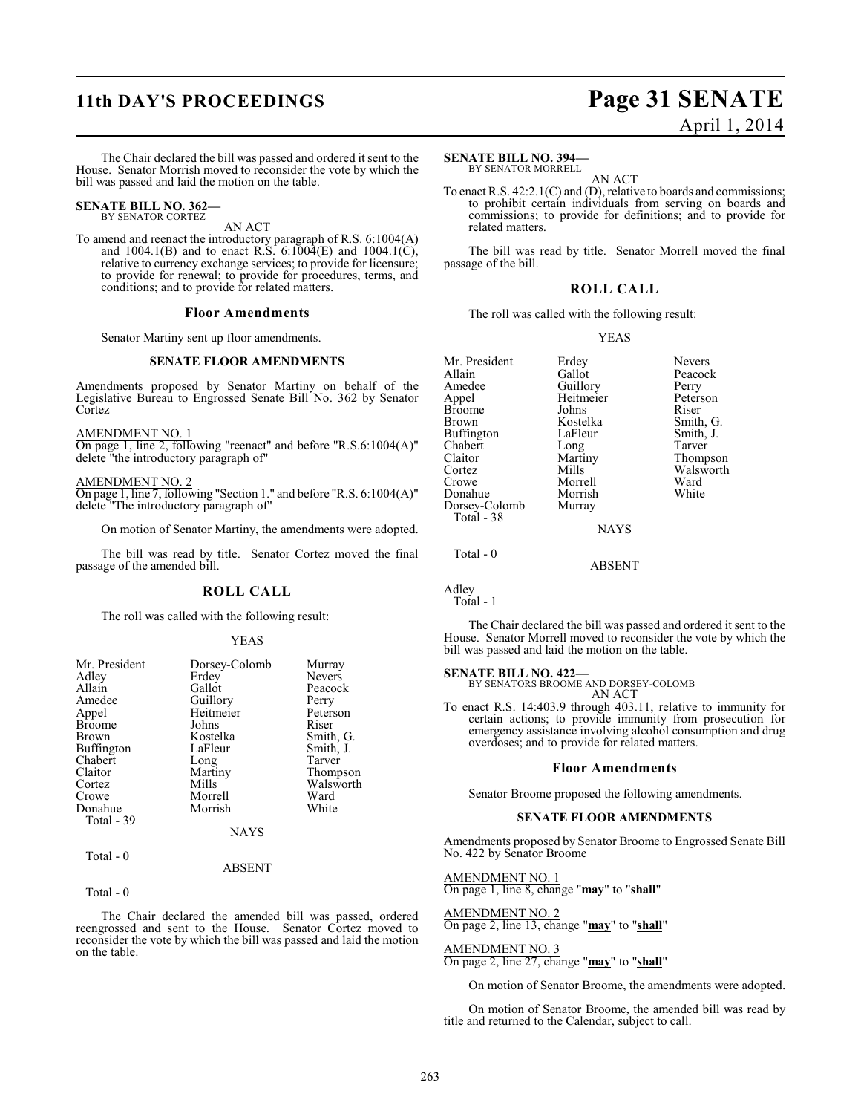## **11th DAY'S PROCEEDINGS Page 31 SENATE**

# April 1, 2014

The Chair declared the bill was passed and ordered it sent to the House. Senator Morrish moved to reconsider the vote by which the bill was passed and laid the motion on the table.

#### **SENATE BILL NO. 362—** BY SENATOR CORTEZ

AN ACT

To amend and reenact the introductory paragraph of R.S. 6:1004(A) and 1004.1(B) and to enact R.S.  $6:100\overline{4}$ (E) and 1004.1(C), relative to currency exchange services; to provide for licensure; to provide for renewal; to provide for procedures, terms, and conditions; and to provide for related matters.

#### **Floor Amendments**

Senator Martiny sent up floor amendments.

#### **SENATE FLOOR AMENDMENTS**

Amendments proposed by Senator Martiny on behalf of the Legislative Bureau to Engrossed Senate Bill No. 362 by Senator Cortez

AMENDMENT NO. 1

On page 1, line 2, following "reenact" and before "R.S.6:1004(A)" delete "the introductory paragraph of"

AMENDMENT NO. 2

On page 1, line 7, following "Section 1." and before "R.S. 6:1004(A)" delete "The introductory paragraph of"

On motion of Senator Martiny, the amendments were adopted.

The bill was read by title. Senator Cortez moved the final passage of the amended bill.

### **ROLL CALL**

The roll was called with the following result:

#### YEAS

| Mr. President | Dorsey-Colomb | Murray        |
|---------------|---------------|---------------|
| Adley         | Erdey         | <b>Nevers</b> |
| Allain        | Gallot        | Peacock       |
| Amedee        | Guillory      | Perry         |
| Appel         | Heitmeier     | Peterson      |
| <b>Broome</b> | Johns         | Riser         |
| Brown         | Kostelka      | Smith, G.     |
| Buffington    | LaFleur       | Smith, J.     |
| Chabert       | Long          | Tarver        |
| Claitor       | Martiny       | Thompson      |
| Cortez        | Mills         | Walsworth     |
| Crowe         | Morrell       | Ward          |
| Donahue       | Morrish       | White         |
| Total - 39    |               |               |
|               | <b>NAYS</b>   |               |
|               |               |               |

#### ABSENT

Total - 0

Total - 0

The Chair declared the amended bill was passed, ordered reengrossed and sent to the House. Senator Cortez moved to reconsider the vote by which the bill was passed and laid the motion on the table.

#### **SENATE BILL NO. 394—**

BY SENATOR MORRELL AN ACT

To enact R.S. 42:2.1(C) and (D), relative to boards and commissions; to prohibit certain individuals from serving on boards and commissions; to provide for definitions; and to provide for related matters.

The bill was read by title. Senator Morrell moved the final passage of the bill.

#### **ROLL CALL**

The roll was called with the following result:

#### YEAS

Mr. President Erdey Nevers<br>
Allain Gallot Peacoc Allain Gallot Peacock<br>Amedee Guillory Perry Amedee Guillory Perry<br>Appel Heitmeier Peterson Broome Johns<br>Brown Kostelka Buffington LaFleur Smith,<br>
Chabert Long Tarver Chabert Long<br>Claitor Martiny Claitor Martiny Thompson<br>Cortez Mills Walsworth Cortez Mills Walsworth<br>Crowe Morrell Ward Donahue Morrish<br>Dorsey-Colomb Murray Dorsey-Colomb Total - 38

Heitmeier Peters<br>Johns Riser Kostelka Smith, G.<br>LaFleur Smith, J. Morrell Ward<br>
Morrish White

NAYS

ABSENT

Total - 0

Adley Total - 1

The Chair declared the bill was passed and ordered it sent to the House. Senator Morrell moved to reconsider the vote by which the bill was passed and laid the motion on the table.

#### **SENATE BILL NO. 422—**

BY SENATORS BROOME AND DORSEY-COLOMB AN ACT

To enact R.S. 14:403.9 through 403.11, relative to immunity for certain actions; to provide immunity from prosecution for emergency assistance involving alcohol consumption and drug overdoses; and to provide for related matters.

#### **Floor Amendments**

Senator Broome proposed the following amendments.

#### **SENATE FLOOR AMENDMENTS**

Amendments proposed by Senator Broome to Engrossed Senate Bill No. 422 by Senator Broome

AMENDMENT NO. 1 On page 1, line 8, change "**may**" to "**shall**"

AMENDMENT NO. 2 On page 2, line 13, change "**may**" to "**shall**"

AMENDMENT NO. 3 On page 2, line 27, change "**may**" to "**shall**"

On motion of Senator Broome, the amendments were adopted.

On motion of Senator Broome, the amended bill was read by title and returned to the Calendar, subject to call.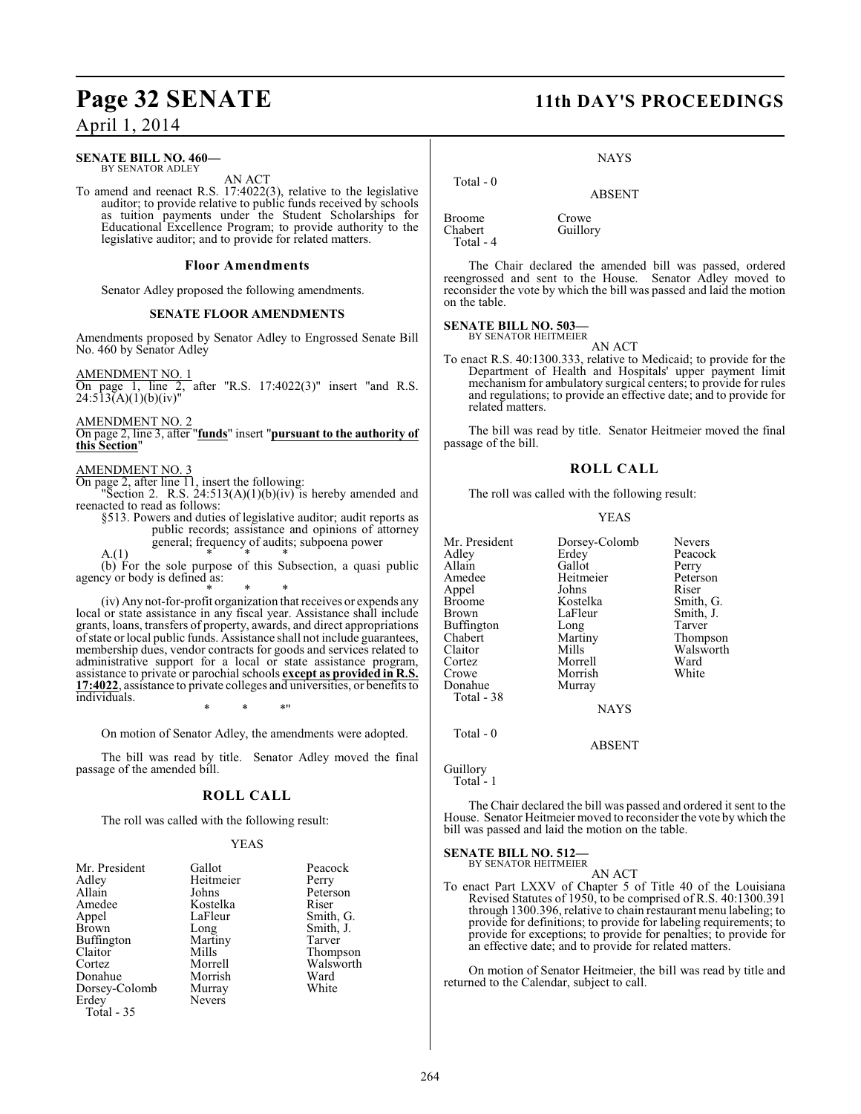April 1, 2014

#### **SENATE BILL NO. 460—** BY SENATOR ADLEY

AN ACT

To amend and reenact R.S. 17:4022(3), relative to the legislative auditor; to provide relative to public funds received by schools as tuition payments under the Student Scholarships for Educational Excellence Program; to provide authority to the legislative auditor; and to provide for related matters.

#### **Floor Amendments**

Senator Adley proposed the following amendments.

#### **SENATE FLOOR AMENDMENTS**

Amendments proposed by Senator Adley to Engrossed Senate Bill No. 460 by Senator Adley

AMENDMENT NO. 1

On page 1, line 2, after "R.S. 17:4022(3)" insert "and R.S. 24:513(A)(1)(b)(iv)"

AMENDMENT NO. 2

On page 2, line 3, after "**funds**" insert "**pursuant to the authority of this Section**"

#### AMENDMENT NO. 3

On page 2, after line 11, insert the following:

"Section 2. R.S.  $24:513(A)(1)(b)(iv)$  is hereby amended and reenacted to read as follows:

§513. Powers and duties of legislative auditor; audit reports as public records; assistance and opinions of attorney general; frequency of audits; subpoena power

A.(1)  $*$  \* \* \*

(b) For the sole purpose of this Subsection, a quasi public agency or body is defined as:

\* \* \* (iv) Any not-for-profit organization that receives or expends any local or state assistance in any fiscal year. Assistance shall include grants, loans, transfers of property, awards, and direct appropriations of state or local public funds. Assistance shall not include guarantees, membership dues, vendor contracts for goods and services related to administrative support for a local or state assistance program, assistance to private or parochial schools **except as provided in R.S. 17:4022**, assistance to private colleges and universities, or benefits to individuals.

\* \* \*"

On motion of Senator Adley, the amendments were adopted.

The bill was read by title. Senator Adley moved the final passage of the amended bill.

#### **ROLL CALL**

The roll was called with the following result:

#### YEAS

| Mr. President | Gallot        | Peacock   |
|---------------|---------------|-----------|
| Adley         | Heitmeier     | Perry     |
| Allain        | Johns         | Peterson  |
| Amedee        | Kostelka      | Riser     |
| Appel         | LaFleur       | Smith, G. |
| <b>Brown</b>  | Long          | Smith, J. |
| Buffington    | Martiny       | Tarver    |
| Claitor       | Mills         | Thompson  |
| Cortez        | Morrell       | Walsworth |
| Donahue       | Morrish       | Ward      |
| Dorsey-Colomb | Murray        | White     |
| Erdey         | <b>Nevers</b> |           |
| Total - 35    |               |           |

### **Page 32 SENATE 11th DAY'S PROCEEDINGS**

NAYS

ABSENT

Broome Crowe<br>Chabert Guillo Total - 4

Total - 0

Guillory

The Chair declared the amended bill was passed, ordered reengrossed and sent to the House. Senator Adley moved to reconsider the vote by which the bill was passed and laid the motion on the table.

#### **SENATE BILL NO. 503—**

BY SENATOR HEITMEIER AN ACT

To enact R.S. 40:1300.333, relative to Medicaid; to provide for the Department of Health and Hospitals' upper payment limit mechanism for ambulatory surgical centers; to provide for rules and regulations; to provide an effective date; and to provide for related matters.

The bill was read by title. Senator Heitmeier moved the final passage of the bill.

#### **ROLL CALL**

The roll was called with the following result:

#### YEAS

| Mr. President | Dorsey-Colomb | <b>Nevers</b> |
|---------------|---------------|---------------|
|               | Erdey         | Peacock       |
| Adley         |               |               |
| Allain        | Gallot        | Perry         |
| Amedee        | Heitmeier     | Peterson      |
| Appel         | Johns         | Riser         |
| Broome        | Kostelka      | Smith, G.     |
| Brown         | LaFleur       | Smith, J.     |
| Buffington    | Long          | Tarver        |
| Chabert       | Martiny       | Thompson      |
| Claitor       | Mills         | Walsworth     |
| Cortez        | Morrell       | Ward          |
| Crowe         | Morrish       | White         |
| Donahue       | Murray        |               |
| Total - 38    |               |               |
|               | <b>NAYS</b>   |               |
| Total - 0     |               |               |

ABSENT

Guillory Total - 1

The Chair declared the bill was passed and ordered it sent to the House. Senator Heitmeier moved to reconsider the vote by which the bill was passed and laid the motion on the table.

## **SENATE BILL NO. 512—** BY SENATOR HEITMEIER

AN ACT

To enact Part LXXV of Chapter 5 of Title 40 of the Louisiana Revised Statutes of 1950, to be comprised of R.S. 40:1300.391 through 1300.396, relative to chain restaurant menu labeling; to provide for definitions; to provide for labeling requirements; to provide for exceptions; to provide for penalties; to provide for an effective date; and to provide for related matters.

On motion of Senator Heitmeier, the bill was read by title and returned to the Calendar, subject to call.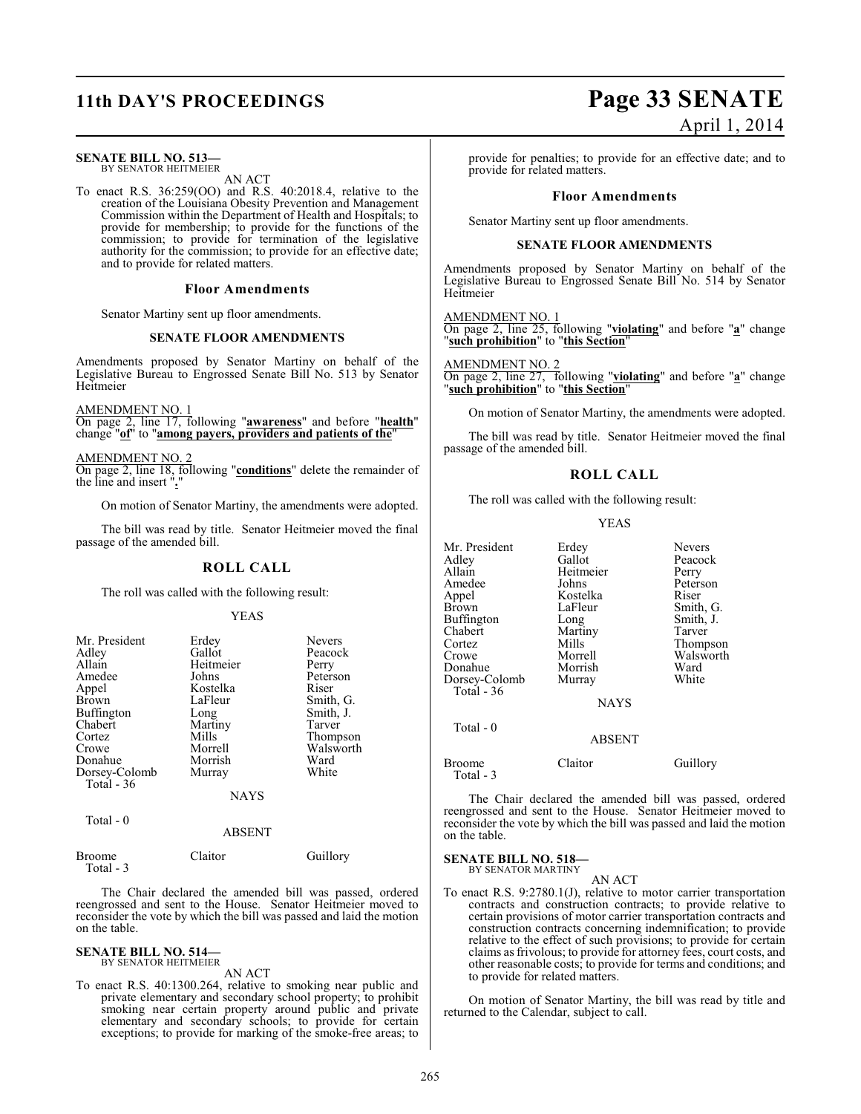### **SENATE BILL NO. 513—**

BY SENATOR HEITMEIER AN ACT

To enact R.S. 36:259(OO) and R.S. 40:2018.4, relative to the creation of the Louisiana Obesity Prevention and Management Commission within the Department of Health and Hospitals; to provide for membership; to provide for the functions of the commission; to provide for termination of the legislative authority for the commission; to provide for an effective date; and to provide for related matters.

#### **Floor Amendments**

Senator Martiny sent up floor amendments.

#### **SENATE FLOOR AMENDMENTS**

Amendments proposed by Senator Martiny on behalf of the Legislative Bureau to Engrossed Senate Bill No. 513 by Senator Heitmeier

#### AMENDMENT NO. 1

On page 2, line 17, following "**awareness**" and before "**health**" change "**of**" to "**among payers, providers and patients of the**"

AMENDMENT NO. 2 On page 2, line 18, following "**conditions**" delete the remainder of the line and insert "**.**"

On motion of Senator Martiny, the amendments were adopted.

The bill was read by title. Senator Heitmeier moved the final passage of the amended bill.

#### **ROLL CALL**

The roll was called with the following result:

#### YEAS

| Mr. President     | Erdey     | <b>Nevers</b> |
|-------------------|-----------|---------------|
| Adley             | Gallot    | Peacock       |
| Allain            | Heitmeier | Perry         |
| Amedee            | Johns     | Peterson      |
| Appel             | Kostelka  | Riser         |
| <b>Brown</b>      | LaFleur   | Smith, G.     |
| <b>Buffington</b> | Long      | Smith, J.     |
| Chabert           | Martiny   | Tarver        |
| Cortez            | Mills     | Thompson      |
| Crowe             | Morrell   | Walsworth     |
| Donahue           | Morrish   | Ward          |
| Dorsey-Colomb     | Murray    | White         |
| Total $-36$       |           |               |
|                   | NAYS      |               |

Total - 0

#### ABSENT

| Broome    | Claitor | Guillory |
|-----------|---------|----------|
| Total - 3 |         |          |

The Chair declared the amended bill was passed, ordered reengrossed and sent to the House. Senator Heitmeier moved to reconsider the vote by which the bill was passed and laid the motion on the table.

### **SENATE BILL NO. 514—** BY SENATOR HEITMEIER

AN ACT

To enact R.S. 40:1300.264, relative to smoking near public and private elementary and secondary school property; to prohibit smoking near certain property around public and private elementary and secondary schools; to provide for certain exceptions; to provide for marking of the smoke-free areas; to

## **11th DAY'S PROCEEDINGS Page 33 SENATE** April 1, 2014

provide for penalties; to provide for an effective date; and to provide for related matters.

#### **Floor Amendments**

Senator Martiny sent up floor amendments.

#### **SENATE FLOOR AMENDMENTS**

Amendments proposed by Senator Martiny on behalf of the Legislative Bureau to Engrossed Senate Bill No. 514 by Senator Heitmeier

#### AMENDMENT NO. 1

On page 2, line 25, following "**violating**" and before "**a**" change "**such prohibition**" to "**this Section**"

AMENDMENT NO. 2 On page 2, line 27, following "**violating**" and before "**a**" change "**such prohibition**" to "**this Section**"

On motion of Senator Martiny, the amendments were adopted.

The bill was read by title. Senator Heitmeier moved the final passage of the amended bill.

#### **ROLL CALL**

The roll was called with the following result:

#### YEAS

| Mr. President<br>Adlev<br>Allain<br>Amedee<br>Appel<br>Brown<br>Buffington<br>Chabert<br>Cortez<br>Crowe<br>Donahue<br>Dorsey-Colomb<br>Total - 36<br>Total $-0$ | Erdey<br>Gallot<br>Heitmeier<br>Johns<br>Kostelka<br>LaFleur<br>Long<br>Martiny<br>Mills<br>Morrell<br>Morrish<br>Murray<br><b>NAYS</b><br><b>ABSENT</b> | Nevers<br>Peacock<br>Perry<br>Peterson<br>Riser<br>Smith, G.<br>Smith, J.<br>Tarver<br>Thompson<br>Walsworth<br>Ward<br>White |
|------------------------------------------------------------------------------------------------------------------------------------------------------------------|----------------------------------------------------------------------------------------------------------------------------------------------------------|-------------------------------------------------------------------------------------------------------------------------------|
| Broome<br>Total - 3                                                                                                                                              | Claitor                                                                                                                                                  | Guillory                                                                                                                      |

The Chair declared the amended bill was passed, ordered reengrossed and sent to the House. Senator Heitmeier moved to reconsider the vote by which the bill was passed and laid the motion on the table.

#### **SENATE BILL NO. 518—**

BY SENATOR MARTINY AN ACT

To enact R.S. 9:2780.1(J), relative to motor carrier transportation contracts and construction contracts; to provide relative to certain provisions of motor carrier transportation contracts and construction contracts concerning indemnification; to provide relative to the effect of such provisions; to provide for certain claims as frivolous; to provide for attorney fees, court costs, and other reasonable costs; to provide for terms and conditions; and to provide for related matters.

On motion of Senator Martiny, the bill was read by title and returned to the Calendar, subject to call.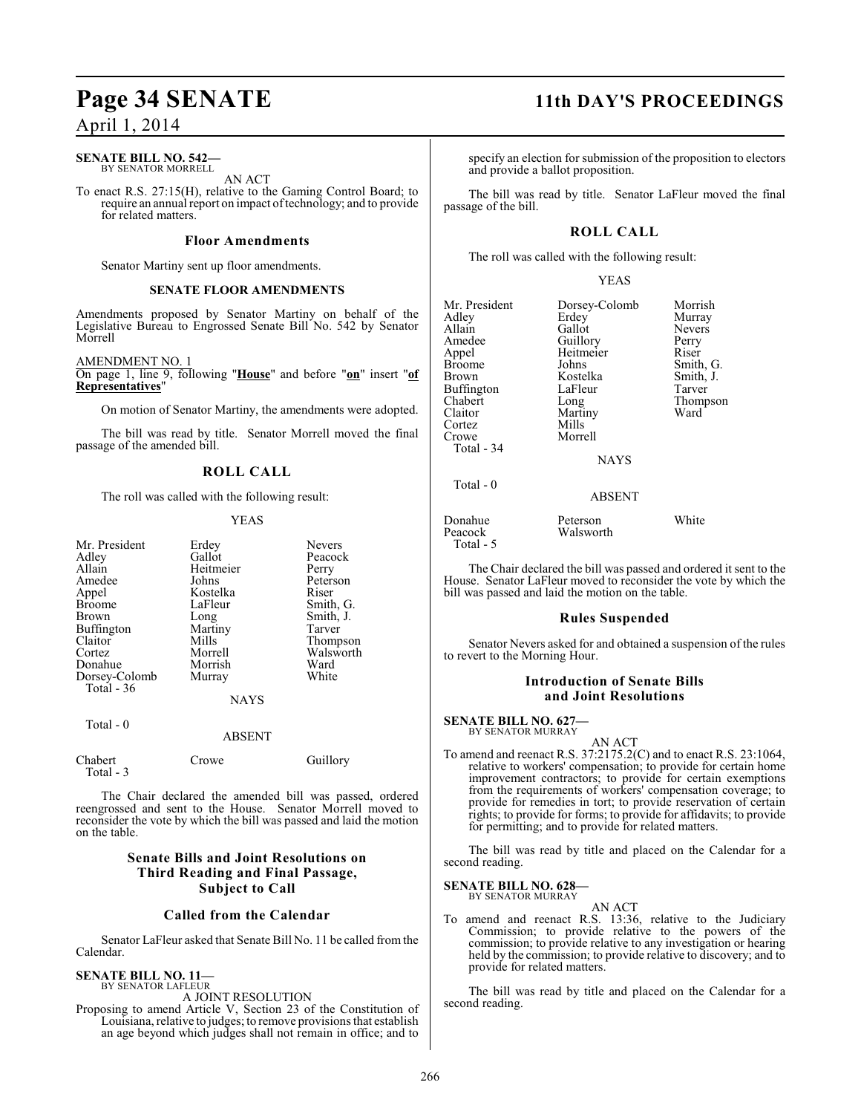### April 1, 2014

#### **SENATE BILL NO. 542—** BY SENATOR MORRELL

AN ACT

To enact R.S. 27:15(H), relative to the Gaming Control Board; to require an annual report on impact of technology; and to provide for related matters.

#### **Floor Amendments**

Senator Martiny sent up floor amendments.

#### **SENATE FLOOR AMENDMENTS**

Amendments proposed by Senator Martiny on behalf of the Legislative Bureau to Engrossed Senate Bill No. 542 by Senator Morrell

#### AMENDMENT NO. 1

On page 1, line 9, following "**House**" and before "**on**" insert "**of Representatives**"

On motion of Senator Martiny, the amendments were adopted.

The bill was read by title. Senator Morrell moved the final passage of the amended bill.

### **ROLL CALL**

The roll was called with the following result:

#### YEAS

| Mr. President<br>Adley<br>Allain<br>Amedee<br>Appel<br><b>Broome</b><br>Brown<br><b>Buffington</b><br>Claitor<br>Cortez<br>Donahue<br>Dorsey-Colomb<br>Total $-36$ | Erdey<br>Gallot<br>Heitmeier<br>Johns<br>Kostelka<br>LaFleur<br>Long<br>Martiny<br>Mills<br>Morrell<br>Morrish<br>Murray | <b>Nevers</b><br>Peacock<br>Perry<br>Peterson<br>Riser<br>Smith, G.<br>Smith, J.<br>Tarver<br>Thompson<br>Walsworth<br>Ward<br>White |
|--------------------------------------------------------------------------------------------------------------------------------------------------------------------|--------------------------------------------------------------------------------------------------------------------------|--------------------------------------------------------------------------------------------------------------------------------------|
|                                                                                                                                                                    | <b>NAYS</b>                                                                                                              |                                                                                                                                      |
| Total - 0                                                                                                                                                          | <b>ABSENT</b>                                                                                                            |                                                                                                                                      |
| Chabert                                                                                                                                                            | Crowe                                                                                                                    | Guillory                                                                                                                             |

The Chair declared the amended bill was passed, ordered reengrossed and sent to the House. Senator Morrell moved to reconsider the vote by which the bill was passed and laid the motion on the table.

### **Senate Bills and Joint Resolutions on Third Reading and Final Passage, Subject to Call**

#### **Called from the Calendar**

Senator LaFleur asked that Senate Bill No. 11 be called from the Calendar.

#### **SENATE BILL NO. 11—** BY SENATOR LAFLEUR

Total - 3

A JOINT RESOLUTION

Proposing to amend Article V, Section 23 of the Constitution of Louisiana, relative to judges; to remove provisions that establish an age beyond which judges shall not remain in office; and to

## **Page 34 SENATE 11th DAY'S PROCEEDINGS**

specify an election for submission of the proposition to electors and provide a ballot proposition.

The bill was read by title. Senator LaFleur moved the final passage of the bill.

### **ROLL CALL**

The roll was called with the following result:

#### YEAS

| Erdey<br>Gallot<br>Guillory<br>Heitmeier<br>Johns<br>Kostelka<br>LaFleur<br>Long<br>Martiny<br>Mills<br>Morrell<br><b>NAYS</b> | Morrish<br>Murray<br><b>Nevers</b><br>Perry<br>Riser<br>Smith, G.<br>Smith, J.<br>Tarver<br>Thompson<br>Ward |
|--------------------------------------------------------------------------------------------------------------------------------|--------------------------------------------------------------------------------------------------------------|
| <b>ABSENT</b>                                                                                                                  |                                                                                                              |
|                                                                                                                                | Dorsey-Colomb                                                                                                |

| White                 |
|-----------------------|
|                       |
|                       |
| Peterson<br>Walsworth |

The Chair declared the bill was passed and ordered it sent to the House. Senator LaFleur moved to reconsider the vote by which the bill was passed and laid the motion on the table.

#### **Rules Suspended**

Senator Nevers asked for and obtained a suspension of the rules to revert to the Morning Hour.

### **Introduction of Senate Bills and Joint Resolutions**

**SENATE BILL NO. 627—** BY SENATOR MURRAY

AN ACT To amend and reenact R.S. 37:2175.2(C) and to enact R.S. 23:1064, relative to workers' compensation; to provide for certain home improvement contractors; to provide for certain exemptions from the requirements of workers' compensation coverage; to provide for remedies in tort; to provide reservation of certain rights; to provide for forms; to provide for affidavits; to provide for permitting; and to provide for related matters.

The bill was read by title and placed on the Calendar for a second reading.

**SENATE BILL NO. 628—** BY SENATOR MURRAY

AN ACT

To amend and reenact R.S. 13:36, relative to the Judiciary Commission; to provide relative to the powers of the commission; to provide relative to any investigation or hearing held by the commission; to provide relative to discovery; and to provide for related matters.

The bill was read by title and placed on the Calendar for a second reading.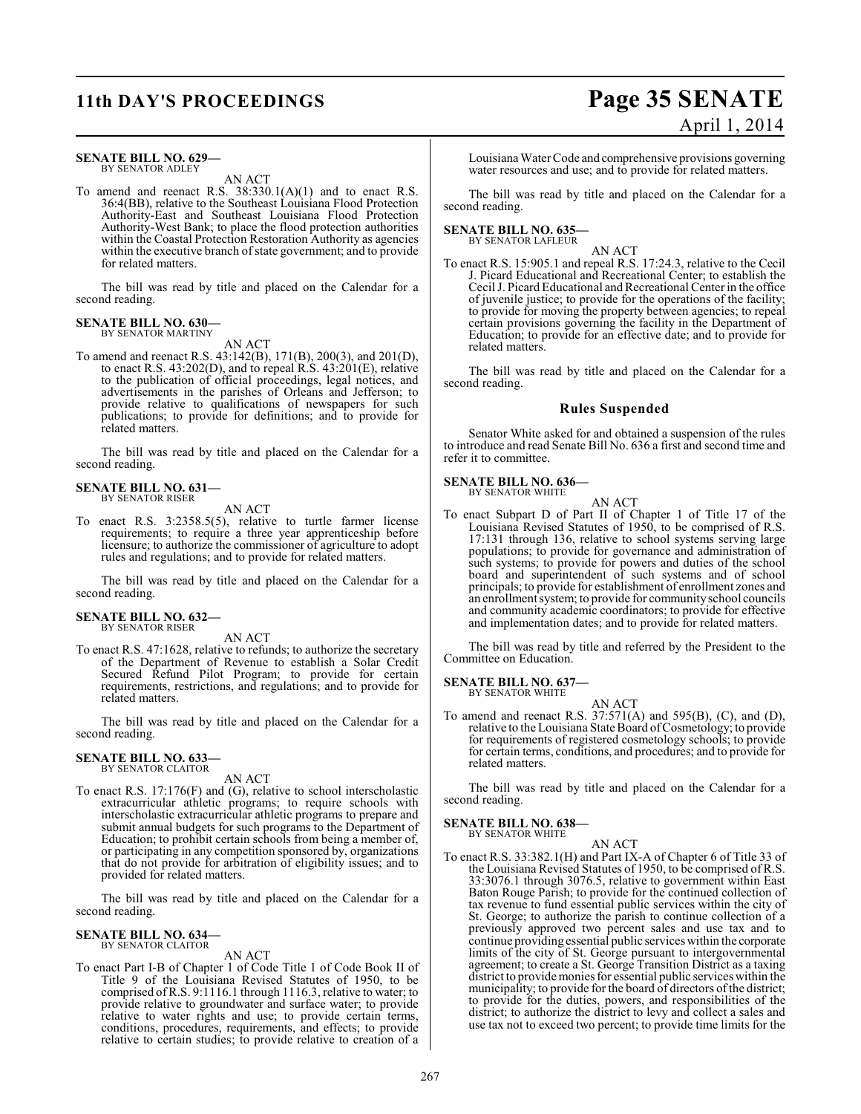## **11th DAY'S PROCEEDINGS Page 35 SENATE**

#### **SENATE BILL NO. 629—** BY SENATOR ADLEY

AN ACT

To amend and reenact R.S.  $38:330.1(A)(1)$  and to enact R.S. 36:4(BB), relative to the Southeast Louisiana Flood Protection Authority-East and Southeast Louisiana Flood Protection Authority-West Bank; to place the flood protection authorities within the Coastal Protection Restoration Authority as agencies within the executive branch of state government; and to provide for related matters.

The bill was read by title and placed on the Calendar for a second reading.

#### **SENATE BILL NO. 630—** BY SENATOR MARTINY

AN ACT

To amend and reenact R.S. 43:142(B), 171(B), 200(3), and 201(D), to enact R.S. 43:202(D), and to repeal R.S. 43:201(E), relative to the publication of official proceedings, legal notices, and advertisements in the parishes of Orleans and Jefferson; to provide relative to qualifications of newspapers for such publications; to provide for definitions; and to provide for related matters.

The bill was read by title and placed on the Calendar for a second reading.

#### **SENATE BILL NO. 631—** BY SENATOR RISER

AN ACT

To enact R.S. 3:2358.5(5), relative to turtle farmer license requirements; to require a three year apprenticeship before licensure; to authorize the commissioner of agriculture to adopt rules and regulations; and to provide for related matters.

The bill was read by title and placed on the Calendar for a second reading.

## **SENATE BILL NO. 632—** BY SENATOR RISER

AN ACT

To enact R.S. 47:1628, relative to refunds; to authorize the secretary of the Department of Revenue to establish a Solar Credit Secured Refund Pilot Program; to provide for certain requirements, restrictions, and regulations; and to provide for related matters.

The bill was read by title and placed on the Calendar for a second reading.

#### **SENATE BILL NO. 633—** BY SENATOR CLAITOR

AN ACT

To enact R.S. 17:176(F) and (G), relative to school interscholastic extracurricular athletic programs; to require schools with interscholastic extracurricular athletic programs to prepare and submit annual budgets for such programs to the Department of Education; to prohibit certain schools from being a member of, or participating in any competition sponsored by, organizations that do not provide for arbitration of eligibility issues; and to provided for related matters.

The bill was read by title and placed on the Calendar for a second reading.

#### **SENATE BILL NO. 634** BY SENATOR CLAITOR

AN ACT

To enact Part I-B of Chapter 1 of Code Title 1 of Code Book II of Title 9 of the Louisiana Revised Statutes of 1950, to be comprised of R.S. 9:1116.1 through 1116.3, relative to water; to provide relative to groundwater and surface water; to provide relative to water rights and use; to provide certain terms, conditions, procedures, requirements, and effects; to provide relative to certain studies; to provide relative to creation of a

# April 1, 2014

Louisiana Water Code and comprehensive provisions governing water resources and use; and to provide for related matters.

The bill was read by title and placed on the Calendar for a second reading.

#### **SENATE BILL NO. 635—** BY SENATOR LAFLEUR

AN ACT

To enact R.S. 15:905.1 and repeal R.S. 17:24.3, relative to the Cecil J. Picard Educational and Recreational Center; to establish the Cecil J. Picard Educational and Recreational Center in the office of juvenile justice; to provide for the operations of the facility; to provide for moving the property between agencies; to repeal certain provisions governing the facility in the Department of Education; to provide for an effective date; and to provide for related matters.

The bill was read by title and placed on the Calendar for a second reading.

#### **Rules Suspended**

Senator White asked for and obtained a suspension of the rules to introduce and read Senate Bill No. 636 a first and second time and refer it to committee.

#### **SENATE BILL NO. 636—** BY SENATOR WHITE

AN ACT

To enact Subpart D of Part II of Chapter 1 of Title 17 of the Louisiana Revised Statutes of 1950, to be comprised of R.S. 17:131 through 136, relative to school systems serving large populations; to provide for governance and administration of such systems; to provide for powers and duties of the school board and superintendent of such systems and of school principals; to provide for establishment of enrollment zones and an enrollment system; to provide for community school councils and community academic coordinators; to provide for effective and implementation dates; and to provide for related matters.

The bill was read by title and referred by the President to the Committee on Education.

#### **SENATE BILL NO. 637—** BY SENATOR WHITE

AN ACT

To amend and reenact R.S. 37:571(A) and 595(B), (C), and (D), relative to the Louisiana State Board of Cosmetology; to provide for requirements of registered cosmetology schools; to provide for certain terms, conditions, and procedures; and to provide for related matters.

The bill was read by title and placed on the Calendar for a second reading.

#### **SENATE BILL NO. 638—** BY SENATOR WHITE

AN ACT

To enact R.S. 33:382.1(H) and Part IX-A of Chapter 6 of Title 33 of the Louisiana Revised Statutes of 1950, to be comprised of R.S. 33:3076.1 through 3076.5, relative to government within East Baton Rouge Parish; to provide for the continued collection of tax revenue to fund essential public services within the city of St. George; to authorize the parish to continue collection of a previously approved two percent sales and use tax and to continue providing essential public services within the corporate limits of the city of St. George pursuant to intergovernmental agreement; to create a St. George Transition District as a taxing district to providemonies for essential public services within the municipality; to provide for the board of directors of the district; to provide for the duties, powers, and responsibilities of the district; to authorize the district to levy and collect a sales and use tax not to exceed two percent; to provide time limits for the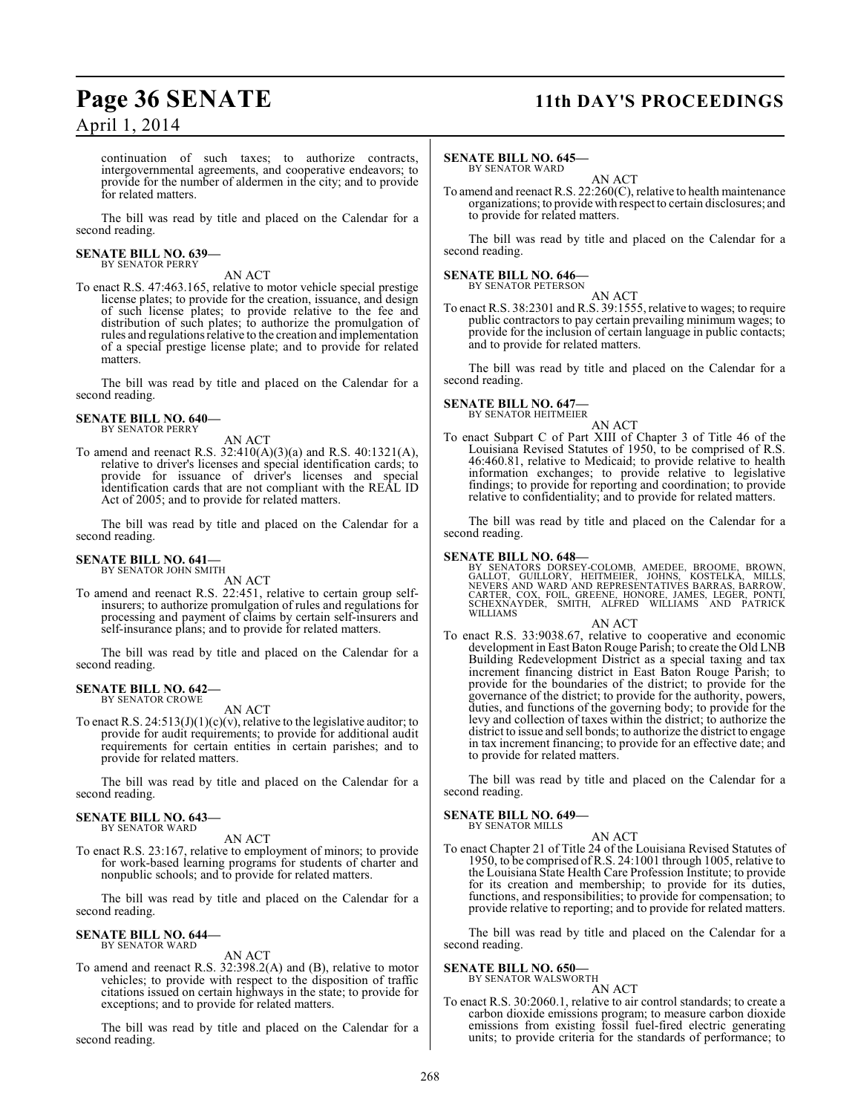## **Page 36 SENATE 11th DAY'S PROCEEDINGS**

April 1, 2014

continuation of such taxes; to authorize contracts, intergovernmental agreements, and cooperative endeavors; to provide for the number of aldermen in the city; and to provide for related matters.

The bill was read by title and placed on the Calendar for a second reading.

#### **SENATE BILL NO. 639—** BY SENATOR PERRY

AN ACT

To enact R.S. 47:463.165, relative to motor vehicle special prestige license plates; to provide for the creation, issuance, and design of such license plates; to provide relative to the fee and distribution of such plates; to authorize the promulgation of rules and regulations relative to the creation and implementation of a special prestige license plate; and to provide for related matters.

The bill was read by title and placed on the Calendar for a second reading.

#### **SENATE BILL NO. 640—** BY SENATOR PERRY

AN ACT

To amend and reenact R.S. 32:410(A)(3)(a) and R.S. 40:1321(A), relative to driver's licenses and special identification cards; to provide for issuance of driver's licenses and special identification cards that are not compliant with the REAL ID Act of 2005; and to provide for related matters.

The bill was read by title and placed on the Calendar for a second reading.

#### **SENATE BILL NO. 641—** BY SENATOR JOHN SMITH

AN ACT

To amend and reenact R.S. 22:451, relative to certain group selfinsurers; to authorize promulgation of rules and regulations for processing and payment of claims by certain self-insurers and self-insurance plans; and to provide for related matters.

The bill was read by title and placed on the Calendar for a second reading.

#### **SENATE BILL NO. 642—** BY SENATOR CROWE

AN ACT

To enact R.S.  $24:513(J)(1)(c)(v)$ , relative to the legislative auditor; to provide for audit requirements; to provide for additional audit requirements for certain entities in certain parishes; and to provide for related matters.

The bill was read by title and placed on the Calendar for a second reading.

#### **SENATE BILL NO. 643—** BY SENATOR WARD

#### AN ACT

To enact R.S. 23:167, relative to employment of minors; to provide for work-based learning programs for students of charter and nonpublic schools; and to provide for related matters.

The bill was read by title and placed on the Calendar for a second reading.

#### **SENATE BILL NO. 644—** BY SENATOR WARD

AN ACT

To amend and reenact R.S. 32:398.2(A) and (B), relative to motor vehicles; to provide with respect to the disposition of traffic citations issued on certain highways in the state; to provide for exceptions; and to provide for related matters.

The bill was read by title and placed on the Calendar for a second reading.

#### **SENATE BILL NO. 645—** BY SENATOR WARD

AN ACT

To amend and reenact R.S. 22:260(C), relative to health maintenance organizations; to provide with respect to certain disclosures; and to provide for related matters.

The bill was read by title and placed on the Calendar for a second reading.

### **SENATE BILL NO. 646—**

BY SENATOR PETERSON AN ACT

To enact R.S. 38:2301 and R.S. 39:1555, relative to wages; to require public contractors to pay certain prevailing minimum wages; to provide for the inclusion of certain language in public contacts; and to provide for related matters.

The bill was read by title and placed on the Calendar for a second reading.

#### **SENATE BILL NO. 647** BY SENATOR HEITMEIER

AN ACT

To enact Subpart C of Part XIII of Chapter 3 of Title 46 of the Louisiana Revised Statutes of 1950, to be comprised of R.S. 46:460.81, relative to Medicaid; to provide relative to health information exchanges; to provide relative to legislative findings; to provide for reporting and coordination; to provide relative to confidentiality; and to provide for related matters.

The bill was read by title and placed on the Calendar for a second reading.

#### **SENATE BILL NO. 648—**

BY SENATORS DORSEY-COLOMB, AMEDEE, BROOME, BROWN,<br>GALLOT, GUILLORY, HEITMEIER, JOHNS, KOSTELKA, MILLS,<br>NEVERS AND WARD AND REPRESENTATIVES BARRAS, BARROW,<br>CARTER, COX, FOIL, GREENE, HONORE, JAMES, LEGER, PONTI,<br>SCHEXNAYDER

#### AN ACT

To enact R.S. 33:9038.67, relative to cooperative and economic development in East Baton Rouge Parish; to create the Old LNB Building Redevelopment District as a special taxing and tax increment financing district in East Baton Rouge Parish; to provide for the boundaries of the district; to provide for the governance of the district; to provide for the authority, powers, duties, and functions of the governing body; to provide for the levy and collection of taxes within the district; to authorize the district to issue and sell bonds; to authorize the district to engage in tax increment financing; to provide for an effective date; and to provide for related matters.

The bill was read by title and placed on the Calendar for a second reading.

**SENATE BILL NO. 649—** BY SENATOR MILLS

AN ACT

To enact Chapter 21 of Title 24 of the Louisiana Revised Statutes of 1950, to be comprised ofR.S. 24:1001 through 1005, relative to the Louisiana State Health Care Profession Institute; to provide for its creation and membership; to provide for its duties, functions, and responsibilities; to provide for compensation; to provide relative to reporting; and to provide for related matters.

The bill was read by title and placed on the Calendar for a second reading.

#### **SENATE BILL NO. 650—**

BY SENATOR WALSWORTH AN ACT

To enact R.S. 30:2060.1, relative to air control standards; to create a carbon dioxide emissions program; to measure carbon dioxide emissions from existing fossil fuel-fired electric generating units; to provide criteria for the standards of performance; to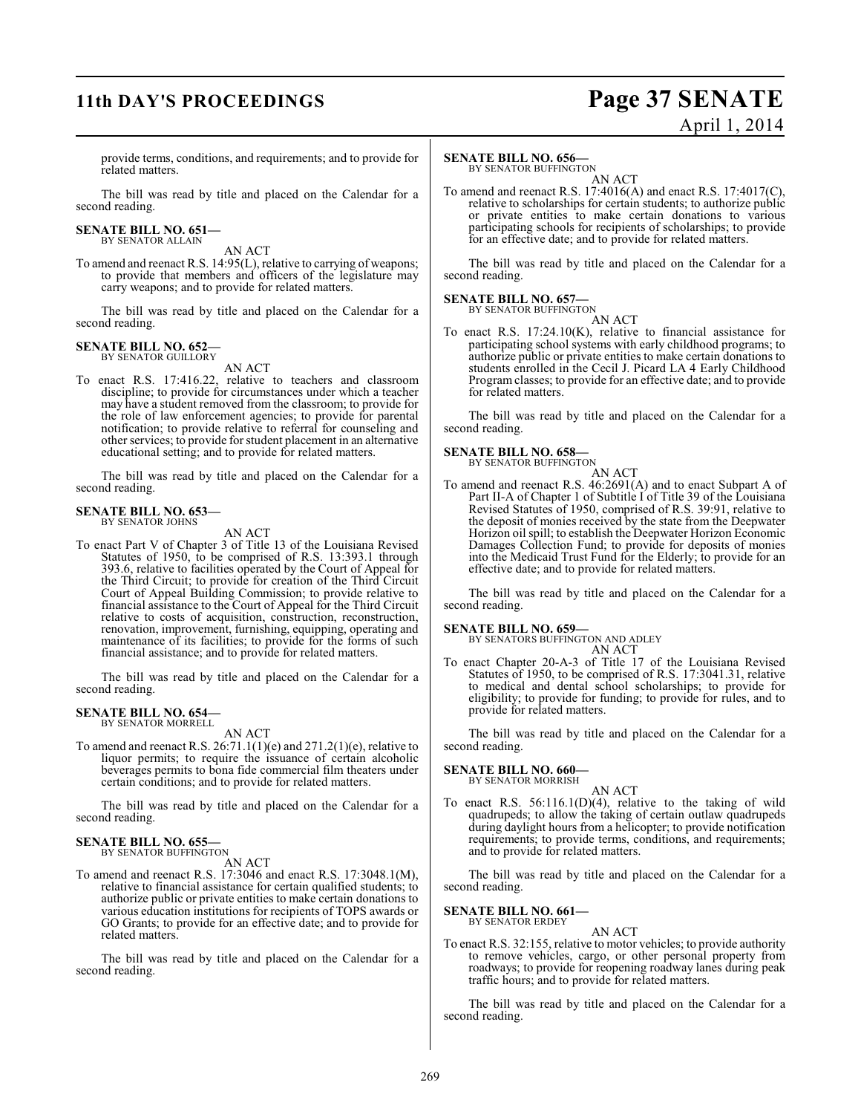## **11th DAY'S PROCEEDINGS Page 37 SENATE** April 1, 2014

provide terms, conditions, and requirements; and to provide for related matters.

The bill was read by title and placed on the Calendar for a second reading.

#### **SENATE BILL NO. 651—** BY SENATOR ALLAIN

AN ACT

To amend and reenact R.S. 14:95(L), relative to carrying of weapons; to provide that members and officers of the legislature may carry weapons; and to provide for related matters.

The bill was read by title and placed on the Calendar for a second reading.

## **SENATE BILL NO. 652—**<br>BY SENATOR GUILLORY

AN ACT

To enact R.S. 17:416.22, relative to teachers and classroom discipline; to provide for circumstances under which a teacher may have a student removed from the classroom; to provide for the role of law enforcement agencies; to provide for parental notification; to provide relative to referral for counseling and other services; to provide for student placement in an alternative educational setting; and to provide for related matters.

The bill was read by title and placed on the Calendar for a second reading.

#### **SENATE BILL NO. 653—** BY SENATOR JOHNS

AN ACT

To enact Part V of Chapter 3 of Title 13 of the Louisiana Revised Statutes of 1950, to be comprised of R.S. 13:393.1 through 393.6, relative to facilities operated by the Court of Appeal for the Third Circuit; to provide for creation of the Third Circuit Court of Appeal Building Commission; to provide relative to financial assistance to the Court of Appeal for the Third Circuit relative to costs of acquisition, construction, reconstruction, renovation, improvement, furnishing, equipping, operating and maintenance of its facilities; to provide for the forms of such financial assistance; and to provide for related matters.

The bill was read by title and placed on the Calendar for a second reading.

#### **SENATE BILL NO. 654—** BY SENATOR MORRELL

AN ACT

To amend and reenact R.S.  $26:71.1(1)(e)$  and  $271.2(1)(e)$ , relative to liquor permits; to require the issuance of certain alcoholic beverages permits to bona fide commercial film theaters under certain conditions; and to provide for related matters.

The bill was read by title and placed on the Calendar for a second reading.

#### **SENATE BILL NO. 655—** BY SENATOR BUFFINGTON

AN ACT

To amend and reenact R.S. 17:3046 and enact R.S. 17:3048.1(M), relative to financial assistance for certain qualified students; to authorize public or private entities to make certain donations to various education institutions for recipients of TOPS awards or GO Grants; to provide for an effective date; and to provide for related matters.

The bill was read by title and placed on the Calendar for a second reading.

### **SENATE BILL NO. 656—**

BY SENATOR BUFFINGTON AN ACT

To amend and reenact R.S. 17:4016(A) and enact R.S. 17:4017(C), relative to scholarships for certain students; to authorize public or private entities to make certain donations to various participating schools for recipients of scholarships; to provide for an effective date; and to provide for related matters.

The bill was read by title and placed on the Calendar for a second reading.

### **SENATE BILL NO. 657—**

BY SENATOR BUFFINGTON AN ACT

To enact R.S. 17:24.10(K), relative to financial assistance for participating school systems with early childhood programs; to authorize public or private entities to make certain donations to students enrolled in the Cecil J. Picard LA 4 Early Childhood Program classes; to provide for an effective date; and to provide for related matters.

The bill was read by title and placed on the Calendar for a second reading.

#### **SENATE BILL NO. 658—**

BY SENATOR BUFFINGTON AN ACT

To amend and reenact R.S. 46:2691(A) and to enact Subpart A of Part II-A of Chapter 1 of Subtitle I of Title 39 of the Louisiana Revised Statutes of 1950, comprised of R.S. 39:91, relative to the deposit of monies received by the state from the Deepwater Horizon oil spill; to establish the Deepwater Horizon Economic Damages Collection Fund; to provide for deposits of monies into the Medicaid Trust Fund for the Elderly; to provide for an effective date; and to provide for related matters.

The bill was read by title and placed on the Calendar for a second reading.

**SENATE BILL NO. 659—**<br>BY SENATORS BUFFINGTON AND ADLEY AN ACT

To enact Chapter 20-A-3 of Title 17 of the Louisiana Revised Statutes of 1950, to be comprised of R.S. 17:3041.31, relative to medical and dental school scholarships; to provide for eligibility; to provide for funding; to provide for rules, and to provide for related matters.

The bill was read by title and placed on the Calendar for a second reading.

### **SENATE BILL NO. 660—** BY SENATOR MORRISH

AN ACT

To enact R.S. 56:116.1(D)(4), relative to the taking of wild quadrupeds; to allow the taking of certain outlaw quadrupeds during daylight hours from a helicopter; to provide notification requirements; to provide terms, conditions, and requirements; and to provide for related matters.

The bill was read by title and placed on the Calendar for a second reading.

## **SENATE BILL NO. 661—** BY SENATOR ERDEY

AN ACT

To enact R.S. 32:155, relative to motor vehicles; to provide authority to remove vehicles, cargo, or other personal property from roadways; to provide for reopening roadway lanes during peak traffic hours; and to provide for related matters.

The bill was read by title and placed on the Calendar for a second reading.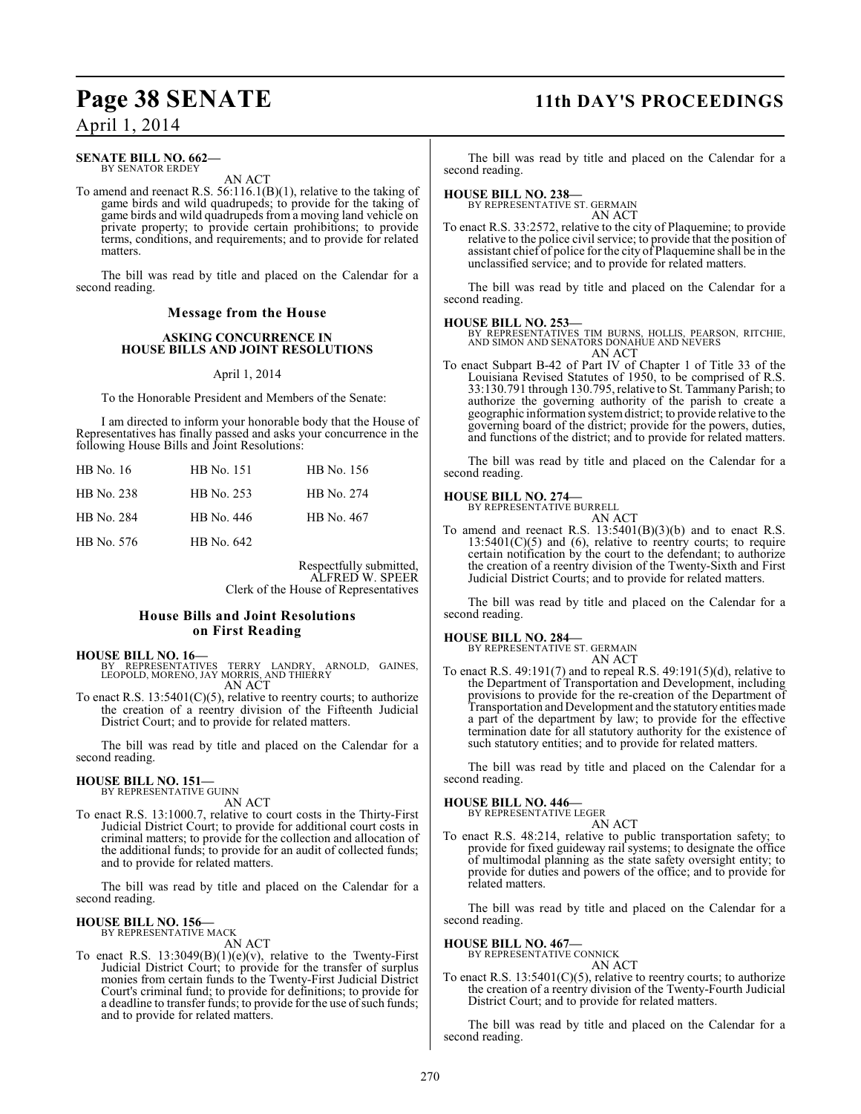## **Page 38 SENATE 11th DAY'S PROCEEDINGS**

April 1, 2014

#### **SENATE BILL NO. 662—** BY SENATOR ERDEY

AN ACT

To amend and reenact R.S. 56:116.1(B)(1), relative to the taking of game birds and wild quadrupeds; to provide for the taking of game birds and wild quadrupeds from a moving land vehicle on private property; to provide certain prohibitions; to provide terms, conditions, and requirements; and to provide for related matters.

The bill was read by title and placed on the Calendar for a second reading.

#### **Message from the House**

#### **ASKING CONCURRENCE IN HOUSE BILLS AND JOINT RESOLUTIONS**

#### April 1, 2014

To the Honorable President and Members of the Senate:

I am directed to inform your honorable body that the House of Representatives has finally passed and asks your concurrence in the following House Bills and Joint Resolutions:

| HB No. 16  | HB No. 151 | HB No. 156 |
|------------|------------|------------|
| HB No. 238 | HB No. 253 | HB No. 274 |
| HB No. 284 | HB No. 446 | HB No. 467 |
| HB No. 576 | HB No. 642 |            |

Respectfully submitted, ALFRED W. SPEER Clerk of the House of Representatives

#### **House Bills and Joint Resolutions on First Reading**

**HOUSE BILL NO. 16—**

- BY REPRESENTATIVES TERRY LANDRY, ARNOLD, GAINES, LEOPOLD, MORENO, JAY MORRIS, AND THIERRY AN ACT
- To enact R.S.  $13:5401(C)(5)$ , relative to reentry courts; to authorize the creation of a reentry division of the Fifteenth Judicial District Court; and to provide for related matters.

The bill was read by title and placed on the Calendar for a second reading.

### **HOUSE BILL NO. 151—** BY REPRESENTATIVE GUINN

AN ACT

To enact R.S. 13:1000.7, relative to court costs in the Thirty-First Judicial District Court; to provide for additional court costs in criminal matters; to provide for the collection and allocation of the additional funds; to provide for an audit of collected funds; and to provide for related matters.

The bill was read by title and placed on the Calendar for a second reading.

### **HOUSE BILL NO. 156—**

BY REPRESENTATIVE MACK AN ACT

To enact R.S.  $13:3049(B)(1)(e)(v)$ , relative to the Twenty-First Judicial District Court; to provide for the transfer of surplus monies from certain funds to the Twenty-First Judicial District Court's criminal fund; to provide for definitions; to provide for a deadline to transfer funds; to provide for the use of such funds; and to provide for related matters.

The bill was read by title and placed on the Calendar for a second reading.

### **HOUSE BILL NO. 238—** BY REPRESENTATIVE ST. GERMAIN

AN ACT

To enact R.S. 33:2572, relative to the city of Plaquemine; to provide relative to the police civil service; to provide that the position of assistant chief of police for the city of Plaquemine shall be in the unclassified service; and to provide for related matters.

The bill was read by title and placed on the Calendar for a second reading.

#### **HOUSE BILL NO. 253—**

BY REPRESENTATIVES TIM BURNS, HOLLIS, PEARSON, RITCHIE, AND SIMON AND SENATORS DONAHUE AND NEVERS AN ACT

To enact Subpart B-42 of Part IV of Chapter 1 of Title 33 of the Louisiana Revised Statutes of 1950, to be comprised of R.S. 33:130.791 through 130.795, relative to St. Tammany Parish; to authorize the governing authority of the parish to create a geographic information system district; to provide relative to the governing board of the district; provide for the powers, duties, and functions of the district; and to provide for related matters.

The bill was read by title and placed on the Calendar for a second reading.

#### **HOUSE BILL NO. 274—**



To amend and reenact R.S.  $13:5401(B)(3)(b)$  and to enact R.S.  $13:5401(C)(5)$  and  $(6)$ , relative to reentry courts; to require certain notification by the court to the defendant; to authorize the creation of a reentry division of the Twenty-Sixth and First Judicial District Courts; and to provide for related matters.

The bill was read by title and placed on the Calendar for a second reading.

#### **HOUSE BILL NO. 284—**

BY REPRESENTATIVE ST. GERMAIN AN ACT

To enact R.S. 49:191(7) and to repeal R.S. 49:191(5)(d), relative to the Department of Transportation and Development, including provisions to provide for the re-creation of the Department of Transportation and Development and the statutory entities made a part of the department by law; to provide for the effective termination date for all statutory authority for the existence of such statutory entities; and to provide for related matters.

The bill was read by title and placed on the Calendar for a second reading.

### **HOUSE BILL NO. 446—**

BY REPRESENTATIVE LEGER AN ACT

To enact R.S. 48:214, relative to public transportation safety; to provide for fixed guideway rail systems; to designate the office of multimodal planning as the state safety oversight entity; to provide for duties and powers of the office; and to provide for related matters.

The bill was read by title and placed on the Calendar for a second reading.

## **HOUSE BILL NO. 467—** BY REPRESENTATIVE CONNICK

AN ACT

To enact R.S.  $13:5401(C)(5)$ , relative to reentry courts; to authorize the creation of a reentry division of the Twenty-Fourth Judicial District Court; and to provide for related matters.

The bill was read by title and placed on the Calendar for a second reading.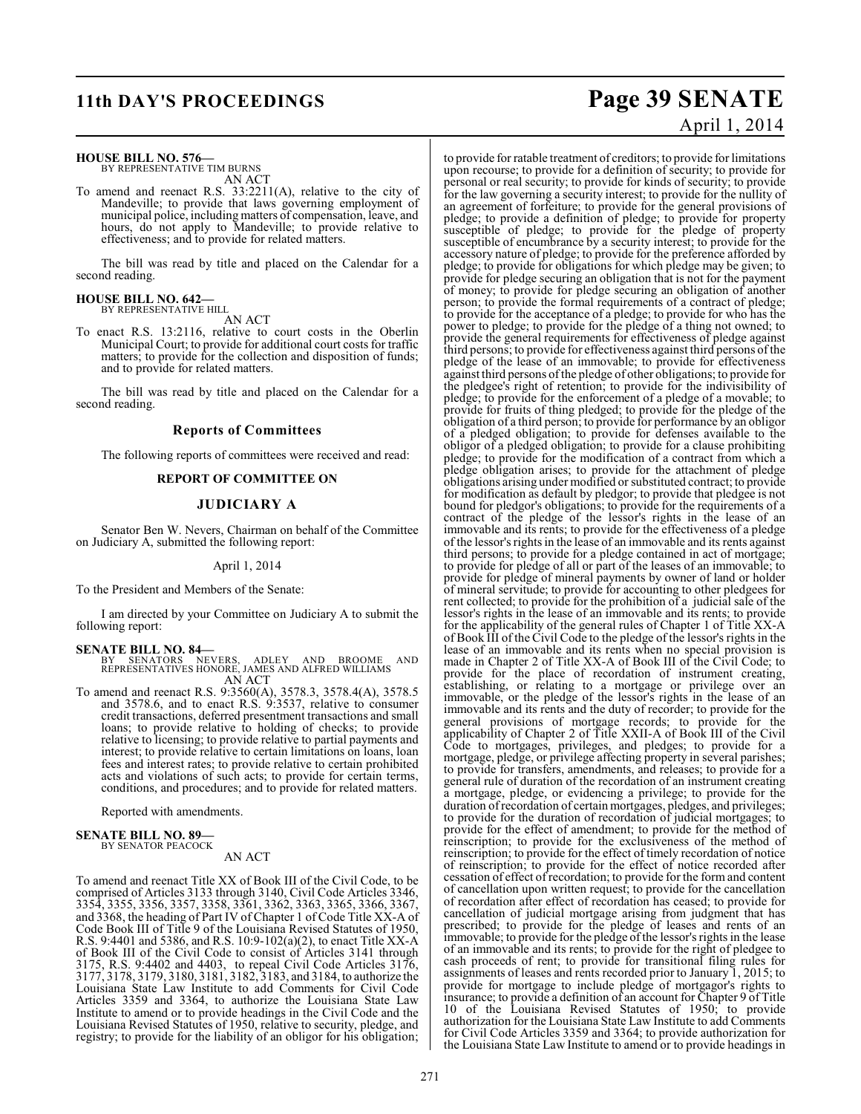### **HOUSE BILL NO. 576—** BY REPRESENTATIVE TIM BURNS

AN ACT

To amend and reenact R.S. 33:2211(A), relative to the city of Mandeville; to provide that laws governing employment of municipal police, including matters of compensation, leave, and hours, do not apply to Mandeville; to provide relative to effectiveness; and to provide for related matters.

The bill was read by title and placed on the Calendar for a second reading.

#### **HOUSE BILL NO. 642—** BY REPRESENTATIVE HILL

AN ACT

To enact R.S. 13:2116, relative to court costs in the Oberlin Municipal Court; to provide for additional court costs for traffic matters; to provide for the collection and disposition of funds; and to provide for related matters.

The bill was read by title and placed on the Calendar for a second reading.

#### **Reports of Committees**

The following reports of committees were received and read:

#### **REPORT OF COMMITTEE ON**

#### **JUDICIARY A**

Senator Ben W. Nevers, Chairman on behalf of the Committee on Judiciary A, submitted the following report:

#### April 1, 2014

To the President and Members of the Senate:

I am directed by your Committee on Judiciary A to submit the following report:

#### **SENATE BILL NO. 84—**

BY SENATORS NEVERS, ADLEY AND BROOME AND REPRESENTATIVES HONORE, JAMES AND ALFRED WILLIAMS AN ACT

To amend and reenact R.S. 9:3560(A), 3578.3, 3578.4(A), 3578.5 and 3578.6, and to enact R.S. 9:3537, relative to consumer credit transactions, deferred presentment transactions and small loans; to provide relative to holding of checks; to provide relative to licensing; to provide relative to partial payments and interest; to provide relative to certain limitations on loans, loan fees and interest rates; to provide relative to certain prohibited acts and violations of such acts; to provide for certain terms, conditions, and procedures; and to provide for related matters.

Reported with amendments.

#### **SENATE BILL NO. 89—** BY SENATOR PEACOCK

### AN ACT

To amend and reenact Title XX of Book III of the Civil Code, to be comprised of Articles 3133 through 3140, Civil Code Articles 3346, 3354, 3355, 3356, 3357, 3358, 3361, 3362, 3363, 3365, 3366, 3367, and 3368, the heading of Part IV of Chapter 1 of Code Title XX-A of Code Book III of Title 9 of the Louisiana Revised Statutes of 1950, R.S. 9:4401 and 5386, and R.S. 10:9-102(a)(2), to enact Title XX-A of Book III of the Civil Code to consist of Articles 3141 through 3175, R.S. 9:4402 and 4403, to repeal Civil Code Articles 3176, 3177, 3178, 3179, 3180, 3181, 3182, 3183, and 3184, to authorize the Louisiana State Law Institute to add Comments for Civil Code Articles 3359 and 3364, to authorize the Louisiana State Law Institute to amend or to provide headings in the Civil Code and the Louisiana Revised Statutes of 1950, relative to security, pledge, and registry; to provide for the liability of an obligor for his obligation;

### **11th DAY'S PROCEEDINGS Page 39 SENATE** April 1, 2014

to provide for ratable treatment of creditors; to provide for limitations upon recourse; to provide for a definition of security; to provide for personal or real security; to provide for kinds of security; to provide for the law governing a security interest; to provide for the nullity of an agreement of forfeiture; to provide for the general provisions of pledge; to provide a definition of pledge; to provide for property susceptible of pledge; to provide for the pledge of property susceptible of encumbrance by a security interest; to provide for the accessory nature of pledge; to provide for the preference afforded by pledge; to provide for obligations for which pledge may be given; to provide for pledge securing an obligation that is not for the payment of money; to provide for pledge securing an obligation of another person; to provide the formal requirements of a contract of pledge; to provide for the acceptance of a pledge; to provide for who has the power to pledge; to provide for the pledge of a thing not owned; to provide the general requirements for effectiveness of pledge against third persons; to provide for effectiveness against third persons of the pledge of the lease of an immovable; to provide for effectiveness against third persons of the pledge of other obligations; to provide for the pledgee's right of retention; to provide for the indivisibility of pledge; to provide for the enforcement of a pledge of a movable; to provide for fruits of thing pledged; to provide for the pledge of the obligation of a third person; to provide for performance by an obligor of a pledged obligation; to provide for defenses available to the obligor of a pledged obligation; to provide for a clause prohibiting pledge; to provide for the modification of a contract from which a pledge obligation arises; to provide for the attachment of pledge obligations arising under modified or substituted contract; to provide for modification as default by pledgor; to provide that pledgee is not bound for pledgor's obligations; to provide for the requirements of a contract of the pledge of the lessor's rights in the lease of an immovable and its rents; to provide for the effectiveness of a pledge of the lessor's rights in the lease of an immovable and its rents against third persons; to provide for a pledge contained in act of mortgage; to provide for pledge of all or part of the leases of an immovable; to provide for pledge of mineral payments by owner of land or holder of mineral servitude; to provide for accounting to other pledgees for rent collected; to provide for the prohibition of a judicial sale of the lessor's rights in the lease of an immovable and its rents; to provide for the applicability of the general rules of Chapter 1 of Title XX-A of Book III of the Civil Code to the pledge of the lessor's rights in the lease of an immovable and its rents when no special provision is made in Chapter 2 of Title XX-A of Book III of the Civil Code; to provide for the place of recordation of instrument creating, establishing, or relating to a mortgage or privilege over an immovable, or the pledge of the lessor's rights in the lease of an immovable and its rents and the duty of recorder; to provide for the general provisions of mortgage records; to provide for the applicability of Chapter 2 of Title XXII-A of Book III of the Civil Code to mortgages, privileges, and pledges; to provide for a mortgage, pledge, or privilege affecting property in several parishes; to provide for transfers, amendments, and releases; to provide for a general rule of duration of the recordation of an instrument creating a mortgage, pledge, or evidencing a privilege; to provide for the duration of recordation of certain mortgages, pledges, and privileges; to provide for the duration of recordation of judicial mortgages; to provide for the effect of amendment; to provide for the method of reinscription; to provide for the exclusiveness of the method of reinscription; to provide for the effect of timely recordation of notice of reinscription; to provide for the effect of notice recorded after cessation of effect of recordation; to provide for the form and content of cancellation upon written request; to provide for the cancellation of recordation after effect of recordation has ceased; to provide for cancellation of judicial mortgage arising from judgment that has prescribed; to provide for the pledge of leases and rents of an immovable; to provide for the pledge of the lessor's rights in the lease of an immovable and its rents; to provide for the right of pledgee to cash proceeds of rent; to provide for transitional filing rules for assignments of leases and rents recorded prior to January 1, 2015; to provide for mortgage to include pledge of mortgagor's rights to insurance; to provide a definition of an account for Chapter 9 of Title 10 of the Louisiana Revised Statutes of 1950; to provide authorization for the Louisiana State Law Institute to add Comments for Civil Code Articles 3359 and 3364; to provide authorization for the Louisiana State Law Institute to amend or to provide headings in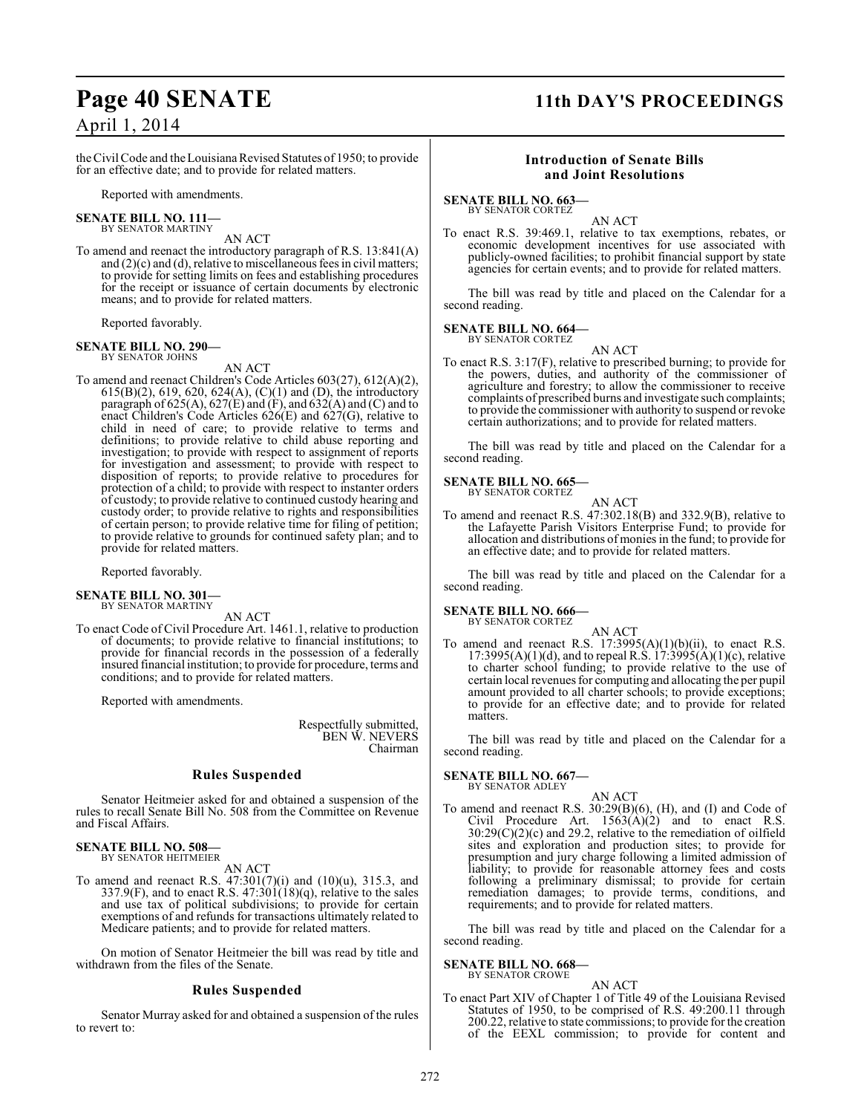## **Page 40 SENATE 11th DAY'S PROCEEDINGS**

### April 1, 2014

the Civil Code and theLouisiana Revised Statutes of 1950; to provide for an effective date; and to provide for related matters.

Reported with amendments.

#### **SENATE BILL NO. 111—** BY SENATOR MARTINY

### AN ACT

To amend and reenact the introductory paragraph of R.S. 13:841(A) and (2)(c) and (d), relative to miscellaneous fees in civil matters; to provide for setting limits on fees and establishing procedures for the receipt or issuance of certain documents by electronic means; and to provide for related matters.

Reported favorably.

## **SENATE BILL NO. 290—** BY SENATOR JOHNS

AN ACT

To amend and reenact Children's Code Articles 603(27), 612(A)(2), 615(B)(2), 619, 620, 624(A), (C)(1) and (D), the introductory paragraph of 625(A), 627(E) and (F), and 632(A) and (C) and to enact Children's Code Articles 626(E) and 627(G), relative to child in need of care; to provide relative to terms and definitions; to provide relative to child abuse reporting and investigation; to provide with respect to assignment of reports for investigation and assessment; to provide with respect to disposition of reports; to provide relative to procedures for protection of a child; to provide with respect to instanter orders of custody; to provide relative to continued custody hearing and custody order; to provide relative to rights and responsibilities of certain person; to provide relative time for filing of petition; to provide relative to grounds for continued safety plan; and to provide for related matters.

Reported favorably.

#### **SENATE BILL NO. 301—** BY SENATOR MARTINY

AN ACT

To enact Code of Civil Procedure Art. 1461.1, relative to production of documents; to provide relative to financial institutions; to provide for financial records in the possession of a federally insured financial institution; to provide for procedure, terms and conditions; and to provide for related matters.

Reported with amendments.

Respectfully submitted, BEN W. NEVERS Chairman

#### **Rules Suspended**

Senator Heitmeier asked for and obtained a suspension of the rules to recall Senate Bill No. 508 from the Committee on Revenue and Fiscal Affairs.

#### **SENATE BILL NO. 508—** BY SENATOR HEITMEIER

AN ACT

To amend and reenact R.S. 47:301(7)(i) and (10)(u), 315.3, and 337.9(F), and to enact R.S.  $47:301(18)(q)$ , relative to the sales and use tax of political subdivisions; to provide for certain exemptions of and refunds for transactions ultimately related to Medicare patients; and to provide for related matters.

On motion of Senator Heitmeier the bill was read by title and withdrawn from the files of the Senate.

### **Rules Suspended**

Senator Murray asked for and obtained a suspension of the rules to revert to:

### **Introduction of Senate Bills and Joint Resolutions**

#### **SENATE BILL NO. 663—**

BY SENATOR CORTEZ

AN ACT To enact R.S. 39:469.1, relative to tax exemptions, rebates, or economic development incentives for use associated with publicly-owned facilities; to prohibit financial support by state agencies for certain events; and to provide for related matters.

The bill was read by title and placed on the Calendar for a second reading.

#### **SENATE BILL NO. 664—** BY SENATOR CORTEZ

AN ACT

To enact R.S. 3:17(F), relative to prescribed burning; to provide for the powers, duties, and authority of the commissioner of agriculture and forestry; to allow the commissioner to receive complaints of prescribed burns and investigate such complaints; to provide the commissioner with authority to suspend or revoke certain authorizations; and to provide for related matters.

The bill was read by title and placed on the Calendar for a second reading.

#### **SENATE BILL NO. 665—** BY SENATOR CORTEZ

AN ACT To amend and reenact R.S. 47:302.18(B) and 332.9(B), relative to the Lafayette Parish Visitors Enterprise Fund; to provide for allocation and distributions of monies in the fund; to provide for an effective date; and to provide for related matters.

The bill was read by title and placed on the Calendar for a second reading.

### **SENATE BILL NO. 666—**

BY SENATOR CORTEZ

AN ACT To amend and reenact R.S.  $17:3995(A)(1)(b)(ii)$ , to enact R.S.  $17:3995(A)(1)(d)$ , and to repeal R.S.  $17:3995(A)(1)(c)$ , relative to charter school funding; to provide relative to the use of certain local revenues for computing and allocating the per pupil amount provided to all charter schools; to provide exceptions; to provide for an effective date; and to provide for related matters.

The bill was read by title and placed on the Calendar for a second reading.

#### **SENATE BILL NO. 667—** BY SENATOR ADLEY

#### AN ACT

To amend and reenact R.S. 30:29(B)(6), (H), and (I) and Code of Civil Procedure Art.  $1563(A)(2)$  and to enact R.S. 30:29(C)(2)(c) and 29.2, relative to the remediation of oilfield sites and exploration and production sites; to provide for presumption and jury charge following a limited admission of liability; to provide for reasonable attorney fees and costs following a preliminary dismissal; to provide for certain remediation damages; to provide terms, conditions, and requirements; and to provide for related matters.

The bill was read by title and placed on the Calendar for a second reading.

#### **SENATE BILL NO. 668—**

BY SENATOR CROWE AN ACT

To enact Part XIV of Chapter 1 of Title 49 of the Louisiana Revised Statutes of 1950, to be comprised of R.S. 49:200.11 through 200.22, relative to state commissions; to provide for the creation of the EEXL commission; to provide for content and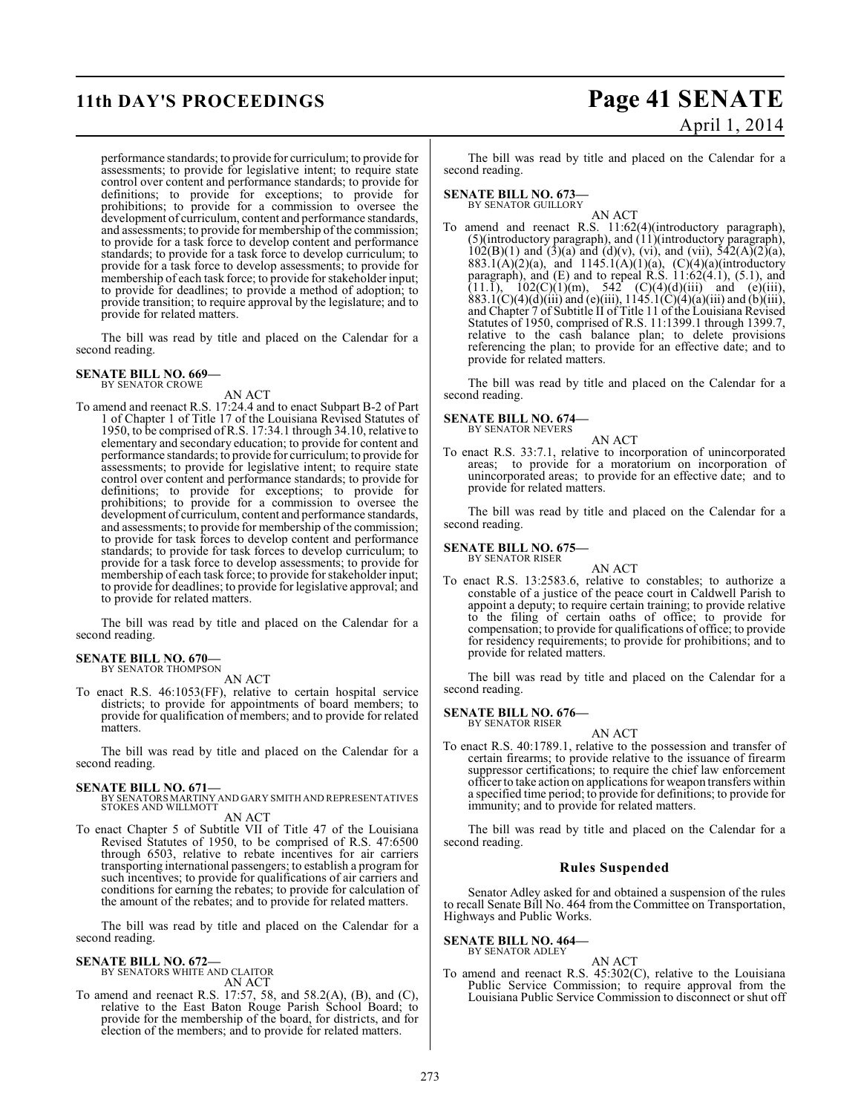performance standards; to provide for curriculum; to provide for assessments; to provide for legislative intent; to require state control over content and performance standards; to provide for definitions; to provide for exceptions; to provide for prohibitions; to provide for a commission to oversee the development of curriculum, content and performance standards, and assessments; to provide for membership of the commission; to provide for a task force to develop content and performance standards; to provide for a task force to develop curriculum; to provide for a task force to develop assessments; to provide for membership of each task force; to provide for stakeholder input; to provide for deadlines; to provide a method of adoption; to provide transition; to require approval by the legislature; and to provide for related matters.

The bill was read by title and placed on the Calendar for a second reading.

#### **SENATE BILL NO. 669—** BY SENATOR CROWE

### AN ACT

To amend and reenact R.S. 17:24.4 and to enact Subpart B-2 of Part 1 of Chapter 1 of Title 17 of the Louisiana Revised Statutes of 1950, to be comprised of R.S. 17:34.1 through 34.10, relative to elementary and secondary education; to provide for content and performance standards; to provide for curriculum; to provide for assessments; to provide for legislative intent; to require state control over content and performance standards; to provide for definitions; to provide for exceptions; to provide for prohibitions; to provide for a commission to oversee the development of curriculum, content and performance standards, and assessments; to provide for membership of the commission; to provide for task forces to develop content and performance standards; to provide for task forces to develop curriculum; to provide for a task force to develop assessments; to provide for membership of each task force; to provide for stakeholder input; to provide for deadlines; to provide for legislative approval; and to provide for related matters.

The bill was read by title and placed on the Calendar for a second reading.

#### **SENATE BILL NO. 670—** BY SENATOR THOMPSON

AN ACT

To enact R.S. 46:1053(FF), relative to certain hospital service districts; to provide for appointments of board members; to provide for qualification of members; and to provide for related matters.

The bill was read by title and placed on the Calendar for a second reading.

**SENATE BILL NO. 671—** BY SENATORS MARTINY AND GARY SMITH AND REPRESENTATIVES STOKES AND WILLMOTT AN ACT

To enact Chapter 5 of Subtitle VII of Title 47 of the Louisiana Revised Statutes of 1950, to be comprised of R.S. 47:6500 through 6503, relative to rebate incentives for air carriers transporting international passengers; to establish a program for such incentives; to provide for qualifications of air carriers and conditions for earning the rebates; to provide for calculation of the amount of the rebates; and to provide for related matters.

The bill was read by title and placed on the Calendar for a second reading.

#### **SENATE BILL NO. 672—**

BY SENATORS WHITE AND CLAITOR AN ACT

To amend and reenact R.S. 17:57, 58, and 58.2(A), (B), and (C), relative to the East Baton Rouge Parish School Board; to provide for the membership of the board, for districts, and for election of the members; and to provide for related matters.

## **11th DAY'S PROCEEDINGS Page 41 SENATE** April 1, 2014

The bill was read by title and placed on the Calendar for a second reading.

**SENATE BILL NO. 673—**<br>BY SENATOR GUILLORY

AN ACT

To amend and reenact R.S. 11:62(4)(introductory paragraph), (5)(introductory paragraph), and (11)(introductory paragraph),  $102(B)(1)$  and  $(3)(a)$  and  $(d)(v)$ ,  $(vi)$ , and  $(vii)$ ,  $542(A)(2)(a)$ , 883.1(A)(2)(a), and 1145.1(A)(1)(a), (C)(4)(a)(introductory paragraph), and (E) and to repeal R.S. 11:62(4.1), (5.1), and  $(11.1)$ ,  $102(C)(1)(m)$ ,  $542(C)(4)(d)(iii)$  and (e)(iii), 883.1(C)(4)(d)(iii) and (e)(iii), 1145.1(C)(4)(a)(iii) and (b)(iii), and Chapter 7 of Subtitle II of Title 11 of the Louisiana Revised Statutes of 1950, comprised of R.S. 11:1399.1 through 1399.7, relative to the cash balance plan; to delete provisions referencing the plan; to provide for an effective date; and to provide for related matters.

The bill was read by title and placed on the Calendar for a second reading.

#### **SENATE BILL NO. 674—** BY SENATOR NEVERS

AN ACT

To enact R.S. 33:7.1, relative to incorporation of unincorporated areas; to provide for a moratorium on incorporation of unincorporated areas; to provide for an effective date; and to provide for related matters.

The bill was read by title and placed on the Calendar for a second reading.

#### **SENATE BILL NO. 675—** BY SENATOR RISER

AN ACT

To enact R.S. 13:2583.6, relative to constables; to authorize a constable of a justice of the peace court in Caldwell Parish to appoint a deputy; to require certain training; to provide relative to the filing of certain oaths of office; to provide for compensation; to provide for qualifications of office; to provide for residency requirements; to provide for prohibitions; and to provide for related matters.

The bill was read by title and placed on the Calendar for a second reading.

#### **SENATE BILL NO. 676—** BY SENATOR RISER

AN ACT To enact R.S. 40:1789.1, relative to the possession and transfer of certain firearms; to provide relative to the issuance of firearm suppressor certifications; to require the chief law enforcement officer to take action on applications for weapon transfers within a specified time period; to provide for definitions; to provide for immunity; and to provide for related matters.

The bill was read by title and placed on the Calendar for a second reading.

#### **Rules Suspended**

Senator Adley asked for and obtained a suspension of the rules to recall Senate Bill No. 464 from the Committee on Transportation, Highways and Public Works.

#### **SENATE BILL NO. 464—** BY SENATOR ADLEY

AN ACT To amend and reenact R.S. 45:302(C), relative to the Louisiana Public Service Commission; to require approval from the Louisiana Public Service Commission to disconnect or shut off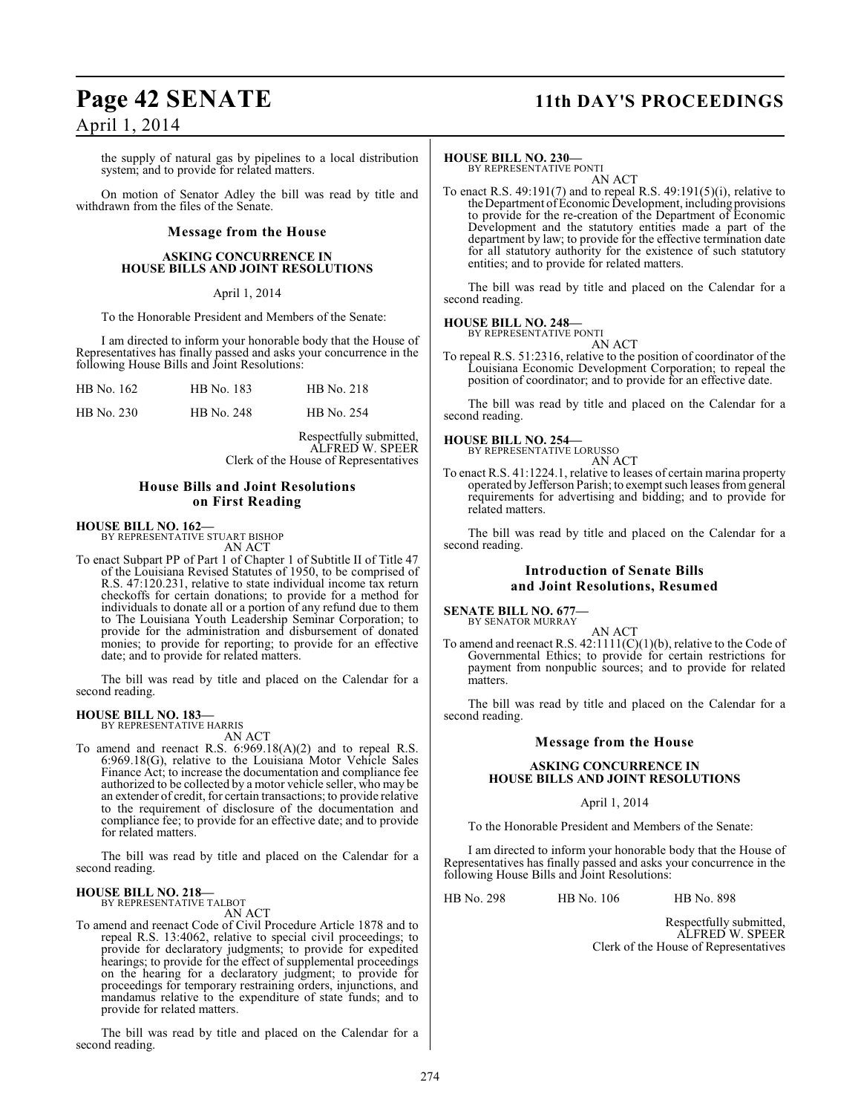## **Page 42 SENATE 11th DAY'S PROCEEDINGS**

### April 1, 2014

the supply of natural gas by pipelines to a local distribution system; and to provide for related matters.

On motion of Senator Adley the bill was read by title and withdrawn from the files of the Senate.

#### **Message from the House**

#### **ASKING CONCURRENCE IN HOUSE BILLS AND JOINT RESOLUTIONS**

#### April 1, 2014

To the Honorable President and Members of the Senate:

I am directed to inform your honorable body that the House of Representatives has finally passed and asks your concurrence in the following House Bills and Joint Resolutions:

| HB No. 162 | HB No. 183 | HB No. 218 |
|------------|------------|------------|
|            |            |            |

HB No. 230 HB No. 248 HB No. 254

Respectfully submitted, ALFRED W. SPEER Clerk of the House of Representatives

### **House Bills and Joint Resolutions on First Reading**

### **HOUSE BILL NO. 162—** BY REPRESENTATIVE STUART BISHOP

AN ACT

To enact Subpart PP of Part 1 of Chapter 1 of Subtitle II of Title 47 of the Louisiana Revised Statutes of 1950, to be comprised of R.S. 47:120.231, relative to state individual income tax return checkoffs for certain donations; to provide for a method for individuals to donate all or a portion of any refund due to them to The Louisiana Youth Leadership Seminar Corporation; to provide for the administration and disbursement of donated monies; to provide for reporting; to provide for an effective date; and to provide for related matters.

The bill was read by title and placed on the Calendar for a second reading.

#### **HOUSE BILL NO. 183—** BY REPRESENTATIVE HARRIS

AN ACT

To amend and reenact R.S. 6:969.18(A)(2) and to repeal R.S. 6:969.18(G), relative to the Louisiana Motor Vehicle Sales Finance Act; to increase the documentation and compliance fee authorized to be collected by a motor vehicle seller, who may be an extender of credit, for certain transactions; to provide relative to the requirement of disclosure of the documentation and compliance fee; to provide for an effective date; and to provide for related matters.

The bill was read by title and placed on the Calendar for a second reading.

#### **HOUSE BILL NO. 218—** BY REPRESENTATIVE TALBOT

AN ACT

To amend and reenact Code of Civil Procedure Article 1878 and to repeal R.S. 13:4062, relative to special civil proceedings; to provide for declaratory judgments; to provide for expedited hearings; to provide for the effect of supplemental proceedings on the hearing for a declaratory judgment; to provide for proceedings for temporary restraining orders, injunctions, and mandamus relative to the expenditure of state funds; and to provide for related matters.

The bill was read by title and placed on the Calendar for a second reading.

#### **HOUSE BILL NO. 230—**

BY REPRESENTATIVE PONTI AN ACT

To enact R.S. 49:191(7) and to repeal R.S. 49:191(5)(i), relative to the Department of Economic Development, including provisions to provide for the re-creation of the Department of Economic Development and the statutory entities made a part of the department by law; to provide for the effective termination date for all statutory authority for the existence of such statutory entities; and to provide for related matters.

The bill was read by title and placed on the Calendar for a second reading.

#### **HOUSE BILL NO. 248—**

BY REPRESENTATIVE PONTI AN ACT

To repeal R.S. 51:2316, relative to the position of coordinator of the Louisiana Economic Development Corporation; to repeal the position of coordinator; and to provide for an effective date.

The bill was read by title and placed on the Calendar for a second reading.

**HOUSE BILL NO. 254—** BY REPRESENTATIVE LORUSSO AN ACT

To enact R.S. 41:1224.1, relative to leases of certain marina property operated by Jefferson Parish; to exempt such leases from general requirements for advertising and bidding; and to provide for related matters.

The bill was read by title and placed on the Calendar for a second reading.

#### **Introduction of Senate Bills and Joint Resolutions, Resumed**

**SENATE BILL NO. 677—** BY SENATOR MURRAY

AN ACT To amend and reenact R.S.  $42:1111(C)(1)(b)$ , relative to the Code of Governmental Ethics; to provide for certain restrictions for payment from nonpublic sources; and to provide for related matters.

The bill was read by title and placed on the Calendar for a second reading.

#### **Message from the House**

#### **ASKING CONCURRENCE IN HOUSE BILLS AND JOINT RESOLUTIONS**

#### April 1, 2014

To the Honorable President and Members of the Senate:

I am directed to inform your honorable body that the House of Representatives has finally passed and asks your concurrence in the following House Bills and Joint Resolutions:

HB No. 298 HB No. 106 HB No. 898

Respectfully submitted, ALFRED W. SPEER Clerk of the House of Representatives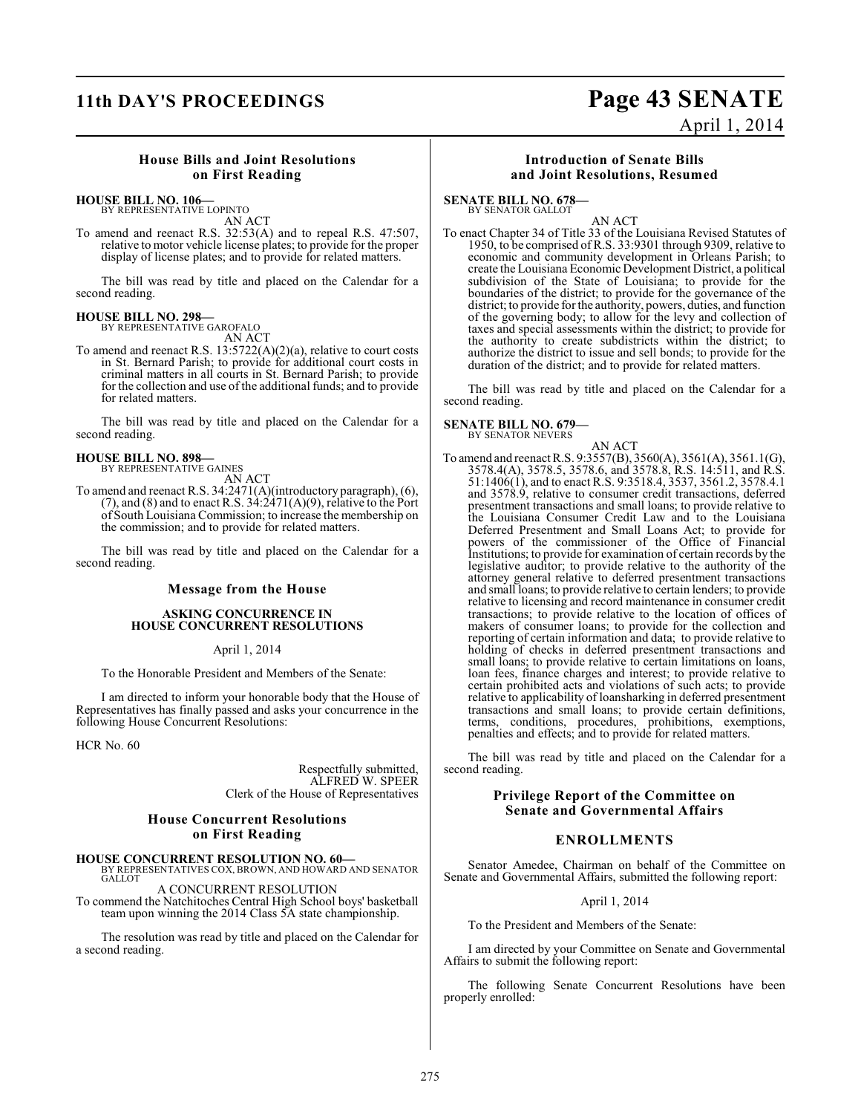## **11th DAY'S PROCEEDINGS Page 43 SENATE**

### April 1, 2014

### **House Bills and Joint Resolutions on First Reading**

### **HOUSE BILL NO. 106—**

BY REPRESENTATIVE LOPINTO AN ACT

To amend and reenact R.S. 32:53(A) and to repeal R.S. 47:507, relative to motor vehicle license plates; to provide for the proper display of license plates; and to provide for related matters.

The bill was read by title and placed on the Calendar for a second reading.

### **HOUSE BILL NO. 298—**

BY REPRESENTATIVE GAROFALO AN ACT

To amend and reenact R.S. 13:5722(A)(2)(a), relative to court costs in St. Bernard Parish; to provide for additional court costs in criminal matters in all courts in St. Bernard Parish; to provide for the collection and use of the additional funds; and to provide for related matters.

The bill was read by title and placed on the Calendar for a second reading.

### **HOUSE BILL NO. 898—** BY REPRESENTATIVE GAINES

AN ACT

To amend and reenact R.S. 34:2471(A)(introductory paragraph), (6),  $(7)$ , and  $(8)$  and to enact R.S.  $34:2471(A)(9)$ , relative to the Port of South Louisiana Commission; to increase the membership on the commission; and to provide for related matters.

The bill was read by title and placed on the Calendar for a second reading.

#### **Message from the House**

#### **ASKING CONCURRENCE IN HOUSE CONCURRENT RESOLUTIONS**

April 1, 2014

To the Honorable President and Members of the Senate:

I am directed to inform your honorable body that the House of Representatives has finally passed and asks your concurrence in the following House Concurrent Resolutions:

HCR No. 60

Respectfully submitted, ALFRED W. SPEER Clerk of the House of Representatives

#### **House Concurrent Resolutions on First Reading**

**HOUSE CONCURRENT RESOLUTION NO. 60—** BY REPRESENTATIVES COX, BROWN, AND HOWARD AND SENATOR GALLOT

A CONCURRENT RESOLUTION To commend the Natchitoches Central High School boys' basketball team upon winning the 2014 Class 5A state championship.

The resolution was read by title and placed on the Calendar for a second reading.

#### **Introduction of Senate Bills and Joint Resolutions, Resumed**

**SENATE BILL NO. 678—**

BY SENATOR GALLOT

AN ACT To enact Chapter 34 of Title 33 of the Louisiana Revised Statutes of 1950, to be comprised of R.S. 33:9301 through 9309, relative to economic and community development in Orleans Parish; to create the Louisiana Economic Development District, a political subdivision of the State of Louisiana; to provide for the boundaries of the district; to provide for the governance of the district; to provide for the authority, powers, duties, and function of the governing body; to allow for the levy and collection of taxes and special assessments within the district; to provide for the authority to create subdistricts within the district; to authorize the district to issue and sell bonds; to provide for the duration of the district; and to provide for related matters.

The bill was read by title and placed on the Calendar for a second reading.

## **SENATE BILL NO. 679—** BY SENATOR NEVERS

AN ACT To amend and reenact R.S. 9:3557(B), 3560(A), 3561(A), 3561.1(G), 3578.4(A), 3578.5, 3578.6, and 3578.8, R.S. 14:511, and R.S. 51:1406(1), and to enact R.S. 9:3518.4, 3537, 3561.2, 3578.4.1 and 3578.9, relative to consumer credit transactions, deferred presentment transactions and small loans; to provide relative to the Louisiana Consumer Credit Law and to the Louisiana Deferred Presentment and Small Loans Act; to provide for powers of the commissioner of the Office of Financial Institutions; to provide for examination of certain records by the legislative auditor; to provide relative to the authority of the attorney general relative to deferred presentment transactions and small loans; to provide relative to certain lenders; to provide relative to licensing and record maintenance in consumer credit transactions; to provide relative to the location of offices of makers of consumer loans; to provide for the collection and reporting of certain information and data; to provide relative to holding of checks in deferred presentment transactions and small loans; to provide relative to certain limitations on loans, loan fees, finance charges and interest; to provide relative to certain prohibited acts and violations of such acts; to provide relative to applicability of loansharking in deferred presentment transactions and small loans; to provide certain definitions, terms, conditions, procedures, prohibitions, exemptions, penalties and effects; and to provide for related matters.

The bill was read by title and placed on the Calendar for a second reading.

### **Privilege Report of the Committee on Senate and Governmental Affairs**

### **ENROLLMENTS**

Senator Amedee, Chairman on behalf of the Committee on Senate and Governmental Affairs, submitted the following report:

April 1, 2014

To the President and Members of the Senate:

I am directed by your Committee on Senate and Governmental Affairs to submit the following report:

The following Senate Concurrent Resolutions have been properly enrolled: